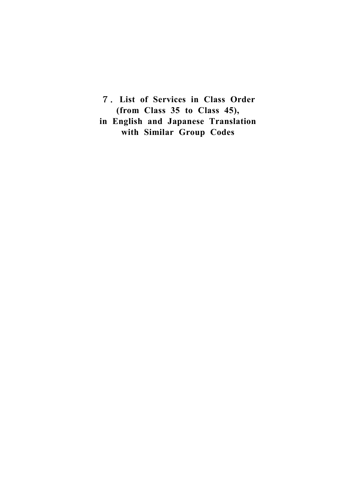7.**List of Services in Class Order (from Class 35 to Class 45), in English and Japanese Translation with Similar Group Codes**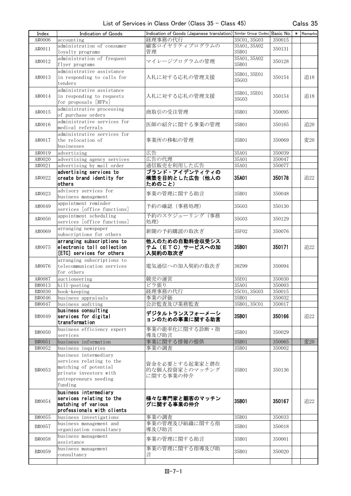| Index  | Indication of Goods         | Indication of Goods (Japanese translation) Similar Group Codes Basic No. |              |            | $\ast$ | Remarks |
|--------|-----------------------------|--------------------------------------------------------------------------|--------------|------------|--------|---------|
| A#0006 | accounting                  | 経理事務の代行                                                                  | 35C01, 35G03 | 350015     |        |         |
|        | administration of consumer  | 顧客ロイヤリティプログラムの                                                           | 35A01, 35A02 |            |        |         |
| A#0011 |                             | 管理                                                                       | 35B01        | 350131     |        |         |
|        | loyalty programs            |                                                                          |              |            |        |         |
| A#0012 | administration of frequent  | マイレージプログラムの管理                                                            | 35A01, 35A02 | 350128     |        |         |
|        | flyer programs              |                                                                          | 35B01        |            |        |         |
|        | administrative assistance   |                                                                          | 35B01, 35E01 |            |        |         |
| A#0013 | in responding to calls for  | 入札に対する応札の管理支援                                                            | 35G03        | 350154     |        | 追18     |
|        | tenders                     |                                                                          |              |            |        |         |
|        | administrative assistance   |                                                                          |              |            |        |         |
| A#0014 | in responding to requests   | 入札に対する応札の管理支援                                                            | 35B01, 35E01 | 350154     |        | 追18     |
|        | for proposals [RFPs]        |                                                                          | 35G03        |            |        |         |
|        | administrative processing   |                                                                          |              |            |        |         |
| A#0015 | of purchase orders          | 商取引の受注管理                                                                 | 35B01        | 350095     |        |         |
|        |                             |                                                                          |              |            |        |         |
| A#0016 | administrative services for | 医師の紹介に関する事業の管理                                                           | 35B01        | 350165     |        | 追20     |
|        | medical referrals           |                                                                          |              |            |        |         |
|        | administrative services for |                                                                          |              |            |        |         |
| A#0017 | the relocation of           | 事業所の移転の管理                                                                | 35B01        | 350069     |        | 変20     |
|        | businesses                  |                                                                          |              |            |        |         |
| A#0019 | advertising                 | 広告                                                                       | 35A01        | 350039     |        |         |
| A#0020 | advertising agency services | 広告の代理                                                                    | 35A01        | 350047     |        |         |
| A#0021 | advertising by mail order   | 通信販売を利用した広告                                                              | 35A01        | 350077     |        |         |
|        | advertising services to     | ブランド・アイデンティティの                                                           |              |            |        |         |
| A#0022 | create brand identity for   | 構築を目的とした広告(他人の                                                           | 35A01        | 350178     |        | 追22     |
|        | others                      | ためのこと)                                                                   |              |            |        |         |
|        |                             |                                                                          |              |            |        |         |
| A#0023 | advisory services for       | 事業の管理に関する助言                                                              | 35B01        | 350048     |        |         |
|        | business management         |                                                                          |              |            |        |         |
| A#0049 | appointment reminder        | 予約の確認 (事務処理)                                                             | 35G03        | 350130     |        |         |
|        | services [office functions] |                                                                          |              |            |        |         |
| A#0050 | appointment scheduling      | 予約のスケジューリング(事務                                                           | 35G03        | 350129     |        |         |
|        | services [office functions] | 処理)                                                                      |              |            |        |         |
|        | arranging newspaper         |                                                                          |              |            |        |         |
| A#0069 | subscriptions for others    | 新聞の予約購読の取次ぎ                                                              | 35F02        | 350076     |        |         |
|        | arranging subscriptions to  | 他人のための自動料金収受シス                                                           |              |            |        |         |
| A#0075 | electronic toll collection  | テム (ETC) サービスへの加                                                         | 35B01        | 350171     |        | 追22     |
|        | [ETC] services for others   | 入契約の取次ぎ                                                                  |              |            |        |         |
|        |                             |                                                                          |              |            |        |         |
|        | arranging subscriptions to  |                                                                          |              |            |        |         |
| A#0076 | telecommunication services  | 電気通信への加入契約の取次ぎ                                                           | 38Z99        | 350094     |        |         |
|        | for others                  |                                                                          |              |            |        |         |
| A#0087 | auctioneering               | 競売の運営                                                                    | 35E01        | 350030     |        |         |
| B#0013 | bill-posting                | ビラ張り                                                                     | 35A01        | 350003     |        |         |
| B#0030 | book-keeping                | 経理事務の代行                                                                  | 35C01, 35G03 | $350015\,$ |        |         |
| B#0046 | business appraisals         | 事業の評価                                                                    | 35B01        | 350032     |        |         |
| B#0047 | business auditing           | 会計監査及び業務監査                                                               | 35B01, 35C01 | 350017     |        |         |
|        | business consulting         |                                                                          |              |            |        |         |
| B#0049 | services for digital        | デジタルトランスフォーメーシ                                                           | 35B01        | 350166     |        | 追22     |
|        | transformation              | ョンのための事業に関する助言                                                           |              |            |        |         |
|        | business efficiency expert  | 事業の能率化に関する診断・指                                                           |              |            |        |         |
| B#0050 | services                    |                                                                          | 35B01        | 350029     |        |         |
|        |                             | 導及び助言                                                                    |              |            |        |         |
| B#0051 | business information        | 事業に関する情報の提供                                                              | 35B01        | 350065     |        | 変20     |
| B#0052 | business inquiries          | 事業の調査                                                                    | 35B01        | 350002     |        |         |
|        | business intermediary       |                                                                          |              |            |        |         |
|        | services relating to the    | 資金を必要とする起業家と潜在                                                           |              |            |        |         |
| B#0053 | matching of potential       | 的な個人投資家とのマッチング                                                           | 35B01        | 350136     |        |         |
|        | private investors with      | に関する事業の仲介                                                                |              |            |        |         |
|        | entrepreneurs needing       |                                                                          |              |            |        |         |
|        | funding                     |                                                                          |              |            |        |         |
|        | business intermediary       |                                                                          |              |            |        |         |
|        | services relating to the    | 様々な専門家と顧客のマッチン                                                           |              |            |        |         |
| B#0054 | matching of various         | グに関する事業の仲介                                                               | 35B01        | 350167     |        | 追22     |
|        | professionals with clients  |                                                                          |              |            |        |         |
|        |                             |                                                                          |              |            |        |         |
| B#0055 | business investigations     | 事業の調査                                                                    | 35B01        | 350033     |        |         |
| B#0057 | business management and     | 事業の管理及び組織に関する指                                                           | 35B01        | 350018     |        |         |
|        | organization consultancy    | 導及び助言                                                                    |              |            |        |         |
| B#0058 | business management         | 事業の管理に関する助言                                                              | 35B01        | 350001     |        |         |
|        | assistance                  |                                                                          |              |            |        |         |
| B#0059 | business management         | 事業の管理に関する指導及び助                                                           | 35B01        | 350020     |        |         |
|        | consultancy                 | 言                                                                        |              |            |        |         |
|        |                             |                                                                          |              |            |        |         |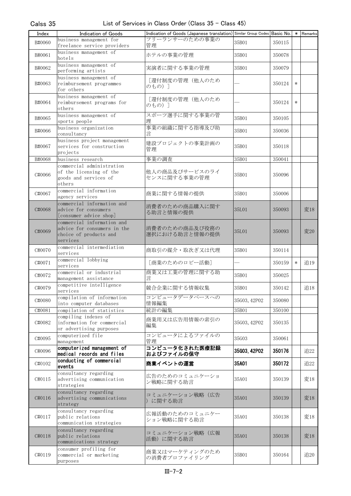| Index  | Indication of Goods                                                                             | Indication of Goods (Japanese translation) Similar Group Codes Basic No. |              |        | $\ast$ | Remarks |
|--------|-------------------------------------------------------------------------------------------------|--------------------------------------------------------------------------|--------------|--------|--------|---------|
| B#0060 | business management for                                                                         | フリーランサーのための事業の                                                           | 35B01        | 350115 |        |         |
|        | freelance service providers                                                                     | 管理                                                                       |              |        |        |         |
| B#0061 | business management of<br>hotels                                                                | ホテルの事業の管理                                                                | 35B01        | 350078 |        |         |
| B#0062 | business management of<br>performing artists                                                    | 実演者に関する事業の管理                                                             | 35B01        | 350079 |        |         |
| B#0063 | business management of<br>reimbursement programmes<br>for others                                | [還付制度の管理(他人のため<br>のもの)]                                                  |              | 350124 | $\ast$ |         |
| B#0064 | business management of<br>reimbursement programs for<br>others                                  | 「還付制度の管理(他人のため<br>のもの) ]                                                 |              | 350124 | $\ast$ |         |
| B#0065 | business management of<br>sports people                                                         | スポーツ選手に関する事業の管<br>理                                                      | 35B01        | 350105 |        |         |
| B#0066 | business organization<br>consultancy                                                            | 事業の組織に関する指導及び助<br>言                                                      | 35B01        | 350036 |        |         |
| B#0067 | business project management<br>services for construction<br>projects                            | 建設プロジェクトの事業計画の<br>管理                                                     | 35B01        | 350118 |        |         |
| B#0068 | business research                                                                               | 事業の調査                                                                    | 35B01        | 350041 |        |         |
| C#0066 | commercial administration<br>of the licensing of the<br>goods and services of<br>others         | 他人の商品及びサービスのライ<br>センスに関する事業の管理                                           | 35B01        | 350096 |        |         |
| C#0067 | commercial information<br>agency services                                                       | 商業に関する情報の提供                                                              | 35B01        | 350006 |        |         |
| C#0068 | commercial information and<br>advice for consumers<br>[consumer advice shop]                    | 消費者のための商品購入に関す<br>る助言と情報の提供                                              | 35L01        | 350093 |        | 変18     |
| C#0069 | commercial information and<br>advice for consumers in the<br>choice of products and<br>services | 消費者のための商品及び役務の<br>選択における助言と情報の提供                                         | 35L01        | 350093 |        | 変20     |
| C#0070 | commercial intermediation<br>services                                                           | 商取引の媒介・取次ぎ又は代理                                                           | 35B01        | 350114 |        |         |
| C#0071 | commercial lobbying<br>services                                                                 | [商業のためのロビー活動]                                                            |              | 350159 | $\ast$ | 追19     |
| C#0072 | commercial or industrial<br>management assistance                                               | 商業又は工業の管理に関する助<br>言                                                      | 35B01        | 350025 |        |         |
| C#0079 | competitive intelligence<br>services                                                            | 競合企業に関する情報収集                                                             | 35B01        | 350142 |        | 追18     |
| C#0080 | compilation of information<br>into computer databases                                           | コンピュータデータベースへの<br>情報編集                                                   | 35G03, 42P02 | 350080 |        |         |
| C#0081 | compilation of statistics                                                                       | 統計の編集                                                                    | 35B01        | 350100 |        |         |
| C#0082 | compiling indexes of<br>information for commercial<br>or advertising purposes                   | 商業用又は広告用情報の索引の<br>編集                                                     | 35G03, 42P02 | 350135 |        |         |
| C#0095 | computerized file<br>management                                                                 | コンピュータによるファイルの<br>管理                                                     | 35G03        | 350061 |        |         |
| C#0096 | computer ized management of<br>medical records and files                                        | コンピュータ化された医療記録<br>およびファイルの保守                                             | 35G03, 42P02 | 350176 |        | 追22     |
| C#0102 | conducting of commercial<br>events                                                              | 商業イベントの運営                                                                | 35A01        | 350172 |        | 追22     |
| C#0115 | consultancy regarding<br>advertising communication<br>strategies                                | 広告のためのコミュニケーショ<br>ン戦略に関する助言                                              | 35A01        | 350139 |        | 変18     |
| C#0116 | consultancy regarding<br>advertising communications<br>strategy                                 | コミュニケーション戦略(広告<br>)に関する助言                                                | 35A01        | 350139 |        | 変18     |
| C#0117 | consultancy regarding<br>public relations<br>communication strategies                           | 広報活動のためのコミュニケー<br>ション戦略に関する助言                                            | 35A01        | 350138 |        | 変18     |
| C#0118 | consultancy regarding<br>public relations<br>communications strategy                            | コミュニケーション戦略(広報<br>活動)に関する助言                                              | 35A01        | 350138 |        | 変18     |
| C#0119 | consumer profiling for<br>commercial or marketing<br>purposes                                   | 商業又はマーケティングのため<br>の消費者プロファイリング                                           | 35B01        | 350164 |        | 追20     |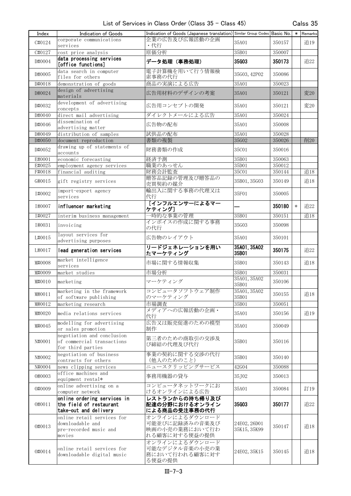| Index            | Indication of Goods                                                                | Indication of Goods (Japanese translation) Similar Group Codes Basic No.   *   Remarks |                              |                  |        |     |
|------------------|------------------------------------------------------------------------------------|----------------------------------------------------------------------------------------|------------------------------|------------------|--------|-----|
| C#0124           | corporate communications<br>services                                               | 企業の広告及び広報活動の企画<br>・代行                                                                  | 35A01                        | 350157           |        | 追19 |
| C#0127           | cost price analysis                                                                | 原価分析                                                                                   | 35B01                        | 350007           |        |     |
| D#0004           | data processing services<br>[office functions]                                     | データ処理(事務処理)                                                                            | 35G03                        | 350173           |        | 追22 |
| D#0005           | data search in computer<br>files for others                                        | 電子計算機を用いて行う情報検<br>索事務の代行                                                               | 35G03, 42P02                 | 350086           |        |     |
| D#0018           | demonstration of goods                                                             | 商品の実演による広告                                                                             | 35A01                        | 350023           |        |     |
| D#0024           | design of advertising<br>materials                                                 | 広告用材料のデザインの考案                                                                          | 35A01                        | 350121           |        | 変20 |
| D#0032           | development of advertising<br>concepts                                             | 広告用コンセプトの開発                                                                            | 35A01                        | 350121           |        | 変20 |
| D#0040           | direct mail advertising                                                            | ダイレクトメールによる広告                                                                          | 35A01                        | 350024           |        |     |
| D#0046           | dissemination of<br>advertising matter                                             | 広告物の配布                                                                                 | 35A01                        | 350008           |        |     |
| D#0049           | distribution of samples                                                            | 試供品の配布<br>書類の複製                                                                        | 35A01<br>35G02               | 350028           |        | 削20 |
| D#0050<br>D#0052 | document reproduction<br>drawing up of statements of                               | 財務書類の作成                                                                                | 35C01                        | 350026<br>350016 |        |     |
| E#0001           | accounts<br>economic forecasting                                                   | 経済予測                                                                                   | 35B01                        | 350063           |        |     |
| E#0025           | employment agency services                                                         | 職業のあっせん                                                                                | 35D01                        | 350012           |        |     |
| F#0018           | financial auditing                                                                 | 財務会計監査                                                                                 | 35C01                        | 350144           |        | 追18 |
| G#0015           | gift registry services                                                             | 贈答品記録の管理及び贈答品の<br>売買契約の媒介                                                              | 35B01, 35G03                 | 350149           |        | 追18 |
| I#0002           | import-export agency<br>services                                                   | 輸出入に関する事務の代理又は<br>代行                                                                   | 35F01                        | 350005           |        |     |
| I#0007           | influencer marketing                                                               | [インフルエンサーによるマー<br>ケティング]                                                               |                              | 350180           | $\ast$ | 追22 |
| I#0027           | interim business management                                                        | 一時的な事業の管理                                                                              | 35B01                        | 350151           |        | 追18 |
| I#0031           | invoicing                                                                          | インボイスの作成に関する事務<br>の代行                                                                  | 35G03                        | 350098           |        |     |
| L#0015           | layout services for<br>advertising purposes                                        | 広告物のレイアウト                                                                              | 35A01                        | 350101           |        |     |
| L#0017           | lead generation services                                                           | リードジェネレーションを用い<br>たマーケティング                                                             | 35A01, 35A02<br>35B01        | 350175           |        | 追22 |
| M#0008           | market intelligence<br>services                                                    | 市場に関する情報収集                                                                             | 35B01                        | 350143           |        | 追18 |
| M#0009           | market studies                                                                     | 市場分析                                                                                   | 35B01                        | 350031           |        |     |
| M#0010           | marketing                                                                          | マーケティング                                                                                | 35A01, 35A02<br>35B01        | 350106           |        |     |
| M#0011           | marketing in the framework<br>of software publishing                               | コンピュータソフトウェア制作<br>のマーケティング                                                             | 35A01, 35A02<br>35B01        | 350155           |        | 追18 |
| M#0012           | marketing research                                                                 | 市場調査                                                                                   | 35B01                        | 350051           |        |     |
| M#0020           | media relations services                                                           | メディアへの広報活動の企画・<br>代行                                                                   | 35A01                        | 350156           |        | 追19 |
| M#0045           | modelling for advertising<br>or sales promotion                                    | 広告又は販売促進のための模型<br>制作                                                                   | 35A01                        | 350049           |        |     |
| N#0001           | negotiation and conclusion<br>of commercial transactions<br>for third parties      | 第三者のための商取引の交渉及<br>び締結の代理及び代行                                                           | 35B01                        | 350116           |        |     |
| N#0002           | negotiation of business<br>contracts for others                                    | 事業の契約に関する交渉の代行<br>(他人のためのこと)                                                           | 35B01                        | 350140           |        |     |
| N#0004           | news clipping services                                                             | ニュースクリッピングサービス                                                                         | 42G04                        | 350088           |        |     |
| 0#0003           | office machines and<br>equipment rental*                                           | 事務用機器の貸与                                                                               | 35J02                        | 350013           |        |     |
| 0#0009           | online advertising on a<br>computer network                                        | コンピュータネットワークにお<br>けるオンラインによる広告                                                         | 35A01                        | 350084           |        | 訂19 |
| 0#0011           | online ordering services in<br>the field of restaurant<br>take-out and delivery    | レストランからの持ち帰り及び<br>配達の分野におけるオンライン<br>による商品の受注事務の代行                                      | 35G03                        | 350177           |        | 追22 |
| 0#0013           | online retail services for<br>downloadable and<br>pre-recorded music and<br>movies | オンラインによるダウンロード<br>可能並びに記録済みの音楽及び<br>映画の小売の業務において行わ<br>れる顧客に対する便益の提供                    | 24E02, 26D01<br>35K15, 35K99 | 350147           |        | 追18 |
| 0#0014           | online retail services for<br>downloadable digital music                           | オンラインによるダウンロード<br>可能なデジタル音楽の小売の業<br>務において行われる顧客に対す<br>る便益の提供                           | 24E02, 35K15                 | 350145           |        | 追18 |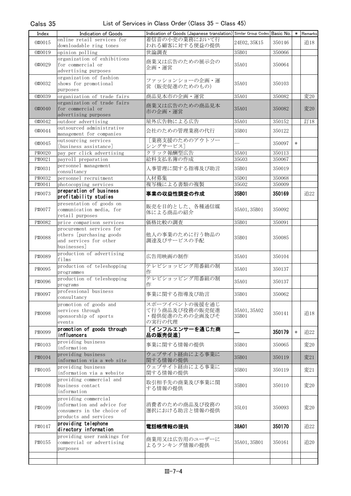| Index  | Indication of Goods                                        | Indication of Goods (Japanese translation) Similar Group Codes Basic No.   *   Remarks |                       |        |        |     |
|--------|------------------------------------------------------------|----------------------------------------------------------------------------------------|-----------------------|--------|--------|-----|
| 0#0015 | online retail services for<br>downloadable ring tones      | 着信音の小売の業務において行<br>われる顧客に対する便益の提供                                                       | 24E02, 35K15          | 350146 |        | 追18 |
| 0#0019 | opinion polling                                            | 世論調査                                                                                   | 35B01                 | 350066 |        |     |
|        | organization of exhibitions                                | 商業又は広告のための展示会の                                                                         |                       |        |        |     |
| 0#0029 | for commercial or                                          | 企画・運営                                                                                  | 35A01                 | 350064 |        |     |
|        | advertising purposes<br>organization of fashion            |                                                                                        |                       |        |        |     |
| 0#0032 | shows for promotional                                      | ファッションショーの企画・運<br>営 (販売促進のためのもの)                                                       | 35A01                 | 350103 |        |     |
|        | purposes                                                   |                                                                                        |                       |        |        |     |
| 0#0039 | organization of trade fairs<br>organization of trade fairs | 商品見本市の企画・運営                                                                            | 35A01                 | 350082 |        | 変20 |
| 0#0040 | for commercial or<br>advertising purposes                  | 商業又は広告のための商品見本<br>市の企画・運営                                                              | 35A01                 | 350082 |        | 変20 |
| 0#0042 | outdoor advertising                                        | 屋外広告物による広告                                                                             | 35A01                 | 350152 |        | 訂18 |
| 0#0044 | outsourced administrative                                  | 会社のための管理業務の代行                                                                          | 35B01                 | 350122 |        |     |
|        | management for companies                                   | [業務支援のためのアウトソー                                                                         |                       |        |        |     |
| 0#0045 | outsourcing services<br>[business assistance]              | シングサービス]                                                                               |                       | 350097 | $\ast$ |     |
| P#0020 | pay per click advertising                                  | クリック報酬型広告                                                                              | 35A01                 | 350113 |        |     |
| P#0021 | payroll preparation                                        | 給料支払名簿の作成                                                                              | 35G03                 | 350067 |        |     |
| P#0031 | personnel management<br>consultancy                        | 人事管理に関する指導及び助言                                                                         | 35B01                 | 350019 |        |     |
| P#0032 | personnel recruitment                                      | 人材募集                                                                                   | 35D01                 | 350068 |        |     |
| P#0041 | photocopying services                                      | 複写機による書類の複製                                                                            | 35G02                 | 350009 |        |     |
| P#0073 | preparation of business<br>profitability studies           | 事業の収益性調査の作成                                                                            | 35B01                 | 350169 |        | 追22 |
|        | presentation of goods on                                   | 販売を目的とした、各種通信媒                                                                         |                       |        |        |     |
| P#0077 | communication media, for<br>retail purposes                | 体による商品の紹介                                                                              | 35A01, 35B01          | 350092 |        |     |
| P#0082 | price comparison services                                  | 価格比較の調査                                                                                | 35B01                 | 350091 |        |     |
|        | procurement services for                                   |                                                                                        |                       |        |        |     |
| P#0088 | others [purchasing goods]<br>and services for other        | 他人の事業のために行う物品の<br>調達及びサービスの手配                                                          | 35B01                 | 350085 |        |     |
|        | businesses]                                                |                                                                                        |                       |        |        |     |
| P#0089 | production of advertising<br>films                         | 広告用映画の制作                                                                               | 35A01                 | 350104 |        |     |
| P#0095 | production of teleshopping                                 | テレビショッピング用番組の制                                                                         | 35A01                 | 350137 |        |     |
|        | programmes<br>production of teleshopping                   | 作<br>テレビショッピング用番組の制                                                                    |                       |        |        |     |
| P#0096 | programs                                                   | 作                                                                                      | 35A01                 | 350137 |        |     |
| P#0097 | professional business<br>consultancy                       | 事業に関する指導及び助言                                                                           | 35B01                 | 350062 |        |     |
|        | promotion of goods and                                     | スポーツイベントの後援を通じ                                                                         |                       |        |        |     |
| P#0098 | services through                                           | て行う商品及び役務の販売促進<br>・提供促進のための企画及びそ                                                       | 35A01, 35A02<br>35B01 | 350141 |        | 追18 |
|        | sponsorship of sports<br>events                            | の実行の代理                                                                                 |                       |        |        |     |
| P#0099 | promotion of goods through<br>influencers                  | [インフルエンサーを通じた商<br>品の販売促進]                                                              |                       | 350179 | $\ast$ | 追22 |
| P#0103 | providing business<br>information                          | 事業に関する情報の提供                                                                            | 35B01                 | 350065 |        | 変20 |
| P#0104 | providing business<br>information via a web site           | ウェブサイト経由による事業に<br>関する情報の提供                                                             | 35B01                 | 350119 |        | 変21 |
| P#0105 | providing business                                         | ウェブサイト経由による事業に                                                                         | 35B01                 | 350119 |        | 変21 |
|        | information via a website                                  | 関する情報の提供                                                                               |                       |        |        |     |
| P#0108 | providing commercial and<br>business contact               | 取引相手先の商業及び事業に関                                                                         | 35B01                 | 350110 |        | 変20 |
|        | information                                                | する情報の提供                                                                                |                       |        |        |     |
|        | providing commercial                                       |                                                                                        |                       |        |        |     |
| P#0109 | information and advice for<br>consumers in the choice of   | 消費者のための商品及び役務の<br>選択における助言と情報の提供                                                       | 35L01                 | 350093 |        | 変20 |
|        | products and services                                      |                                                                                        |                       |        |        |     |
| P#0147 | providing telephone<br>directory information               | 電話帳情報の提供                                                                               | 38A01                 | 350170 |        | 追22 |
|        | providing user rankings for                                | 商業用又は広告用のユーザーに                                                                         |                       |        |        |     |
| P#0155 | commercial or advertising                                  | よるランキング情報の提供                                                                           | 35A01, 35B01          | 350161 |        | 追20 |
|        | purposes                                                   |                                                                                        |                       |        |        |     |
|        |                                                            |                                                                                        |                       |        |        |     |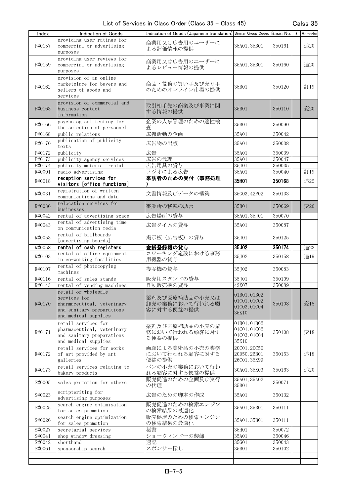| Index  | Indication of Goods         | Indication of Goods (Japanese translation) Similar Group Codes Basic No. |              |        | * Remarks |
|--------|-----------------------------|--------------------------------------------------------------------------|--------------|--------|-----------|
|        | providing user ratings for  |                                                                          |              |        |           |
| P#0157 | commercial or advertising   | 商業用又は広告用のユーザーに                                                           | 35A01, 35B01 | 350161 | 追20       |
|        | purposes                    | よる評価情報の提供                                                                |              |        |           |
|        | providing user reviews for  |                                                                          |              |        |           |
| P#0159 | commercial or advertising   | 商業用又は広告用のユーザーに                                                           | 35A01, 35B01 | 350160 | 追20       |
|        | purposes                    | よるレビュー情報の提供                                                              |              |        |           |
|        | provision of an online      |                                                                          |              |        |           |
|        | marketplace for buyers and  | 商品・役務の買い手及び売り手                                                           |              |        |           |
| P#0162 | sellers of goods and        | のためのオンライン市場の提供                                                           | 35B01        | 350120 | 訂19       |
|        | services                    |                                                                          |              |        |           |
|        | provision of commercial and |                                                                          |              |        |           |
| P#0163 | business contact            | 取引相手先の商業及び事業に関                                                           | 35B01        | 350110 | 変20       |
|        |                             | する情報の提供                                                                  |              |        |           |
|        | information                 |                                                                          |              |        |           |
| P#0166 | psychological testing for   | 企業の人事管理のための適性検                                                           | 35B01        | 350090 |           |
|        | the selection of personnel  | 杳                                                                        |              |        |           |
| P#0168 | public relations            | 広報活動の企画                                                                  | 35A01        | 350042 |           |
| P#0170 | publication of publicity    | 広告物の出版                                                                   | 35A01        | 350038 |           |
|        | texts                       |                                                                          |              |        |           |
| P#0172 | publicity                   | 広告                                                                       | 35A01        | 350039 |           |
| P#0173 | publicity agency services   | 広告の代理                                                                    | 35A01        | 350047 |           |
| P#0174 | publicity material rental   | 広告用具の貸与                                                                  | 35J01        | 350035 |           |
| R#0001 | radio advertising           | ラジオによる広告                                                                 | 35A01        | 350040 | 訂19       |
|        | reception services for      | 来訪者のための受付(事務処理                                                           |              |        |           |
| R#0018 | visitors [office functions] |                                                                          | 35H01        | 350168 | 追22       |
|        | registration of written     |                                                                          |              |        |           |
| R#0031 | communications and data     | 文書情報及びデータの構築                                                             | 35G03, 42P02 | 350133 |           |
|        | relocation services for     |                                                                          |              |        |           |
| R#0036 | businesses                  | 事業所の移転の助言                                                                | 35B01        | 350069 | 変20       |
| R#0042 | rental of advertising space | 広告場所の貸与                                                                  | 35A01, 35J01 | 350070 |           |
|        | rental of advertising time  |                                                                          |              |        |           |
| R#0043 | on communication media      | 広告タイムの貸与                                                                 | 35A01        | 350087 |           |
|        |                             |                                                                          |              |        |           |
| R#0053 | rental of billboards        | 掲示板 (広告板)の貸与                                                             | 35J01        | 350125 |           |
|        | [advertising boards]        |                                                                          | 35J02        | 350174 |           |
| R#0058 | rental of cash registers    | 金銭登録機の貸与                                                                 |              |        | 追22       |
| R#0103 | rental of office equipment  | コワーキング施設における事務<br>用機器の貸与                                                 | 35J02        | 350158 | 追19       |
|        | in co-working facilities    |                                                                          |              |        |           |
| R#0107 | rental of photocopying      | 複写機の貸与                                                                   | 35J02        | 350083 |           |
|        | machines                    |                                                                          |              |        |           |
| R#0116 | rental of sales stands      | 販売用スタンドの貸与                                                               | 35J01        | 350109 |           |
| R#0143 | rental of vending machines  | 自動販売機の貸与                                                                 | 42X07        | 350089 |           |
|        | retail or wholesale         |                                                                          | 01B01, 01B02 |        |           |
|        | services for                | 薬剤及び医療補助品の小売又は                                                           | 01C01, 01C02 |        |           |
| R#0170 | pharmaceutical, veterinary  | 卸売の業務において行われる顧                                                           | 01C03, 01C04 | 350108 | 変18       |
|        | and sanitary preparations   | 客に対する便益の提供                                                               | 35K10        |        |           |
|        | and medical supplies        |                                                                          |              |        |           |
|        | retail services for         |                                                                          | 01B01, 01B02 |        |           |
|        | pharmaceutical, veterinary  | 薬剤及び医療補助品の小売の業                                                           | 01C01,01C02  |        |           |
| R#0171 | and sanitary preparations   | 務において行われる顧客に対す                                                           | 01C03, 01C04 | 350108 | 変18       |
|        | and medical supplies        | る便益の提供                                                                   | 35K10        |        |           |
|        | retail services for works   | 画廊による美術品の小売の業務                                                           | 20C01, 20C50 |        |           |
| R#0172 | of art provided by art      | において行われる顧客に対する                                                           | 20D50, 26B01 | 350153 | 追18       |
|        |                             |                                                                          | 26C01, 35K99 |        |           |
|        | galleries                   | 便益の提供                                                                    |              |        |           |
| R#0173 | retail services relating to | パンの小売の業務において行わ                                                           | 30A01, 35K03 | 350163 | 追20       |
|        | bakery products             | れる顧客に対する便益の提供                                                            |              |        |           |
| S#0005 | sales promotion for others  | 販売促進のための企画及び実行                                                           | 35A01, 35A02 | 350071 |           |
|        |                             | の代理                                                                      | 35B01        |        |           |
| S#0023 | scriptwriting for           | 広告のための脚本の作成                                                              | 35A01        | 350132 |           |
|        | advertising purposes        |                                                                          |              |        |           |
| S#0025 | search engine optimisation  | 販売促進のための検索エンジン                                                           | 35A01, 35B01 | 350111 |           |
|        | for sales promotion         | の検索結果の最適化                                                                |              |        |           |
|        | search engine optimization  | 販売促進のための検索エンジン                                                           |              |        |           |
| S#0026 | for sales promotion         | の検索結果の最適化                                                                | 35A01, 35B01 | 350111 |           |
| S#0027 | secretarial services        | 秘書                                                                       | 35H01        | 350072 |           |
| S#0041 | shop window dressing        | ショーウィンドーの装飾                                                              | 35A01        | 350046 |           |
| S#0042 | shorthand                   | 速記                                                                       | 35G01        | 350043 |           |
| S#0061 | sponsorship search          | スポンサー探し                                                                  | 35B01        | 350102 |           |
|        |                             |                                                                          |              |        |           |
|        |                             |                                                                          |              |        |           |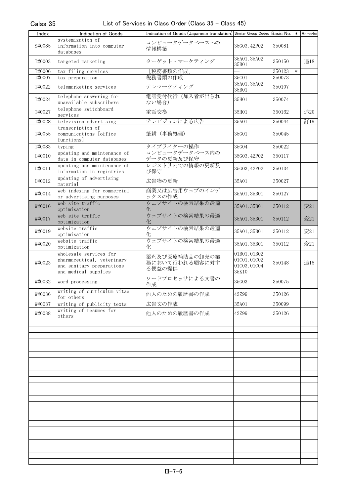| Index  | Indication of Goods                                                                                       | Indication of Goods (Japanese translation) Similar Group Codes Basic No. |                                                       |        |        | * Remarks |
|--------|-----------------------------------------------------------------------------------------------------------|--------------------------------------------------------------------------|-------------------------------------------------------|--------|--------|-----------|
| S#0085 | systemization of<br>information into computer<br>databases                                                | コンピュータデータベースへの<br>情報構築                                                   | 35G03, 42P02                                          | 350081 |        |           |
| T#0003 | targeted marketing                                                                                        | ターゲット・マーケティング                                                            | 35A01, 35A02<br>35B01                                 | 350150 |        | 追18       |
| T#0006 | tax filing services                                                                                       | [税務書類の作成]                                                                |                                                       | 350123 | $\ast$ |           |
| T#0007 | tax preparation                                                                                           | 税務書類の作成                                                                  | 35C01                                                 | 350073 |        |           |
| T#0022 | telemarketing services                                                                                    | テレマーケティング                                                                | 35A01, 35A02<br>35B01                                 | 350107 |        |           |
| T#0024 | telephone answering for<br>unavailable subscribers                                                        | 電話受付代行(加入者が出られ<br>ない場合)                                                  | 35H01                                                 | 350074 |        |           |
| T#0027 | telephone switchboard<br>services                                                                         | 電話交換                                                                     | 35H01                                                 | 350162 |        | 追20       |
| T#0028 | television advertising                                                                                    | テレビジョンによる広告                                                              | 35A01                                                 | 350044 |        | 訂19       |
| T#0055 | transcription of<br>communications [office<br>functions                                                   | 筆耕 (事務処理)                                                                | 35G01                                                 | 350045 |        |           |
| T#0083 | typing                                                                                                    | タイプライターの操作                                                               | 35G04                                                 | 350022 |        |           |
| U#0010 | updating and maintenance of<br>data in computer databases                                                 | コンピュータデータベース内の<br>データの更新及び保守                                             | 35G03, 42P02                                          | 350117 |        |           |
| U#0011 | updating and maintenance of<br>information in registries                                                  | レジストリ内での情報の更新及<br>び保守                                                    | 35G03, 42P02                                          | 350134 |        |           |
| U#0012 | updating of advertising<br>material                                                                       | 広告物の更新                                                                   | 35A01                                                 | 350027 |        |           |
| W#0014 | web indexing for commercial<br>or advertising purposes                                                    | 商業又は広告用ウェブのインデ<br>ックスの作成                                                 | 35A01, 35B01                                          | 350127 |        |           |
| W#0016 | web site traffic<br>optimisation                                                                          | ウェブサイトの検索結果の最適<br>化                                                      | 35A01, 35B01                                          | 350112 |        | 変21       |
| W#0017 | web site traffic<br>optimization                                                                          | ウェブサイトの検索結果の最適<br>化                                                      | 35A01, 35B01                                          | 350112 |        | 変21       |
| W#0019 | website traffic<br>optimisation                                                                           | ウェブサイトの検索結果の最適<br>化                                                      | 35A01, 35B01                                          | 350112 |        | 変21       |
| W#0020 | website traffic<br>optimization                                                                           | ウェブサイトの検索結果の最適<br>化                                                      | 35A01, 35B01                                          | 350112 |        | 変21       |
| W#0023 | wholesale services for<br>pharmaceutical, veterinary<br>and sanitary preparations<br>and medical supplies | 薬剤及び医療補助品の卸売の業<br>務において行われる顧客に対す<br>る便益の提供                               | 01B01, 01B02<br>01C01, 01C02<br>01C03, 01C04<br>35K10 | 350148 |        | 追18       |
| W#0032 | word processing                                                                                           | ワードプロセッサによる文書の<br>作成                                                     | 35G03                                                 | 350075 |        |           |
| W#0036 | writing of curriculum vitae<br>for others                                                                 | 他人のための履歴書の作成                                                             | 42Z99                                                 | 350126 |        |           |
| W#0037 | writing of publicity texts                                                                                | 広告文の作成                                                                   | 35A01                                                 | 350099 |        |           |
| W#0038 | writing of resumes for<br>others                                                                          | 他人のための履歴書の作成                                                             | 427.99                                                | 350126 |        |           |
|        |                                                                                                           |                                                                          |                                                       |        |        |           |
|        |                                                                                                           |                                                                          |                                                       |        |        |           |
|        |                                                                                                           |                                                                          |                                                       |        |        |           |
|        |                                                                                                           |                                                                          |                                                       |        |        |           |
|        |                                                                                                           |                                                                          |                                                       |        |        |           |
|        |                                                                                                           |                                                                          |                                                       |        |        |           |
|        |                                                                                                           |                                                                          |                                                       |        |        |           |
|        |                                                                                                           |                                                                          |                                                       |        |        |           |
|        |                                                                                                           |                                                                          |                                                       |        |        |           |
|        |                                                                                                           |                                                                          |                                                       |        |        |           |
|        |                                                                                                           |                                                                          |                                                       |        |        |           |
|        |                                                                                                           |                                                                          |                                                       |        |        |           |
|        |                                                                                                           |                                                                          |                                                       |        |        |           |
|        |                                                                                                           |                                                                          |                                                       |        |        |           |
|        |                                                                                                           |                                                                          |                                                       |        |        |           |
|        |                                                                                                           |                                                                          |                                                       |        |        |           |
|        |                                                                                                           |                                                                          |                                                       |        |        |           |
|        |                                                                                                           |                                                                          |                                                       |        |        |           |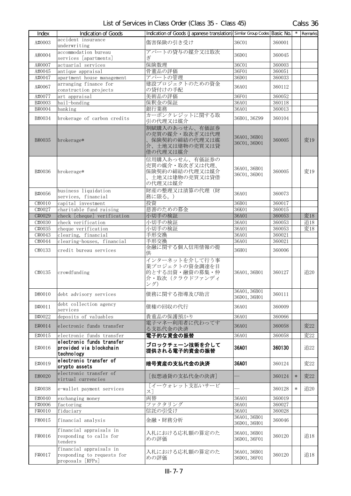| <b>T</b> ndex        | Indication of Goods                                                       | Indication of Goods (Japanese translation) Similar Group Codes Basic No.        |                              |        | $\star$ | Remarks |
|----------------------|---------------------------------------------------------------------------|---------------------------------------------------------------------------------|------------------------------|--------|---------|---------|
| A#0003               | accident insurance<br>underwriting                                        | 傷害保険の引き受け                                                                       | 36C01                        | 360001 |         |         |
| A#0004               | accommodation bureau<br>services [apartments]                             | アパートの貸与の媒介又は取次<br>ぎ                                                             | 36D01                        | 360045 |         |         |
| A#0007               | actuarial services                                                        | 保険数理                                                                            | 36C01                        | 360003 |         |         |
| A#0045               | antique appraisal                                                         | 骨董品の評価                                                                          | 36F01                        | 360051 |         |         |
| A#0047               | apartment house management                                                | アパートの管理                                                                         | 36D01                        | 360033 |         |         |
| A#0067               | arranging finance for<br>construction projects                            | 建設プロジェクトのための資金<br>の貸付けの手配                                                       | 36A01                        | 360112 |         |         |
| A#0077               | art appraisal                                                             | 美術品の評価                                                                          | 36F01                        | 360052 |         |         |
| B#0003               | bail-bonding                                                              | 保釈金の保証                                                                          | 36A01                        | 360118 |         |         |
| B#0004               | banking                                                                   | 銀行業務                                                                            | 36A01                        | 360013 |         |         |
| B#0034               | brokerage of carbon credits                                               | カーボンクレジットに関する取<br>引の代理又は媒介                                                      | 36B01, 36Z99                 | 360104 |         |         |
| B#0035               | brokerage*                                                                | 割賦購入のあっせん、有価証券<br>の売買の媒介・取次ぎ又は代理<br>保険契約の締結の代理又は媒<br>介、土地又は建物の売買又は貸<br>借の代理又は媒介 | 36A01, 36B01<br>36C01, 36D01 | 360005 |         | 変19     |
| B#0036               | brokerage*                                                                | 信用購入あっせん、有価証券の<br>売買の媒介・取次ぎ又は代理、<br>保険契約の締結の代理又は媒介<br>土地又は建物の売買又は貸借<br>の代理又は媒介  | 36A01, 36B01<br>36C01, 36D01 | 360005 |         | 変19     |
| B#0056               | business liquidation<br>services, financial                               | 財産の整理又は清算の代理(財<br>務に限る。)                                                        | 36A01                        | 360073 |         |         |
| C#0010               | capital investment                                                        | 投資                                                                              | 36B01                        | 360017 |         |         |
| C#0027               | charitable fund raising                                                   | 慈善のための募金                                                                        | 36K01                        | 360015 |         |         |
| C#0029               | check [cheque] verification                                               | 小切手の検証                                                                          | 36A01                        | 360053 |         | 変18     |
| C#0030               | check verification                                                        | 小切手の検証                                                                          | 36A01                        | 360053 |         | 追18     |
| C#0035               | cheque verification                                                       | 小切手の検証                                                                          | 36A01                        | 360053 |         | 変18     |
| $\overline{C}$ #0043 | clearing, financial                                                       | 手形交換                                                                            | 36A01                        | 360021 |         |         |
| C#0044               | clearing-houses, financial                                                | 手形交換                                                                            | 36A01                        | 360021 |         |         |
| C#0133               | credit bureau services                                                    | 金融に関する個人信用情報の提<br>供                                                             | 36H01                        | 360006 |         |         |
| C#0135               | crowdfunding                                                              | インターネットを介して行う事<br>業プロジェクトの資金調達を目<br>的とする出資・融資の募集・仲<br>介・取次(クラウドファンディ<br>ング)     | 36A01, 36B01                 | 360127 |         | 追20     |
| D#0010               | debt advisory services                                                    | 債務に関する指導及び助言                                                                    | 36A01, 36B01<br>36D01, 36H01 | 360111 |         |         |
| D#0011               | debt collection agency<br>services                                        | 債権の回収の代行                                                                        | 36A01                        | 360009 |         |         |
| D#0022               | deposits of valuables                                                     | 貴重品の保護預かり                                                                       | 36A01                        | 360066 |         |         |
| E#0014               | electronic funds transfer                                                 | 電子マネー利用者に代わってす<br>る支払代金の決済                                                      | 36A01                        | 360058 |         | 変22     |
| E#0015               | electronic funds transfer                                                 | 電子的な資金の振替                                                                       | 36A01                        | 360058 |         | 変22     |
| E#0016               | electronic funds transfer<br>provided via blockchain<br>technology        | ブロックチェーン技術を介して<br>提供される電子的資金の振替                                                 | 36A01                        | 360130 |         | 追22     |
| E#0019               | electronic transfer of<br>crypto assets                                   | 暗号資産の支払代金の決済                                                                    | 36A01                        | 360124 |         | 変22     |
| E#0020               | electronic transfer of<br>virtual currencies                              | [仮想通貨の支払代金の決済]                                                                  |                              | 360124 | $\ast$  | 変22     |
| E#0038               | e-wallet payment services                                                 | 「イーウォレット支払いサービ<br>ス]                                                            |                              | 360128 | $\ast$  | 追20     |
| E#0040               | exchanging money                                                          | 両替                                                                              | 36A01                        | 360019 |         |         |
| F#0006               | factoring                                                                 | ファクタリング                                                                         | 36A01                        | 360027 |         |         |
| F#0010               | fiduciary                                                                 | 信託の引受け                                                                          | 36A01                        | 360028 |         |         |
| F#0015               | financial analysis                                                        | 金融・財務分析                                                                         | 36A01, 36B01<br>36D01, 36H01 | 360046 |         |         |
| F#0016               | financial appraisals in<br>responding to calls for<br>tenders             | 入札における応札額の算定のた<br>めの評価                                                          | 36A01, 36B01<br>36D01, 36F01 | 360120 |         | 追18     |
| F#0017               | financial appraisals in<br>responding to requests for<br>proposals [RFPs] | 入札における応札額の算定のた<br>めの評価                                                          | 36A01, 36B01<br>36D01, 36F01 | 360120 |         | 追18     |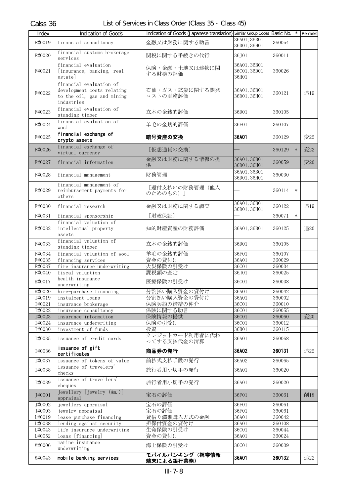| Index            | Indication of Goods                                                                               | Indication of Goods (Japanese translation) Similar Group Codes Basic No. |                                       |                  |        | $\overline{\cdot}$ Remarks |
|------------------|---------------------------------------------------------------------------------------------------|--------------------------------------------------------------------------|---------------------------------------|------------------|--------|----------------------------|
| F#0019           | financial consultancy                                                                             | 金融又は財務に関する助言                                                             | 36A01, 36B01<br>36D01, 36H01          | 360054           |        |                            |
| F#0020           | financial customs brokerage<br>services                                                           | 関税に関する手続きの代行                                                             | 36J01                                 | 360011           |        |                            |
| F#0021           | financial evaluation<br>[insurance, banking, real<br>estatel                                      | 保険・金融・土地又は建物に関<br>する財務の評価                                                | 36A01, 36B01<br>36C01, 36D01<br>36H01 | 360026           |        |                            |
| F#0022           | financial evaluation of<br>development costs relating<br>to the oil, gas and mining<br>industries | 石油・ガス・鉱業に関する開発<br>コストの財務評価                                               | 36A01, 36B01<br>36D01, 36H01          | 360121           |        | 追19                        |
| F#0023           | financial evaluation of<br>standing timber                                                        | 立木の金銭的評価                                                                 | 36D01                                 | 360105           |        |                            |
| F#0024           | financial evaluation of<br>wool                                                                   | 羊毛の金銭的評価                                                                 | 36F01                                 | 360107           |        |                            |
| F#0025           | financial exchange of<br>crypto assets                                                            | 暗号資産の交換                                                                  | 36A01                                 | 360129           |        | 変22                        |
| F#0026           | financial exchange of<br>virtual currency                                                         | [仮想通貨の交換]                                                                |                                       | 360129           | $\ast$ | 変22                        |
| F#0027           | financial information                                                                             | 金融又は財務に関する情報の提<br>供                                                      | 36A01, 36B01<br>36D01, 36H01          | 360059           |        | 変20                        |
| F#0028           | financial management                                                                              | 財務管理                                                                     | 36A01, 36B01<br>36D01, 36H01          | 360030           |        |                            |
| F#0029           | financial management of<br>reimbursement payments for<br>others                                   | [還付支払いの財務管理 (他人<br>のためのもの) 1                                             |                                       | 360114           | $\ast$ |                            |
| F#0030           | financial research                                                                                | 金融又は財務に関する調査                                                             | 36A01, 36B01<br>36D01, 36H01          | 360122           |        | 追19                        |
| F#0031           | financial sponsorship                                                                             | [財政保証]                                                                   |                                       | 360071           | $\ast$ |                            |
| F#0032           | financial valuation of<br>intellectual property<br>assets                                         | 知的財産資産の財務評価                                                              | 36A01, 36B01                          | 360125           |        | 追20                        |
| F#0033           | financial valuation of<br>standing timber                                                         | 立木の金銭的評価                                                                 | 36D01                                 | 360105           |        |                            |
| F#0034           | financial valuation of wool                                                                       | 羊毛の金銭的評価                                                                 | 36F01                                 | 360107           |        |                            |
| F#0035           | financing services                                                                                | 資金の貸付け                                                                   | 36A01                                 | 360029           |        |                            |
| F#0037           | fire insurance underwriting                                                                       | 火災保険の引受け                                                                 | 36C01                                 | 360034           |        |                            |
| F#0040           | fiscal valuation                                                                                  | 課税額の査定                                                                   | 36J01                                 | 360025           |        |                            |
| H#0017           | health insurance<br>underwriting                                                                  | 医療保険の引受け                                                                 | 36C01                                 | 360038           |        |                            |
| H#0020           | hire-purchase financing                                                                           | 分割払い購入資金の貸付け                                                             | 36A01                                 | 360042           |        |                            |
| I#0019           | instalment loans                                                                                  | 分割払い購入資金の貸付け                                                             | 36A01                                 | 360002           |        |                            |
| I#0021           | insurance brokerage                                                                               | 保険契約の締結の仲介                                                               | 36C01                                 | 360010           |        |                            |
| I#0022           | insurance consultancy                                                                             | 保険に関する助言                                                                 | 36C01                                 | 360055           |        |                            |
| I#0023<br>I#0024 | insurance information                                                                             | 保険情報の提供                                                                  | <b>36C01</b><br>36C01                 | 360060<br>360012 |        | 変20                        |
| I#0030           | insurance underwriting<br>investment of funds                                                     | 保険の引受け<br>投資                                                             | 36B01                                 | 360115           |        |                            |
| I#0035           | issuance of credit cards                                                                          | クレジットカード利用者に代わ<br>ってする支払代金の清算                                            | 36A01                                 | 360068           |        |                            |
| I#0036           | issuance of gift<br>certificates                                                                  | 商品券の発行                                                                   | 36A02                                 | 360131           |        | 追22                        |
| I#0037           | issuance of tokens of value                                                                       | 前払式支払手段の発行                                                               | 36A02                                 | 360065           |        |                            |
| I#0038           | issuance of travelers'<br>checks                                                                  | 旅行者用小切手の発行                                                               | 36A01                                 | 360020           |        |                            |
| I#0039           | issuance of travellers'<br>cheques                                                                | 旅行者用小切手の発行                                                               | 36A01                                 | 360020           |        |                            |
| J#0001           | jewellery [jewelry (Am.)]<br>appraisal                                                            | 宝石の評価                                                                    | 36F01                                 | 360061           |        | 削18                        |
| J#0002           | jewellery appraisal                                                                               | 宝石の評価                                                                    | 36F01                                 | 360061           |        |                            |
| J#0003           | jewelry appraisal                                                                                 | 宝石の評価                                                                    | 36F01                                 | 360061           |        |                            |
| L#0019           | lease-purchase financing                                                                          | 賃借り満期購入方式の金融                                                             | 36A01                                 | 360042           |        |                            |
| L#0038           | lending against security                                                                          | 担保付資金の貸付け                                                                | 36A01                                 | 360108           |        |                            |
| L#0043           | life insurance underwriting                                                                       | 生命保険の引受け                                                                 | 36C01                                 | 360044           |        |                            |
| L#0052           | loans [financing]<br>marine insurance                                                             | 資金の貸付け                                                                   | 36A01                                 | 360024           |        |                            |
| M#0006           | underwriting                                                                                      | 海上保険の引受け<br>モバイルバンキング(携帯情報                                               | 36C01                                 | 360039           |        |                            |
| M#0043           | mobile banking services                                                                           | 端末による銀行業務)                                                               | 36A01                                 | 360132           |        | 追22                        |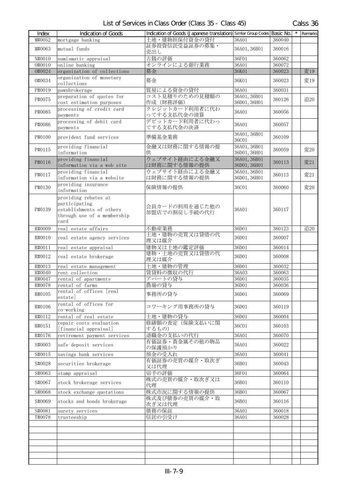| Index  | Indication of Goods                                                                                      | Indication of Goods (Japanese translation) Similar Group Codes Basic No. |                              |        | Remarks |
|--------|----------------------------------------------------------------------------------------------------------|--------------------------------------------------------------------------|------------------------------|--------|---------|
| M#0052 | mortgage banking                                                                                         | 土地・建物担保付資金の貸付                                                            | 36A01                        | 360040 |         |
| M#0063 | mutual funds                                                                                             | 証券投資信託受益証券の募集·<br>売出し                                                    | 36A01, 36B01                 | 360016 |         |
| N#0010 | numismatic appraisal                                                                                     | 古銭の評価                                                                    | 36F01                        | 360062 |         |
| 0#0010 | online banking                                                                                           | オンラインによる銀行業務                                                             | 36A01                        | 360072 |         |
| 0#0024 | organization of collections                                                                              | 募金                                                                       | 36K01                        | 360023 | 変19     |
| 0#0034 | organization of monetary<br>collections                                                                  | 募金                                                                       | 36K01                        | 360023 | 変19     |
| P#0019 | pawnbrokerage                                                                                            | 質屋による資金の貸付                                                               | 36A01                        | 360031 |         |
|        | preparation of quotes for                                                                                | コスト見積りのための見積額の                                                           | 36A01, 36B01                 |        |         |
| P#0075 | cost estimation purposes                                                                                 | 作成 (財務評価)                                                                | 36D01, 36H01                 | 360126 | 追20     |
| P#0085 | processing of credit card<br>payments                                                                    | クレジットカード利用者に代わ<br>ってする支払代金の清算                                            | 36A01                        | 360056 |         |
| P#0086 | processing of debit card<br>payments                                                                     | デビットカード利用者に代わっ<br>てする支払代金の決済                                             | 36A01                        | 360057 |         |
| P#0100 | provident fund services                                                                                  | 準備基金業務                                                                   | 36A01, 36B01<br>36C01        | 360109 |         |
| P#0115 | providing financial<br>information                                                                       | 金融又は財務に関する情報の提<br>供                                                      | 36A01, 36B01<br>36D01, 36H01 | 360059 | 変20     |
| P#0116 | providing financial<br>information via a web site                                                        | ウェブサイト経由による金融又<br>は財務に関する情報の提供                                           | 36A01, 36B01<br>36D01, 36H01 | 360113 | 変21     |
| P#0117 | providing financial<br>information via a website                                                         | ウェブサイト経由による金融又<br>は財務に関する情報の提供                                           | 36A01, 36B01<br>36D01, 36H01 | 360113 | 変21     |
|        | providing insurance                                                                                      | 保険情報の提供                                                                  |                              |        |         |
| P#0130 | information                                                                                              |                                                                          | 36C01                        | 360060 | 変20     |
| P#0139 | providing rebates at<br>participating<br>establishments of others<br>through use of a membership<br>card | 会員カードの利用を通じた他の<br>加盟店での割戻し手続の代行                                          | 36A01                        | 360117 |         |
| R#0009 | real estate affairs                                                                                      | 不動産業務                                                                    | 36D01                        | 360123 | 追20     |
| R#0010 | real estate agency services                                                                              | 土地・建物の売買又は貸借の代<br>理又は媒介                                                  | 36D01                        | 360007 |         |
| R#0011 | real estate appraisal                                                                                    | 建物又は土地の鑑定評価                                                              | 36D01                        | 360014 |         |
| R#0012 | real estate brokerage                                                                                    | 建物・土地の売買又は貸借の代<br>理又は媒介                                                  | 36D01                        | 360008 |         |
| R#0013 | real estate management                                                                                   | 土地・建物の管理                                                                 | 36D01                        | 360032 |         |
| R#0040 | rent collection                                                                                          | 賃貸料の徴収の代行                                                                | 36A03                        | 360063 |         |
| R#0047 | rental of apartments                                                                                     | アパートの貸与                                                                  | 36D01                        | 360035 |         |
| R#0078 | rental of farms                                                                                          | 農場の貸与                                                                    | 36D01                        | 360036 |         |
| R#0105 | rental of offices [real<br>estate                                                                        | 事務所の貸与                                                                   | 36D01                        | 360069 |         |
| R#0106 | rental of offices for<br>co-working                                                                      | コワーキング用事務所の貸与                                                            | 36D01                        | 360119 |         |
| R#0112 | rental of real estate                                                                                    | 土地・建物の貸与                                                                 | 36D01                        | 360004 |         |
| R#0151 | repair costs evaluation                                                                                  | 修繕額の査定(保険支払いに関                                                           | 36C01                        | 360103 |         |
| R#0176 | [financial appraisal]<br>retirement payment services                                                     | するもの)<br>退職金の支払いの代行                                                      | 36A01                        | 360070 |         |
| S#0003 | safe deposit services                                                                                    | 有価証券・貴金属その他の物品                                                           | 36A01                        | 360022 |         |
| S#0015 | savings bank services                                                                                    | の保護預かり<br>預金の受入れ                                                         | 36A01                        | 360041 |         |
| S#0028 | securities brokerage                                                                                     | 有価証券の売買の媒介・取次ぎ                                                           | 36B01                        | 360043 |         |
| S#0063 | stamp appraisal                                                                                          | 又は代理<br>切手の評価                                                            | 36F01                        | 360064 |         |
| S#0067 | stock brokerage services                                                                                 | 株式の売買の媒介・取次ぎ又は<br>代理                                                     | 36B01                        | 360110 |         |
| S#0068 | stock exchange quotations                                                                                | 株式市況に関する情報の提供                                                            | 36B01                        | 360067 |         |
| S#0069 | stocks and bonds brokerage                                                                               | 株式及び債券の売買の媒介・取<br>次ぎ又は代理                                                 | 36B01                        | 360116 |         |
| S#0081 | surety services                                                                                          | 債務の保証                                                                    | 36A01                        | 360018 |         |
| T#0078 | trusteeship                                                                                              | 信託の引受け                                                                   | 36A01                        | 360028 |         |
|        |                                                                                                          |                                                                          |                              |        |         |
|        |                                                                                                          |                                                                          |                              |        |         |
|        |                                                                                                          |                                                                          |                              |        |         |
|        |                                                                                                          |                                                                          |                              |        |         |
|        |                                                                                                          |                                                                          |                              |        |         |
|        |                                                                                                          |                                                                          |                              |        |         |
|        |                                                                                                          |                                                                          |                              |        |         |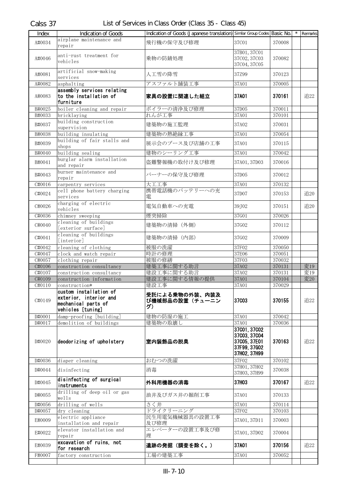| Indication of Goods (Japanese translation) Similar Group Codes Basic No.<br>airplane maintenance and<br>A#0034<br>飛行機の保守及び修理<br>37C01<br>370008<br>repair<br>37B01, 37C01<br>anti-rust treatment for<br>37C02, 37C03<br>A#0046<br>乗物の防錆処理<br>370082<br>vehicles<br>37C04, 37C05<br>artificial snow-making<br>人工雪の降雪<br>A#0081<br>37Z99<br>370123<br>services<br>A#0082<br>アスファルト舗装工事<br>37A01<br>370005<br>asphalting<br>assembly services relating<br>to the installation of<br>370161<br>A#0083<br>家具の設置に関連した組立<br>37A01<br>追22<br>furniture<br>B#0025<br>ボイラーの清浄及び修理<br>37D05<br>boiler cleaning and repair<br>370011<br>B#0033<br>れんが工事<br>37A01<br>370101<br>bricklaying<br>building construction<br>B#0037<br>建築物の施工監理<br>37A02<br>370031<br>supervision<br>building insulating<br>建築物の熱絶縁工事<br>37A01<br>B#0038<br>370054<br>building of fair stalls and<br>展示会のブース及び店舗の工事<br>B#0039<br>37A01<br>370115<br>shops<br>建物のシーリング工事<br>B#0040<br>building sealing<br>37A01<br>370042<br>burglar alarm installation<br>盗難警報機の取付け及び修理<br>B#0041<br>37A01, 37D03<br>370016<br>and repair<br>burner maintenance and<br>B#0043<br>バーナーの保守及び修理<br>37D05<br>370012<br>repair<br>大工工事<br>370132<br>C#0016<br>carpentry services<br>37A01<br>携帯電話機のバッテリーへの充<br>cell phone battery charging<br>C#0024<br>37D07<br>追20<br>370153<br>services<br>雷<br>charging of electric<br>C#0026<br>電気自動車への充電<br>39J02<br>追20<br>370151<br>vehicles<br>C#0036<br>煙突掃除<br>37G01<br>chimney sweeping<br>370026<br>cleaning of buildings<br>C#0040<br>建築物の清掃 (外側)<br>37G02<br>370112<br>[exterior surface]<br>cleaning of buildings<br>建築物の清掃 (内部)<br>C#0041<br>37G02<br>370009<br>[interior]<br>cleaning of clothing<br>被服の洗濯<br>37F02<br>C#0042<br>370050<br>時計の修理<br>37E06<br>C#0047<br>clock and watch repair<br>370051<br>被服の修繕<br>37F03<br>C#0057<br>clothing repair<br>370032<br>建築工事に関する助言<br>C#0106<br>37A02<br>変19<br>370131<br>construction consultancy<br>建設工事に関する助言<br>37A02<br>変19<br>C#0107<br>construction consultancy<br>370131<br>建設工事に関する情報の提供<br>変20<br>C#0109<br>37A01<br>370104<br>construction information<br>C#0110<br>建設工事<br>37A01<br>370029<br>construction*<br>custom installation of<br>受託による乗物の外装、内装及<br>exterior, interior and<br>37003<br>370155<br>追22<br>C#0149<br>び機械部品の設置(チューニン<br>mechanical parts of<br>グ)<br>vehicles [tuning]<br>建物の防湿の施工<br>D#0001<br>damp-proofing [building]<br>37A01<br>370042<br>demolition of buildings<br>建築物の取壊し<br>37A01<br>370036<br>D#0017<br>37001, 37002<br>37003, 37004<br>deodorizing of upholstery<br>37C05, 37E01<br>370163<br>室内装飾品の脱臭<br>追22<br>D#0020<br>37F99, 37G02<br>37H02, 37H99<br>おむつの洗濯<br>37F02<br>D#0036<br>diaper cleaning<br>370102<br>37H01, 37H02<br>消毒<br>D#0044<br>disinfecting<br>370038<br>37H03, 37H99<br>disinfecting of surgical<br>37H03<br>D#0045<br>外科用機器の消毒<br>370167<br>追22<br>instruments<br>drilling of deep oil or gas<br>D#0055<br>油井及びガス井の掘削工事<br>37A01<br>370133<br>wells<br>drilling of wells<br>さく井<br>D#0056<br>37A01<br>370114<br>ドライクリーニング<br>37F02<br>370103<br>D#0057<br>dry cleaning<br>民生用電気機械器具の設置工事<br>electric appliance<br>E#0009<br>37A01, 37D11<br>370003<br>installation and repair<br>及び修理<br>エレベーターの設置工事及び修<br>elevator installation and<br>E#0022<br>37A01, 37D02<br>370004<br>理<br>repair<br>excavation of ruins, not<br>遺跡の発掘(調査を除く。)<br>37A01<br>370156<br>E#0039<br>追22<br>for research<br>工場の建築工事<br>37A01<br>370052<br>F#0007<br>factory construction | Index | Indication of Goods |  |  | * Remarks |
|------------------------------------------------------------------------------------------------------------------------------------------------------------------------------------------------------------------------------------------------------------------------------------------------------------------------------------------------------------------------------------------------------------------------------------------------------------------------------------------------------------------------------------------------------------------------------------------------------------------------------------------------------------------------------------------------------------------------------------------------------------------------------------------------------------------------------------------------------------------------------------------------------------------------------------------------------------------------------------------------------------------------------------------------------------------------------------------------------------------------------------------------------------------------------------------------------------------------------------------------------------------------------------------------------------------------------------------------------------------------------------------------------------------------------------------------------------------------------------------------------------------------------------------------------------------------------------------------------------------------------------------------------------------------------------------------------------------------------------------------------------------------------------------------------------------------------------------------------------------------------------------------------------------------------------------------------------------------------------------------------------------------------------------------------------------------------------------------------------------------------------------------------------------------------------------------------------------------------------------------------------------------------------------------------------------------------------------------------------------------------------------------------------------------------------------------------------------------------------------------------------------------------------------------------------------------------------------------------------------------------------------------------------------------------------------------------------------------------------------------------------------------------------------------------------------------------------------------------------------------------------------------------------------------------------------------------------------------------------------------------------------------------------------------------------------------------------------------------------------------------------------------------------------------------------------------------------------------------------------------------------------------------------------------------------------------------------------------------------------------------------------------------------------------------------------------------------------|-------|---------------------|--|--|-----------|
|                                                                                                                                                                                                                                                                                                                                                                                                                                                                                                                                                                                                                                                                                                                                                                                                                                                                                                                                                                                                                                                                                                                                                                                                                                                                                                                                                                                                                                                                                                                                                                                                                                                                                                                                                                                                                                                                                                                                                                                                                                                                                                                                                                                                                                                                                                                                                                                                                                                                                                                                                                                                                                                                                                                                                                                                                                                                                                                                                                                                                                                                                                                                                                                                                                                                                                                                                                                                                                                                  |       |                     |  |  |           |
|                                                                                                                                                                                                                                                                                                                                                                                                                                                                                                                                                                                                                                                                                                                                                                                                                                                                                                                                                                                                                                                                                                                                                                                                                                                                                                                                                                                                                                                                                                                                                                                                                                                                                                                                                                                                                                                                                                                                                                                                                                                                                                                                                                                                                                                                                                                                                                                                                                                                                                                                                                                                                                                                                                                                                                                                                                                                                                                                                                                                                                                                                                                                                                                                                                                                                                                                                                                                                                                                  |       |                     |  |  |           |
|                                                                                                                                                                                                                                                                                                                                                                                                                                                                                                                                                                                                                                                                                                                                                                                                                                                                                                                                                                                                                                                                                                                                                                                                                                                                                                                                                                                                                                                                                                                                                                                                                                                                                                                                                                                                                                                                                                                                                                                                                                                                                                                                                                                                                                                                                                                                                                                                                                                                                                                                                                                                                                                                                                                                                                                                                                                                                                                                                                                                                                                                                                                                                                                                                                                                                                                                                                                                                                                                  |       |                     |  |  |           |
|                                                                                                                                                                                                                                                                                                                                                                                                                                                                                                                                                                                                                                                                                                                                                                                                                                                                                                                                                                                                                                                                                                                                                                                                                                                                                                                                                                                                                                                                                                                                                                                                                                                                                                                                                                                                                                                                                                                                                                                                                                                                                                                                                                                                                                                                                                                                                                                                                                                                                                                                                                                                                                                                                                                                                                                                                                                                                                                                                                                                                                                                                                                                                                                                                                                                                                                                                                                                                                                                  |       |                     |  |  |           |
|                                                                                                                                                                                                                                                                                                                                                                                                                                                                                                                                                                                                                                                                                                                                                                                                                                                                                                                                                                                                                                                                                                                                                                                                                                                                                                                                                                                                                                                                                                                                                                                                                                                                                                                                                                                                                                                                                                                                                                                                                                                                                                                                                                                                                                                                                                                                                                                                                                                                                                                                                                                                                                                                                                                                                                                                                                                                                                                                                                                                                                                                                                                                                                                                                                                                                                                                                                                                                                                                  |       |                     |  |  |           |
|                                                                                                                                                                                                                                                                                                                                                                                                                                                                                                                                                                                                                                                                                                                                                                                                                                                                                                                                                                                                                                                                                                                                                                                                                                                                                                                                                                                                                                                                                                                                                                                                                                                                                                                                                                                                                                                                                                                                                                                                                                                                                                                                                                                                                                                                                                                                                                                                                                                                                                                                                                                                                                                                                                                                                                                                                                                                                                                                                                                                                                                                                                                                                                                                                                                                                                                                                                                                                                                                  |       |                     |  |  |           |
|                                                                                                                                                                                                                                                                                                                                                                                                                                                                                                                                                                                                                                                                                                                                                                                                                                                                                                                                                                                                                                                                                                                                                                                                                                                                                                                                                                                                                                                                                                                                                                                                                                                                                                                                                                                                                                                                                                                                                                                                                                                                                                                                                                                                                                                                                                                                                                                                                                                                                                                                                                                                                                                                                                                                                                                                                                                                                                                                                                                                                                                                                                                                                                                                                                                                                                                                                                                                                                                                  |       |                     |  |  |           |
|                                                                                                                                                                                                                                                                                                                                                                                                                                                                                                                                                                                                                                                                                                                                                                                                                                                                                                                                                                                                                                                                                                                                                                                                                                                                                                                                                                                                                                                                                                                                                                                                                                                                                                                                                                                                                                                                                                                                                                                                                                                                                                                                                                                                                                                                                                                                                                                                                                                                                                                                                                                                                                                                                                                                                                                                                                                                                                                                                                                                                                                                                                                                                                                                                                                                                                                                                                                                                                                                  |       |                     |  |  |           |
|                                                                                                                                                                                                                                                                                                                                                                                                                                                                                                                                                                                                                                                                                                                                                                                                                                                                                                                                                                                                                                                                                                                                                                                                                                                                                                                                                                                                                                                                                                                                                                                                                                                                                                                                                                                                                                                                                                                                                                                                                                                                                                                                                                                                                                                                                                                                                                                                                                                                                                                                                                                                                                                                                                                                                                                                                                                                                                                                                                                                                                                                                                                                                                                                                                                                                                                                                                                                                                                                  |       |                     |  |  |           |
|                                                                                                                                                                                                                                                                                                                                                                                                                                                                                                                                                                                                                                                                                                                                                                                                                                                                                                                                                                                                                                                                                                                                                                                                                                                                                                                                                                                                                                                                                                                                                                                                                                                                                                                                                                                                                                                                                                                                                                                                                                                                                                                                                                                                                                                                                                                                                                                                                                                                                                                                                                                                                                                                                                                                                                                                                                                                                                                                                                                                                                                                                                                                                                                                                                                                                                                                                                                                                                                                  |       |                     |  |  |           |
|                                                                                                                                                                                                                                                                                                                                                                                                                                                                                                                                                                                                                                                                                                                                                                                                                                                                                                                                                                                                                                                                                                                                                                                                                                                                                                                                                                                                                                                                                                                                                                                                                                                                                                                                                                                                                                                                                                                                                                                                                                                                                                                                                                                                                                                                                                                                                                                                                                                                                                                                                                                                                                                                                                                                                                                                                                                                                                                                                                                                                                                                                                                                                                                                                                                                                                                                                                                                                                                                  |       |                     |  |  |           |
|                                                                                                                                                                                                                                                                                                                                                                                                                                                                                                                                                                                                                                                                                                                                                                                                                                                                                                                                                                                                                                                                                                                                                                                                                                                                                                                                                                                                                                                                                                                                                                                                                                                                                                                                                                                                                                                                                                                                                                                                                                                                                                                                                                                                                                                                                                                                                                                                                                                                                                                                                                                                                                                                                                                                                                                                                                                                                                                                                                                                                                                                                                                                                                                                                                                                                                                                                                                                                                                                  |       |                     |  |  |           |
|                                                                                                                                                                                                                                                                                                                                                                                                                                                                                                                                                                                                                                                                                                                                                                                                                                                                                                                                                                                                                                                                                                                                                                                                                                                                                                                                                                                                                                                                                                                                                                                                                                                                                                                                                                                                                                                                                                                                                                                                                                                                                                                                                                                                                                                                                                                                                                                                                                                                                                                                                                                                                                                                                                                                                                                                                                                                                                                                                                                                                                                                                                                                                                                                                                                                                                                                                                                                                                                                  |       |                     |  |  |           |
|                                                                                                                                                                                                                                                                                                                                                                                                                                                                                                                                                                                                                                                                                                                                                                                                                                                                                                                                                                                                                                                                                                                                                                                                                                                                                                                                                                                                                                                                                                                                                                                                                                                                                                                                                                                                                                                                                                                                                                                                                                                                                                                                                                                                                                                                                                                                                                                                                                                                                                                                                                                                                                                                                                                                                                                                                                                                                                                                                                                                                                                                                                                                                                                                                                                                                                                                                                                                                                                                  |       |                     |  |  |           |
|                                                                                                                                                                                                                                                                                                                                                                                                                                                                                                                                                                                                                                                                                                                                                                                                                                                                                                                                                                                                                                                                                                                                                                                                                                                                                                                                                                                                                                                                                                                                                                                                                                                                                                                                                                                                                                                                                                                                                                                                                                                                                                                                                                                                                                                                                                                                                                                                                                                                                                                                                                                                                                                                                                                                                                                                                                                                                                                                                                                                                                                                                                                                                                                                                                                                                                                                                                                                                                                                  |       |                     |  |  |           |
|                                                                                                                                                                                                                                                                                                                                                                                                                                                                                                                                                                                                                                                                                                                                                                                                                                                                                                                                                                                                                                                                                                                                                                                                                                                                                                                                                                                                                                                                                                                                                                                                                                                                                                                                                                                                                                                                                                                                                                                                                                                                                                                                                                                                                                                                                                                                                                                                                                                                                                                                                                                                                                                                                                                                                                                                                                                                                                                                                                                                                                                                                                                                                                                                                                                                                                                                                                                                                                                                  |       |                     |  |  |           |
|                                                                                                                                                                                                                                                                                                                                                                                                                                                                                                                                                                                                                                                                                                                                                                                                                                                                                                                                                                                                                                                                                                                                                                                                                                                                                                                                                                                                                                                                                                                                                                                                                                                                                                                                                                                                                                                                                                                                                                                                                                                                                                                                                                                                                                                                                                                                                                                                                                                                                                                                                                                                                                                                                                                                                                                                                                                                                                                                                                                                                                                                                                                                                                                                                                                                                                                                                                                                                                                                  |       |                     |  |  |           |
|                                                                                                                                                                                                                                                                                                                                                                                                                                                                                                                                                                                                                                                                                                                                                                                                                                                                                                                                                                                                                                                                                                                                                                                                                                                                                                                                                                                                                                                                                                                                                                                                                                                                                                                                                                                                                                                                                                                                                                                                                                                                                                                                                                                                                                                                                                                                                                                                                                                                                                                                                                                                                                                                                                                                                                                                                                                                                                                                                                                                                                                                                                                                                                                                                                                                                                                                                                                                                                                                  |       |                     |  |  |           |
|                                                                                                                                                                                                                                                                                                                                                                                                                                                                                                                                                                                                                                                                                                                                                                                                                                                                                                                                                                                                                                                                                                                                                                                                                                                                                                                                                                                                                                                                                                                                                                                                                                                                                                                                                                                                                                                                                                                                                                                                                                                                                                                                                                                                                                                                                                                                                                                                                                                                                                                                                                                                                                                                                                                                                                                                                                                                                                                                                                                                                                                                                                                                                                                                                                                                                                                                                                                                                                                                  |       |                     |  |  |           |
|                                                                                                                                                                                                                                                                                                                                                                                                                                                                                                                                                                                                                                                                                                                                                                                                                                                                                                                                                                                                                                                                                                                                                                                                                                                                                                                                                                                                                                                                                                                                                                                                                                                                                                                                                                                                                                                                                                                                                                                                                                                                                                                                                                                                                                                                                                                                                                                                                                                                                                                                                                                                                                                                                                                                                                                                                                                                                                                                                                                                                                                                                                                                                                                                                                                                                                                                                                                                                                                                  |       |                     |  |  |           |
|                                                                                                                                                                                                                                                                                                                                                                                                                                                                                                                                                                                                                                                                                                                                                                                                                                                                                                                                                                                                                                                                                                                                                                                                                                                                                                                                                                                                                                                                                                                                                                                                                                                                                                                                                                                                                                                                                                                                                                                                                                                                                                                                                                                                                                                                                                                                                                                                                                                                                                                                                                                                                                                                                                                                                                                                                                                                                                                                                                                                                                                                                                                                                                                                                                                                                                                                                                                                                                                                  |       |                     |  |  |           |
|                                                                                                                                                                                                                                                                                                                                                                                                                                                                                                                                                                                                                                                                                                                                                                                                                                                                                                                                                                                                                                                                                                                                                                                                                                                                                                                                                                                                                                                                                                                                                                                                                                                                                                                                                                                                                                                                                                                                                                                                                                                                                                                                                                                                                                                                                                                                                                                                                                                                                                                                                                                                                                                                                                                                                                                                                                                                                                                                                                                                                                                                                                                                                                                                                                                                                                                                                                                                                                                                  |       |                     |  |  |           |
|                                                                                                                                                                                                                                                                                                                                                                                                                                                                                                                                                                                                                                                                                                                                                                                                                                                                                                                                                                                                                                                                                                                                                                                                                                                                                                                                                                                                                                                                                                                                                                                                                                                                                                                                                                                                                                                                                                                                                                                                                                                                                                                                                                                                                                                                                                                                                                                                                                                                                                                                                                                                                                                                                                                                                                                                                                                                                                                                                                                                                                                                                                                                                                                                                                                                                                                                                                                                                                                                  |       |                     |  |  |           |
|                                                                                                                                                                                                                                                                                                                                                                                                                                                                                                                                                                                                                                                                                                                                                                                                                                                                                                                                                                                                                                                                                                                                                                                                                                                                                                                                                                                                                                                                                                                                                                                                                                                                                                                                                                                                                                                                                                                                                                                                                                                                                                                                                                                                                                                                                                                                                                                                                                                                                                                                                                                                                                                                                                                                                                                                                                                                                                                                                                                                                                                                                                                                                                                                                                                                                                                                                                                                                                                                  |       |                     |  |  |           |
|                                                                                                                                                                                                                                                                                                                                                                                                                                                                                                                                                                                                                                                                                                                                                                                                                                                                                                                                                                                                                                                                                                                                                                                                                                                                                                                                                                                                                                                                                                                                                                                                                                                                                                                                                                                                                                                                                                                                                                                                                                                                                                                                                                                                                                                                                                                                                                                                                                                                                                                                                                                                                                                                                                                                                                                                                                                                                                                                                                                                                                                                                                                                                                                                                                                                                                                                                                                                                                                                  |       |                     |  |  |           |
|                                                                                                                                                                                                                                                                                                                                                                                                                                                                                                                                                                                                                                                                                                                                                                                                                                                                                                                                                                                                                                                                                                                                                                                                                                                                                                                                                                                                                                                                                                                                                                                                                                                                                                                                                                                                                                                                                                                                                                                                                                                                                                                                                                                                                                                                                                                                                                                                                                                                                                                                                                                                                                                                                                                                                                                                                                                                                                                                                                                                                                                                                                                                                                                                                                                                                                                                                                                                                                                                  |       |                     |  |  |           |
|                                                                                                                                                                                                                                                                                                                                                                                                                                                                                                                                                                                                                                                                                                                                                                                                                                                                                                                                                                                                                                                                                                                                                                                                                                                                                                                                                                                                                                                                                                                                                                                                                                                                                                                                                                                                                                                                                                                                                                                                                                                                                                                                                                                                                                                                                                                                                                                                                                                                                                                                                                                                                                                                                                                                                                                                                                                                                                                                                                                                                                                                                                                                                                                                                                                                                                                                                                                                                                                                  |       |                     |  |  |           |
|                                                                                                                                                                                                                                                                                                                                                                                                                                                                                                                                                                                                                                                                                                                                                                                                                                                                                                                                                                                                                                                                                                                                                                                                                                                                                                                                                                                                                                                                                                                                                                                                                                                                                                                                                                                                                                                                                                                                                                                                                                                                                                                                                                                                                                                                                                                                                                                                                                                                                                                                                                                                                                                                                                                                                                                                                                                                                                                                                                                                                                                                                                                                                                                                                                                                                                                                                                                                                                                                  |       |                     |  |  |           |
|                                                                                                                                                                                                                                                                                                                                                                                                                                                                                                                                                                                                                                                                                                                                                                                                                                                                                                                                                                                                                                                                                                                                                                                                                                                                                                                                                                                                                                                                                                                                                                                                                                                                                                                                                                                                                                                                                                                                                                                                                                                                                                                                                                                                                                                                                                                                                                                                                                                                                                                                                                                                                                                                                                                                                                                                                                                                                                                                                                                                                                                                                                                                                                                                                                                                                                                                                                                                                                                                  |       |                     |  |  |           |
|                                                                                                                                                                                                                                                                                                                                                                                                                                                                                                                                                                                                                                                                                                                                                                                                                                                                                                                                                                                                                                                                                                                                                                                                                                                                                                                                                                                                                                                                                                                                                                                                                                                                                                                                                                                                                                                                                                                                                                                                                                                                                                                                                                                                                                                                                                                                                                                                                                                                                                                                                                                                                                                                                                                                                                                                                                                                                                                                                                                                                                                                                                                                                                                                                                                                                                                                                                                                                                                                  |       |                     |  |  |           |
|                                                                                                                                                                                                                                                                                                                                                                                                                                                                                                                                                                                                                                                                                                                                                                                                                                                                                                                                                                                                                                                                                                                                                                                                                                                                                                                                                                                                                                                                                                                                                                                                                                                                                                                                                                                                                                                                                                                                                                                                                                                                                                                                                                                                                                                                                                                                                                                                                                                                                                                                                                                                                                                                                                                                                                                                                                                                                                                                                                                                                                                                                                                                                                                                                                                                                                                                                                                                                                                                  |       |                     |  |  |           |
|                                                                                                                                                                                                                                                                                                                                                                                                                                                                                                                                                                                                                                                                                                                                                                                                                                                                                                                                                                                                                                                                                                                                                                                                                                                                                                                                                                                                                                                                                                                                                                                                                                                                                                                                                                                                                                                                                                                                                                                                                                                                                                                                                                                                                                                                                                                                                                                                                                                                                                                                                                                                                                                                                                                                                                                                                                                                                                                                                                                                                                                                                                                                                                                                                                                                                                                                                                                                                                                                  |       |                     |  |  |           |
|                                                                                                                                                                                                                                                                                                                                                                                                                                                                                                                                                                                                                                                                                                                                                                                                                                                                                                                                                                                                                                                                                                                                                                                                                                                                                                                                                                                                                                                                                                                                                                                                                                                                                                                                                                                                                                                                                                                                                                                                                                                                                                                                                                                                                                                                                                                                                                                                                                                                                                                                                                                                                                                                                                                                                                                                                                                                                                                                                                                                                                                                                                                                                                                                                                                                                                                                                                                                                                                                  |       |                     |  |  |           |
|                                                                                                                                                                                                                                                                                                                                                                                                                                                                                                                                                                                                                                                                                                                                                                                                                                                                                                                                                                                                                                                                                                                                                                                                                                                                                                                                                                                                                                                                                                                                                                                                                                                                                                                                                                                                                                                                                                                                                                                                                                                                                                                                                                                                                                                                                                                                                                                                                                                                                                                                                                                                                                                                                                                                                                                                                                                                                                                                                                                                                                                                                                                                                                                                                                                                                                                                                                                                                                                                  |       |                     |  |  |           |
|                                                                                                                                                                                                                                                                                                                                                                                                                                                                                                                                                                                                                                                                                                                                                                                                                                                                                                                                                                                                                                                                                                                                                                                                                                                                                                                                                                                                                                                                                                                                                                                                                                                                                                                                                                                                                                                                                                                                                                                                                                                                                                                                                                                                                                                                                                                                                                                                                                                                                                                                                                                                                                                                                                                                                                                                                                                                                                                                                                                                                                                                                                                                                                                                                                                                                                                                                                                                                                                                  |       |                     |  |  |           |
|                                                                                                                                                                                                                                                                                                                                                                                                                                                                                                                                                                                                                                                                                                                                                                                                                                                                                                                                                                                                                                                                                                                                                                                                                                                                                                                                                                                                                                                                                                                                                                                                                                                                                                                                                                                                                                                                                                                                                                                                                                                                                                                                                                                                                                                                                                                                                                                                                                                                                                                                                                                                                                                                                                                                                                                                                                                                                                                                                                                                                                                                                                                                                                                                                                                                                                                                                                                                                                                                  |       |                     |  |  |           |
|                                                                                                                                                                                                                                                                                                                                                                                                                                                                                                                                                                                                                                                                                                                                                                                                                                                                                                                                                                                                                                                                                                                                                                                                                                                                                                                                                                                                                                                                                                                                                                                                                                                                                                                                                                                                                                                                                                                                                                                                                                                                                                                                                                                                                                                                                                                                                                                                                                                                                                                                                                                                                                                                                                                                                                                                                                                                                                                                                                                                                                                                                                                                                                                                                                                                                                                                                                                                                                                                  |       |                     |  |  |           |
|                                                                                                                                                                                                                                                                                                                                                                                                                                                                                                                                                                                                                                                                                                                                                                                                                                                                                                                                                                                                                                                                                                                                                                                                                                                                                                                                                                                                                                                                                                                                                                                                                                                                                                                                                                                                                                                                                                                                                                                                                                                                                                                                                                                                                                                                                                                                                                                                                                                                                                                                                                                                                                                                                                                                                                                                                                                                                                                                                                                                                                                                                                                                                                                                                                                                                                                                                                                                                                                                  |       |                     |  |  |           |
|                                                                                                                                                                                                                                                                                                                                                                                                                                                                                                                                                                                                                                                                                                                                                                                                                                                                                                                                                                                                                                                                                                                                                                                                                                                                                                                                                                                                                                                                                                                                                                                                                                                                                                                                                                                                                                                                                                                                                                                                                                                                                                                                                                                                                                                                                                                                                                                                                                                                                                                                                                                                                                                                                                                                                                                                                                                                                                                                                                                                                                                                                                                                                                                                                                                                                                                                                                                                                                                                  |       |                     |  |  |           |
|                                                                                                                                                                                                                                                                                                                                                                                                                                                                                                                                                                                                                                                                                                                                                                                                                                                                                                                                                                                                                                                                                                                                                                                                                                                                                                                                                                                                                                                                                                                                                                                                                                                                                                                                                                                                                                                                                                                                                                                                                                                                                                                                                                                                                                                                                                                                                                                                                                                                                                                                                                                                                                                                                                                                                                                                                                                                                                                                                                                                                                                                                                                                                                                                                                                                                                                                                                                                                                                                  |       |                     |  |  |           |
|                                                                                                                                                                                                                                                                                                                                                                                                                                                                                                                                                                                                                                                                                                                                                                                                                                                                                                                                                                                                                                                                                                                                                                                                                                                                                                                                                                                                                                                                                                                                                                                                                                                                                                                                                                                                                                                                                                                                                                                                                                                                                                                                                                                                                                                                                                                                                                                                                                                                                                                                                                                                                                                                                                                                                                                                                                                                                                                                                                                                                                                                                                                                                                                                                                                                                                                                                                                                                                                                  |       |                     |  |  |           |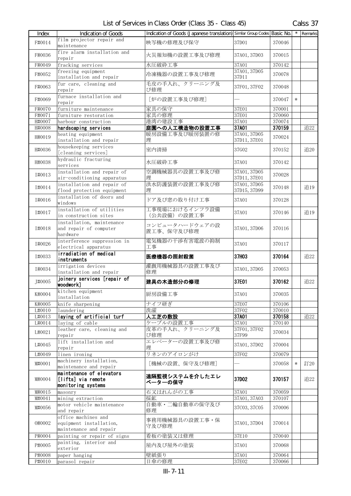| Index  | <b>Indication of Goods</b>                                               | Indication of Goods (Japanese translation) Similar Group Codes Basic No. |                              |        |        | $\overline{\phantom{a}}$ Remarks |
|--------|--------------------------------------------------------------------------|--------------------------------------------------------------------------|------------------------------|--------|--------|----------------------------------|
| F#0014 | film projector repair and<br>maintenance                                 | 映写機の修理及び保守                                                               | 37D01                        | 370046 |        |                                  |
| F#0036 | fire alarm installation and<br>repair                                    | 火災報知機の設置工事及び修理                                                           | 37A01, 37D03                 | 370015 |        |                                  |
| F#0049 | fracking services                                                        | 水圧破砕工事                                                                   | 37A01                        | 370142 |        |                                  |
| F#0052 | freezing equipment<br>installation and repair                            | 冷凍機器の設置工事及び修理                                                            | 37A01, 37D05<br>37D11        | 370078 |        |                                  |
| F#0063 | fur care, cleaning and<br>repair                                         | 毛皮の手入れ、クリーニング及<br>び修理                                                    | 37F01, 37F02                 | 370048 |        |                                  |
| F#0069 | furnace installation and<br>repair                                       | [炉の設置工事及び修理]                                                             |                              | 370047 | $\ast$ |                                  |
| F#0070 | furniture maintenance                                                    | 家具の保守                                                                    | 37E01                        | 370001 |        |                                  |
| F#0071 | furniture restoration                                                    | 家具の修理                                                                    | 37E01                        | 370060 |        |                                  |
| H#0007 | harbour construction                                                     | 港湾の建設工事                                                                  | 37A01                        | 370074 |        |                                  |
| H#0008 | hardscaping services                                                     | 庭園への人工構造物の設置工事                                                           | 37A01                        | 370159 |        | 追22                              |
| H#0019 | heating equipment<br>installation and repair                             | 暖房設備工事及び暖房装置の修<br>理                                                      | 37A01, 37D05<br>37D11, 37E01 | 370024 |        |                                  |
| H#0036 | housekeeping services<br>[cleaning services]                             | 室内清掃                                                                     | 37G02                        | 370152 |        | 追20                              |
| H#0038 | hydraulic fracturing<br>services                                         | 水圧破砕工事                                                                   | 37A01                        | 370142 |        |                                  |
| T#0013 | installation and repair of<br>air-conditioning apparatus                 | 空調機械器具の設置工事及び修<br>理                                                      | 37A01, 37D05<br>37D11, 37E01 | 370028 |        |                                  |
| I#0014 | installation and repair of<br>flood protection equipment                 | 洪水防護装置の設置工事及び修<br>理                                                      | 37A01, 37D05<br>37D15, 37D99 | 370148 |        | 追19                              |
| I#0016 | installation of doors and<br>windows                                     | ドア及び窓の取り付け工事                                                             | 37A01                        | 370128 |        |                                  |
| I#0017 | installation of utilities<br>in construction sites                       | 工事現場におけるインフラ設備<br>(公共設備) の設置工事                                           | 37A01                        | 370146 |        | 追19                              |
| I#0018 | installation, maintenance<br>and repair of computer<br>hardware          | コンピュータハードウェアの設<br>置工事、保守及び修理                                             | 37A01, 37D06                 | 370116 |        |                                  |
| I#0026 | interference suppression in<br>electrical apparatus                      | 電気機器の干渉有害電波の抑制<br>工事                                                     | 37A01                        | 370117 |        |                                  |
| I#0033 | irradiation of medical<br>instruments                                    | 医療機器の照射殺菌                                                                | 37H03                        | 370164 |        | 追22                              |
| I#0034 | irrigation devices<br>installation and repair                            | 灌漑用機械器具の設置工事及び<br>修理                                                     | 37A01, 37D05                 | 370053 |        |                                  |
| J#0005 | joinery services [repair of<br>woodwork]                                 | 建具の木造部分の修理                                                               | 37E01                        | 370162 |        | 追22                              |
| K#0004 | kitchen equipment<br>installation                                        | 厨房設備工事                                                                   | 37A01                        | 370035 |        |                                  |
| K#0005 | knife sharpening                                                         | ナイフ研ぎ                                                                    | 37E07                        | 370106 |        |                                  |
| L#0010 | laundering                                                               | 洗濯                                                                       | 37F02                        | 370010 |        |                                  |
| L#0013 | laying of artificial turf                                                | 人工芝の敷設                                                                   | 37A01                        | 370158 |        | 追22                              |
| L#0014 | laying of cable                                                          | ケーブルの設置工事                                                                | 37A01                        | 370140 |        |                                  |
| L#0021 | leather care, cleaning and<br>repair                                     | 皮革の手入れ、クリーニング及<br>び修理                                                    | 37F01, 37F02<br>37F99        | 370034 |        |                                  |
| L#0045 | lift installation and<br>repair                                          | エレベーターの設置工事及び修<br>理                                                      | 37A01, 37D02                 | 370004 |        |                                  |
| L#0049 | linen ironing                                                            | リネンのアイロンがけ                                                               | 37F02                        | 370079 |        |                                  |
| M#0001 | machinery installation,<br>maintenance and repair                        | [機械の設置、保守及び修理]                                                           |                              | 370058 | $\ast$ | 訂20                              |
| M#0004 | maintenance of elevators<br>[lifts] via remote<br>monitoring systems     | 遠隔監視システムを介したエレ<br>ベーターの保守                                                | 37D02                        | 370157 |        | 追22                              |
| M#0015 | masonry                                                                  | 石又はれんがの工事                                                                | 37A01                        | 370059 |        |                                  |
| M#0041 | mining extraction                                                        | 採鉱                                                                       | 37A01, 37A03                 | 370107 |        |                                  |
| M#0056 | motor vehicle maintenance<br>and repair                                  | 自動車・二輪自動車の保守及び<br>修理                                                     | 37C03, 37C05                 | 370006 |        |                                  |
| 0#0002 | office machines and<br>equipment installation,<br>maintenance and repair | 事務用機械器具の設置工事・保<br>守及び修理                                                  | 37A01, 37D04                 | 370014 |        |                                  |
| P#0004 | painting or repair of signs                                              | 看板の塗装又は修理                                                                | 37E10                        | 370040 |        |                                  |
| P#0005 | painting, interior and<br>exterior                                       | 屋内及び屋外の塗装                                                                | 37A01                        | 370068 |        |                                  |
| P#0008 | paper hanging                                                            | 壁紙張り                                                                     | 37A01                        | 370064 |        |                                  |
| P#0010 | parasol repair                                                           | 日傘の修理                                                                    | 37E02                        | 370066 |        |                                  |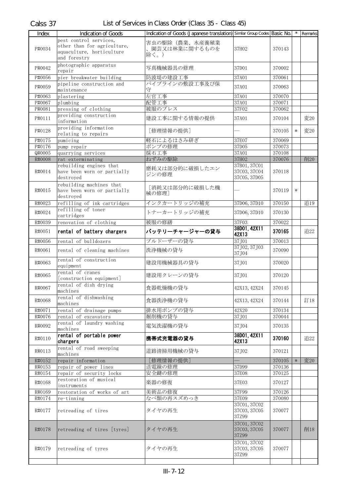| Index              | Indication of Goods                      | Indication of Goods (Japanese translation) Similar Group Codes Basic No. |                                       |                  |        | Remarks |
|--------------------|------------------------------------------|--------------------------------------------------------------------------|---------------------------------------|------------------|--------|---------|
|                    | pest control services.                   |                                                                          |                                       |                  |        |         |
|                    | other than for agriculture,              | 害虫の駆除(農業、水産養殖業                                                           |                                       |                  |        |         |
| P#0034             | aquaculture, horticulture                | 園芸又は林業に関するものを                                                            | 37H02                                 | 370143           |        |         |
|                    | and forestry                             | 除く。)                                                                     |                                       |                  |        |         |
| P#0042             | photographic apparatus                   | 写真機械器具の修理                                                                | 37D01                                 | 370002           |        |         |
|                    | repair                                   |                                                                          |                                       |                  |        |         |
| P#0056             | pier breakwater building                 | 防波堤の建設工事                                                                 | 37A01                                 | 370061           |        |         |
| P#0059             | pipeline construction and                | パイプラインの敷設工事及び保<br>守                                                      | 37A01                                 | 370063           |        |         |
|                    | maintenance                              | 左官工事                                                                     |                                       |                  |        |         |
| P#0063<br>P#0067   | plastering<br>plumbing                   | 配管工事                                                                     | 37A01<br>37A01                        | 370070<br>370071 |        |         |
| P#0081             | pressing of clothing                     | 被服のプレス                                                                   | 37F02                                 | 370062           |        |         |
|                    | providing construction                   |                                                                          |                                       |                  |        |         |
| P#0111             | information                              | 建設工事に関する情報の提供                                                            | 37A01                                 | 370104           |        | 変20     |
|                    | providing information                    |                                                                          |                                       |                  |        |         |
| P#0128             | relating to repairs                      | [修理情報の提供]                                                                |                                       | 370105           | $\ast$ | 変20     |
| P#0175             | pumicing                                 | 軽石によるはさみ研ぎ                                                               | 37E07                                 | 370069           |        |         |
| P#0176             | pump repair                              | ポンプの修理                                                                   | 37D05                                 | 370073           |        |         |
| $\frac{1}{940005}$ | quarrying services                       | 採石工事                                                                     | 37A01                                 | 370108           |        |         |
| R#0008             | rat exterminating                        | ねずみの駆除                                                                   | 37H02                                 | 370076           |        | 削20     |
|                    | rebuilding engines that                  | 磨耗又は部分的に破損したエン                                                           | 37B01, 37C01                          |                  |        |         |
| R#0014             | have been worn or partially<br>destroved | ジンの修理                                                                    | 37C03, 37C04<br>37C05, 37D05          | 370118           |        |         |
|                    | rebuilding machines that                 |                                                                          |                                       |                  |        |         |
| R#0015             | have been worn or partially              | 「消耗又は部分的に破損した機                                                           |                                       | 370119           | $\ast$ |         |
|                    | destroyed                                | 械の修理]                                                                    |                                       |                  |        |         |
| R#0023             | refilling of ink cartridges              | インクカートリッジの補充                                                             | 37D06, 37D10                          | 370150           |        | 追19     |
|                    | refilling of toner                       | トナーカートリッジの補充                                                             |                                       |                  |        |         |
| R#0024             | cartridges                               |                                                                          | 37D06, 37D10                          | 370130           |        |         |
| R#0039             | renovation of clothing                   | 被服の修繕                                                                    | 37F03                                 | 370022           |        |         |
| R#0051             | rental of battery chargers               | バッテリーチャージャーの貸与                                                           | 38D01, 42X11                          | 370165           |        | 追22     |
|                    |                                          |                                                                          | 42X13                                 |                  |        |         |
| R#0056             | rental of bulldozers                     | ブルドーザーの貸与                                                                | 37J01<br>37J02, 37J03                 | 370013           |        |         |
| R#0061             | rental of cleaning machines              | 洗浄機械の貸与                                                                  | 37J04                                 | 370090           |        |         |
|                    | rental of construction                   |                                                                          |                                       |                  |        |         |
| R#0063             | equipment                                | 建設用機械器具の貸与                                                               | 37J01                                 | 370020           |        |         |
| R#0065             | rental of cranes                         | 建設用クレーンの貸与                                                               | 37J01                                 | 370120           |        |         |
|                    | [construction equipment]                 |                                                                          |                                       |                  |        |         |
| R#0067             | rental of dish drying                    | 食器乾燥機の貸与                                                                 | 42X13, 42X24                          | 370145           |        |         |
|                    | machines                                 |                                                                          |                                       |                  |        |         |
| R#0068             | rental of dishwashing<br>machines        | 食器洗浄機の貸与                                                                 | 42X13, 42X24                          | 370144           |        | 訂18     |
| R#0071             | rental of drainage pumps                 | 排水用ポンプの貸与                                                                | 42X20                                 | 370134           |        |         |
| R#0076             | rental of excavators                     | 掘削機の貸与                                                                   | 37J01                                 | 370044           |        |         |
|                    | rental of laundry washing                | 電気洗濯機の貸与                                                                 |                                       |                  |        |         |
| R#0092             | machines                                 |                                                                          | 37J04                                 | 370135           |        |         |
| R#0110             | rental of portable power                 | 携帯式充電器の貸与                                                                | 38D01, 42X11                          | 370160           |        | 追22     |
|                    | chargers                                 |                                                                          | 42X13                                 |                  |        |         |
| R#0113             | rental of road sweeping<br>machines      | 道路清掃用機械の貸与                                                               | 37J02                                 | 370121           |        |         |
| R#0152             | repair information                       | [修理情報の提供]                                                                |                                       | 370105           | $\ast$ | 変20     |
| R#0153             | repair of power lines                    | 送電線の修理                                                                   | 37D99                                 | 370136           |        |         |
| R#0154             | repair of security locks                 | 安全鍵の修理                                                                   | 37E08                                 | 370125           |        |         |
|                    | restoration of musical                   | 楽器の修復                                                                    |                                       |                  |        |         |
| R#0168             | instruments                              |                                                                          | 37E03                                 | 370127           |        |         |
| R#0169             | restoration of works of art              | 美術品の修復                                                                   | 37F99                                 | 370126           |        |         |
| R#0174             | re-tinning                               | なべ類の再スズめっき                                                               | 37E09                                 | 370080           |        |         |
| R#0177             | retreading of tires                      | タイヤの再生                                                                   | 37C01, 37C02<br>37C03, 37C05<br>37Z99 | 370077           |        |         |
|                    |                                          |                                                                          | 37C01, 37C02                          |                  |        |         |
| R#0178             | retreading of tires [tyres]              | タイヤの再生                                                                   | 37C03, 37C05                          | 370077           |        | 削18     |
|                    |                                          |                                                                          | 37Z99                                 |                  |        |         |
|                    |                                          |                                                                          | 37C01, 37C02                          |                  |        |         |
| R#0179             | retreading of tyres                      | タイヤの再生                                                                   | 37C03, 37C05<br>37Z99                 | 370077           |        |         |
|                    |                                          |                                                                          |                                       |                  |        |         |
|                    |                                          |                                                                          |                                       |                  |        |         |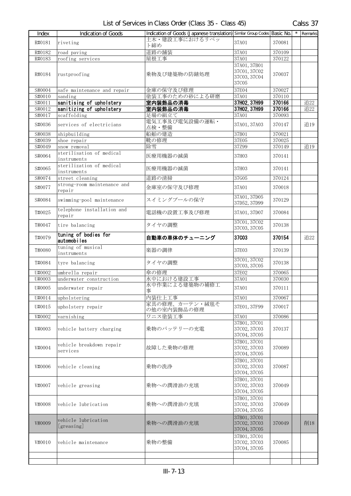| Index  | Indication of Goods                     | Indication of Goods (Japanese translation) Similar Group Codes Basic No. |                                                       |        | $\star$ Remarks |
|--------|-----------------------------------------|--------------------------------------------------------------------------|-------------------------------------------------------|--------|-----------------|
| R#0181 | riveting                                | 土木・建設工事におけるリベッ<br>ト締め                                                    | 37A01                                                 | 370081 |                 |
| R#0182 | road paving                             | 道路の舗装                                                                    | 37A01                                                 | 370109 |                 |
| R#0183 | roofing services                        | 屋根工事                                                                     | 37A01                                                 | 370122 |                 |
| R#0184 | rustproofing                            | 乗物及び建築物の防錆処理                                                             | 37A01, 37B01<br>37C01, 37C02<br>37C03, 37C04<br>37C05 | 370037 |                 |
| S#0004 | safe maintenance and repair             | 金庫の保守及び修理                                                                | 37E04                                                 | 370027 |                 |
| S#0010 | sanding                                 | 塗装工事のための砂による研磨                                                           | 37A01                                                 | 370110 |                 |
| S#0011 | sanitising of upholstery                | 室内装飾品の消毒                                                                 | 37H02, 37H99                                          | 370166 | 追22             |
| S#0012 | sanitizing of upholstery                | 室内装飾品の消毒                                                                 | 37H02, 37H99                                          | 370166 | 追22             |
| S#0017 | scaffolding                             | 足場の組立て                                                                   | 37A01                                                 | 370093 |                 |
| S#0036 | services of electricians                | 電気工事及び電気設備の運転・<br>点検・整備                                                  | 37A01, 37A03                                          | 370147 | 追19             |
| S#0038 | shipbuilding                            | 船舶の建造                                                                    | 37B01                                                 | 370021 |                 |
| S#0039 | shoe repair                             | 靴の修理                                                                     | 37E05                                                 | 370025 |                 |
| S#0049 | snow removal                            | 除雪                                                                       | 37Z99                                                 | 370149 | 追19             |
| S#0064 | sterilisation of medical<br>instruments | 医療用機器の滅菌                                                                 | 37H03                                                 | 370141 |                 |
| S#0065 | sterilization of medical<br>instruments | 医療用機器の滅菌                                                                 | 37H03                                                 | 370141 |                 |
| S#0074 | street cleaning                         | 道路の清掃                                                                    | 37G05                                                 | 370124 |                 |
| S#0077 | strong-room maintenance and<br>repair   | 金庫室の保守及び修理                                                               | 37A01                                                 | 370018 |                 |
| S#0084 | swimming-pool maintenance               | スイミングプールの保守                                                              | 37A01, 37D05<br>37D52, 37D99                          | 370129 |                 |
| T#0025 | telephone installation and<br>repair    | 電話機の設置工事及び修理                                                             | 37A01, 37D07                                          | 370084 |                 |
| T#0047 | tire balancing                          | タイヤの調整                                                                   | 37C01, 37C02<br>37C03, 37C05                          | 370138 |                 |
| T#0079 | tuning of bodies for<br>automobiles     | 自動車の車体のチューニング                                                            | 37C03                                                 | 370154 | 追22             |
| T#0080 | tuning of musical<br>instruments        | 楽器の調律                                                                    | 37E03                                                 | 370139 |                 |
| T#0084 | tyre balancing                          | タイヤの調整                                                                   | 37C01, 37C02<br>37C03, 37C05                          | 370138 |                 |
| U#0002 | umbrella repair                         | 傘の修理                                                                     | 37E02                                                 | 370065 |                 |
| U#0003 | underwater construction                 | 水中における建設工事                                                               | 37A01                                                 | 370030 |                 |
| U#0005 | underwater repair                       | 水中作業による建築物の補修工<br>事                                                      | 37A01                                                 | 370111 |                 |
| U#0014 | upholstering                            | 内装仕上工事                                                                   | 37A01                                                 | 370067 |                 |
|        | upholstery repair                       | 家具の修理、カーテン・絨毯そ                                                           |                                                       | 370017 |                 |
| U#0015 |                                         | の他の室内装飾品の修理                                                              | 37E01, 37F99                                          |        |                 |
| V#0002 | varnishing                              | ワニス塗装工事                                                                  | 37A01                                                 | 370086 |                 |
| V#0003 | vehicle battery charging                | 乗物のバッテリーの充電                                                              | 37B01, 37C01<br>37C02, 37C03                          | 370137 |                 |
|        |                                         |                                                                          | 37C04, 37C05                                          |        |                 |
| V#0004 | vehicle breakdown repair<br>services    | 故障した乗物の修理                                                                | 37B01, 37C01<br>37C02, 37C03                          | 370089 |                 |
|        |                                         |                                                                          | 37C04, 37C05                                          |        |                 |
| V#0006 | vehicle cleaning                        | 乗物の洗浄                                                                    | 37B01, 37C01<br>37C02, 37C03                          | 370087 |                 |
|        |                                         |                                                                          | 37C04, 37C05                                          |        |                 |
| V#0007 | vehicle greasing                        | 乗物への潤滑油の充填                                                               | 37B01, 37C01<br>37C02, 37C03                          | 370049 |                 |
|        |                                         |                                                                          | 37C04, 37C05                                          |        |                 |
| V#0008 | vehicle lubrication                     | 乗物への潤滑油の充填                                                               | 37B01, 37C01<br>37C02, 37C03<br>37C04, 37C05          | 370049 |                 |
|        |                                         |                                                                          | 37B01, 37C01                                          |        |                 |
| V#0009 | vehicle lubrication<br>[greasing]       | 乗物への潤滑油の充填                                                               | 37C02, 37C03<br>37C04, 37C05                          | 370049 | 削18             |
| V#0010 | vehicle maintenance                     | 乗物の整備                                                                    | 37B01, 37C01<br>37C02, 37C03<br>37C04, 37C05          | 370085 |                 |
|        |                                         |                                                                          |                                                       |        |                 |
|        |                                         |                                                                          |                                                       |        |                 |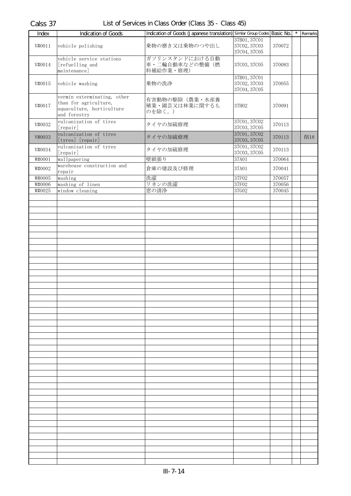| Index  | <b>Indication of Goods</b>                                                                        | Indication of Goods (Japanese translation) Similar Group Codes Basic No. |                                              |        | $\star$ | Remarks |
|--------|---------------------------------------------------------------------------------------------------|--------------------------------------------------------------------------|----------------------------------------------|--------|---------|---------|
| V#0011 | vehicle polishing                                                                                 | 乗物の磨き又は乗物のつや出し                                                           | 37B01, 37C01<br>37C02, 37C03<br>37C04, 37C05 | 370072 |         |         |
| V#0014 | vehicle service stations<br>[refuelling and<br>maintenance]                                       | ガソリンスタンドにおける自動<br>車・二輪自動車などの整備(燃<br>料補給作業·修理)                            | 37C03, 37C05                                 | 370083 |         |         |
| V#0015 | vehicle washing                                                                                   | 乗物の洗浄                                                                    | 37B01, 37C01<br>37C02, 37C03<br>37C04, 37C05 | 370055 |         |         |
| V#0017 | vermin exterminating, other<br>than for agriculture,<br>aquaculture, horticulture<br>and forestry | 有害動物の駆除(農業・水産養<br>殖業・園芸又は林業に関するも<br>のを除く。)                               | 37H02                                        | 370091 |         |         |
| V#0032 | vulcanization of tires<br>[repair]                                                                | タイヤの加硫修理                                                                 | 37C01, 37C02<br>37C03, 37C05                 | 370113 |         |         |
| V#0033 | vulcanization of tires<br>[tyres] [repair]                                                        | タイヤの加硫修理                                                                 | 37C01, 37C02<br>37C03, 37C05                 | 370113 |         | 削18     |
| V#0034 | vulcanization of tyres<br>[repair]                                                                | タイヤの加硫修理                                                                 | 37C01, 37C02<br>37C03, 37C05                 | 370113 |         |         |
| W#0001 | wallpapering                                                                                      | 壁紙張り                                                                     | 37A01                                        | 370064 |         |         |
| W#0002 | warehouse construction and<br>repair                                                              | 倉庫の建設及び修理                                                                | 37A01                                        | 370041 |         |         |
| W#0005 | washing                                                                                           | 洗濯                                                                       | 37F02                                        | 370057 |         |         |
| W#0006 | washing of linen                                                                                  | リネンの洗濯                                                                   | 37F02                                        | 370056 |         |         |
| W#0025 | window cleaning                                                                                   | 窓の清浄                                                                     | 37G02                                        | 370045 |         |         |
|        |                                                                                                   |                                                                          |                                              |        |         |         |
|        |                                                                                                   |                                                                          |                                              |        |         |         |
|        |                                                                                                   |                                                                          |                                              |        |         |         |
|        |                                                                                                   |                                                                          |                                              |        |         |         |
|        |                                                                                                   |                                                                          |                                              |        |         |         |
|        |                                                                                                   |                                                                          |                                              |        |         |         |
|        |                                                                                                   |                                                                          |                                              |        |         |         |
|        |                                                                                                   |                                                                          |                                              |        |         |         |
|        |                                                                                                   |                                                                          |                                              |        |         |         |
|        |                                                                                                   |                                                                          |                                              |        |         |         |
|        |                                                                                                   |                                                                          |                                              |        |         |         |
|        |                                                                                                   |                                                                          |                                              |        |         |         |
|        |                                                                                                   |                                                                          |                                              |        |         |         |
|        |                                                                                                   |                                                                          |                                              |        |         |         |
|        |                                                                                                   |                                                                          |                                              |        |         |         |
|        |                                                                                                   |                                                                          |                                              |        |         |         |
|        |                                                                                                   |                                                                          |                                              |        |         |         |
|        |                                                                                                   |                                                                          |                                              |        |         |         |
|        |                                                                                                   |                                                                          |                                              |        |         |         |
|        |                                                                                                   |                                                                          |                                              |        |         |         |
|        |                                                                                                   |                                                                          |                                              |        |         |         |
|        |                                                                                                   |                                                                          |                                              |        |         |         |
|        |                                                                                                   |                                                                          |                                              |        |         |         |
|        |                                                                                                   |                                                                          |                                              |        |         |         |
|        |                                                                                                   |                                                                          |                                              |        |         |         |
|        |                                                                                                   |                                                                          |                                              |        |         |         |
|        |                                                                                                   |                                                                          |                                              |        |         |         |
|        |                                                                                                   |                                                                          |                                              |        |         |         |
|        |                                                                                                   |                                                                          |                                              |        |         |         |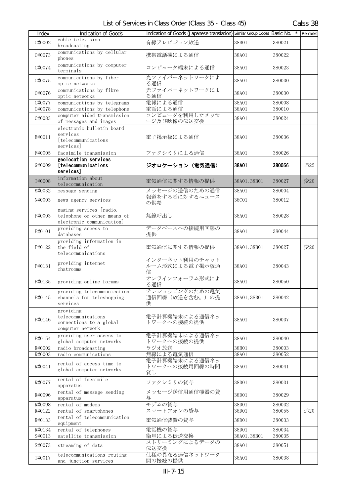| Index            | <b>Indication of Goods</b>                                                          | Indication of Goods (Japanese translation) Similar Group Codes Basic No. |                       |                  | $\star$ | Remarks |
|------------------|-------------------------------------------------------------------------------------|--------------------------------------------------------------------------|-----------------------|------------------|---------|---------|
| C#0002           | cable television<br>broadcasting                                                    | 有線テレビジョン放送                                                               | 38B01                 | 380021           |         |         |
| C#0073           | communications by cellular<br>phones                                                | 携帯電話機による通信                                                               | 38A01                 | 380022           |         |         |
| C#0074           | communications by computer<br>terminals                                             | コンピュータ端末による通信                                                            | 38A01                 | 380023           |         |         |
| C#0075           | communications by fiber<br>optic networks                                           | 光ファイバーネットワークによ<br>る通信                                                    | 38A01                 | 380030           |         |         |
| C#0076           | communications by fibre<br>optic networks                                           | 光ファイバーネットワークによ<br>る通信                                                    | 38A01                 | 380030           |         |         |
| C#0077           | communications by telegrams                                                         | 電報による通信                                                                  | 38A01                 | 380008           |         |         |
| C#0078           | communications by telephone                                                         | 電話による通信                                                                  | 38A01                 | 380010           |         |         |
| C#0083           | computer aided transmission<br>of messages and images                               | コンピュータを利用したメッセ<br>ージ及び映像の伝送交換                                            | 38A01                 | 380024           |         |         |
| E#0011           | electronic bulletin board<br>services<br>[telecommunications<br>services            | 電子掲示板による通信                                                               | 38A01                 | 380036           |         |         |
| F#0005           | facsimile transmission                                                              | ファクシミリによる通信                                                              | 38A01                 | 380026           |         |         |
| G#0009           | geolocation services<br>[telecommunications<br>services]                            | ジオロケーション (電気通信)                                                          | 38A01                 | 380056           |         | 追22     |
| I#0008           | information about<br>telecommunication                                              | 電気通信に関する情報の提供                                                            | 38A01, 38B01          | 380027           |         | 変20     |
| M#0032           | message sending                                                                     | メッセージの送信のための通信                                                           | 38A01                 | 380004           |         |         |
| N#0003           | news agency services                                                                | 報道をする者に対するニュース<br>の供給                                                    | 38C01                 | 380012           |         |         |
| P#0003           | paging services [radio,<br>telephone or other means of<br>electronic communication] | 無線呼出し                                                                    | 38A01                 | 380028           |         |         |
| P#0101           | providing access to<br>databases                                                    | データベースへの接続用回線の<br>提供                                                     | 38A01                 | 380044           |         |         |
| P#0122           | providing information in<br>the field of<br>telecommunications                      | 電気通信に関する情報の提供                                                            | 38A01, 38B01          | 380027           |         | 変20     |
| P#0131           | providing internet<br>chatrooms                                                     | インターネット利用のチャット<br>ルーム形式による電子掲示板通<br>信                                    | 38A01                 | 380043           |         |         |
| P#0135           | providing online forums                                                             | オンラインフォーラム形式によ<br>る通信                                                    | 38A01                 | 380050           |         |         |
| P#0145           | providing telecommunication<br>channels for teleshopping<br>services                | テレショッピングのための電気<br>通信回線(放送を含む。)の提<br>供                                    | 38A01, 38B01          | 380042           |         |         |
| P#0146           | providing<br>telecommunications<br>connections to a global<br>computer network      | 電子計算機端末による通信ネッ<br>トワークへの接続の提供                                            | 38A01                 | 380037           |         |         |
| P#0154           | providing user access to<br>global computer networks                                | 電子計算機端末による通信ネッ<br>トワークへの接続の提供                                            | 38A01                 | 380040           |         |         |
| R#0002           | radio broadcasting                                                                  | ラジオ放送                                                                    | 38B01                 | 380003           |         |         |
| R#0003           | radio communications                                                                | 無線による電気通信                                                                | 38A01                 | 380052           |         |         |
| R#0041           | rental of access time to<br>global computer networks                                | 電子計算機端末による通信ネッ<br>トワークへの接続用回線の時間<br>貸し                                   | 38A01                 | 380041           |         |         |
| R#0077           | rental of facsimile<br>apparatus                                                    | ファクシミリの貸与                                                                | 38D01                 | 380031           |         |         |
| R#0096           | rental of message sending<br>apparatus                                              | メッセージ送信用通信機器の貸<br>与                                                      | 38D01                 | 380029           |         |         |
| R#0098           | rental of modems                                                                    | モデムの貸与                                                                   | 38D01                 | 380032           |         |         |
| R#0122           | rental of smartphones                                                               | スマートフォンの貸与                                                               | 38D01                 | 380055           |         | 追20     |
| R#0133           | rental of telecommunication<br>equipment                                            | 電気通信装置の貸与                                                                | 38D01                 | 380033           |         |         |
| R#0134           | rental of telephones                                                                | 電話機の貸与                                                                   | 38D01                 | 380034           |         |         |
| S#0013<br>S#0073 | satellite transmission<br>streaming of data                                         | 衛星による伝送交換<br>ストリーミングによるデータの                                              | 38A01, 38B01<br>38A01 | 380035<br>380051 |         |         |
| T#0017           | telecommunications routing<br>and junction services                                 | 伝送交換<br>仕様の異なる通信ネットワーク<br>間の接続の提供                                        | 38A01                 | 380038           |         |         |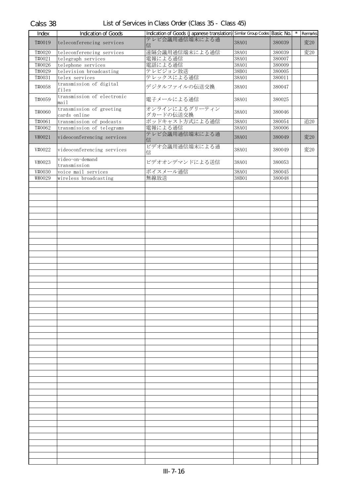| Index  | Indication of Goods                      | Indication of Goods (Japanese translation) Similar Group Codes Basic No. |       |        | $\star$ | Remarks |
|--------|------------------------------------------|--------------------------------------------------------------------------|-------|--------|---------|---------|
| T#0019 | teleconferencing services                | テレビ会議用通信端末による通<br>信                                                      | 38A01 | 380039 |         | 変20     |
| T#0020 | teleconferencing services                | 遠隔会議用通信端末による通信                                                           | 38A01 | 380039 |         | 変20     |
| T#0021 | telegraph services                       | 電報による通信                                                                  | 38A01 | 380007 |         |         |
| T#0026 | telephone services                       | 電話による通信                                                                  | 38A01 | 380009 |         |         |
| T#0029 | television broadcasting                  | テレビジョン放送                                                                 | 38B01 | 380005 |         |         |
| T#0031 | telex services                           | テレックスによる通信                                                               | 38A01 | 380011 |         |         |
| T#0058 | transmission of digital<br>files         | デジタルファイルの伝送交換                                                            | 38A01 | 380047 |         |         |
| T#0059 | transmission of electronic<br>mail       | 電子メールによる通信                                                               | 38A01 | 380025 |         |         |
| T#0060 | transmission of greeting<br>cards online | オンラインによるグリーティン<br>グカードの伝送交換                                              | 38A01 | 380046 |         |         |
| T#0061 | transmission of podcasts                 | ポッドキャスト方式による通信                                                           | 38A01 | 380054 |         | 追20     |
| T#0062 | transmission of telegrams                | 電報による通信                                                                  | 38A01 | 380006 |         |         |
| V#0021 | videoconferencing services               | テレビ会議用通信端末による通<br>信                                                      | 38A01 | 380049 |         | 変20     |
| V#0022 | videoconferencing services               | ビデオ会議用通信端末による通<br>信                                                      | 38A01 | 380049 |         | 変20     |
| V#0023 | video-on-demand                          | ビデオオンデマンドによる送信                                                           | 38A01 | 380053 |         |         |
| V#0030 | transmission<br>voice mail services      | ボイスメール通信                                                                 | 38A01 | 380045 |         |         |
| W#0029 | wireless broadcasting                    | 無線放送                                                                     | 38B01 | 380048 |         |         |
|        |                                          |                                                                          |       |        |         |         |
|        |                                          |                                                                          |       |        |         |         |
|        |                                          |                                                                          |       |        |         |         |
|        |                                          |                                                                          |       |        |         |         |
|        |                                          |                                                                          |       |        |         |         |
|        |                                          |                                                                          |       |        |         |         |
|        |                                          |                                                                          |       |        |         |         |
|        |                                          |                                                                          |       |        |         |         |
|        |                                          |                                                                          |       |        |         |         |
|        |                                          |                                                                          |       |        |         |         |
|        |                                          |                                                                          |       |        |         |         |
|        |                                          |                                                                          |       |        |         |         |
|        |                                          |                                                                          |       |        |         |         |
|        |                                          |                                                                          |       |        |         |         |
|        |                                          |                                                                          |       |        |         |         |
|        |                                          |                                                                          |       |        |         |         |
|        |                                          |                                                                          |       |        |         |         |
|        |                                          |                                                                          |       |        |         |         |
|        |                                          |                                                                          |       |        |         |         |
|        |                                          |                                                                          |       |        |         |         |
|        |                                          |                                                                          |       |        |         |         |
|        |                                          |                                                                          |       |        |         |         |
|        |                                          |                                                                          |       |        |         |         |
|        |                                          |                                                                          |       |        |         |         |
|        |                                          |                                                                          |       |        |         |         |
|        |                                          |                                                                          |       |        |         |         |
|        |                                          |                                                                          |       |        |         |         |
|        |                                          |                                                                          |       |        |         |         |
|        |                                          |                                                                          |       |        |         |         |
|        |                                          |                                                                          |       |        |         |         |
|        |                                          |                                                                          |       |        |         |         |
|        |                                          |                                                                          |       |        |         |         |
|        |                                          |                                                                          |       |        |         |         |
|        |                                          |                                                                          |       |        |         |         |
|        |                                          |                                                                          |       |        |         |         |
|        |                                          |                                                                          |       |        |         |         |
|        |                                          |                                                                          |       |        |         |         |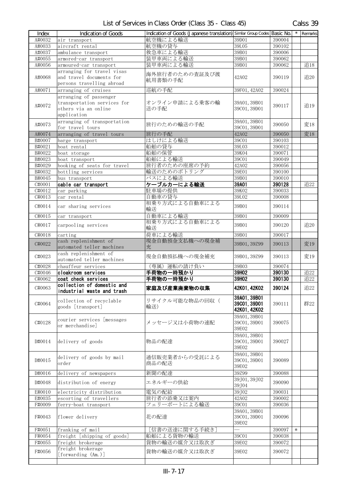| Index            | <b>Indication of Goods</b>                                                                   | Indication of Goods (Japanese translation) Similar Group Codes Basic No. |                                             |                  | $\star$ | Remarks |
|------------------|----------------------------------------------------------------------------------------------|--------------------------------------------------------------------------|---------------------------------------------|------------------|---------|---------|
| A#0032           | air transport                                                                                | 航空機による輸送                                                                 | 39D01                                       | 390004           |         |         |
| A#0033           | aircraft rental                                                                              | 航空機の貸与                                                                   | 39L05                                       | 390102           |         |         |
| A#0037           | ambulance transport                                                                          | 救急車による輸送                                                                 | 39B01                                       | 390006           |         |         |
| A#0055           | armored-car transport                                                                        | 装甲車両による輸送                                                                | 39B01                                       | 390062           |         |         |
| A#0056           | armoured-car transport                                                                       | 装甲車両による輸送                                                                | 39B01                                       | 390062           |         | 追18     |
|                  | arranging for travel visas                                                                   |                                                                          |                                             |                  |         |         |
| A#0068           | and travel documents for<br>persons travelling abroad                                        | 海外旅行者のための査証及び渡<br>航用書類の手配                                                | 42A02                                       | 390119           |         | 追20     |
| A#0071           | arranging of cruises                                                                         | 巡航の手配                                                                    | 39F01, 42A02                                | 390024           |         |         |
| A#0072           | arranging of passenger<br>transportation services for<br>others via an online<br>application | オンライン申請による乗客の輸<br>送の手配                                                   | 39A01, 39B01<br>39C01, 39D01                | 390117           |         | 追19     |
| A#0073           | arranging of transportation<br>for travel tours                                              | 旅行のための輸送の手配                                                              | 39A01, 39B01<br>39C01, 39D01                | 390050           |         | 変18     |
| A#0074           | arranging of travel tours                                                                    | 旅行の手配                                                                    | 42A02                                       | 390050           |         | 変18     |
| B#0007           | barge transport                                                                              | はしけによる輸送                                                                 | 39C <sub>01</sub>                           | 390103           |         |         |
| B#0021           | boat rental                                                                                  | 船舶の貸与                                                                    | 39L03                                       | 390012           |         |         |
| B#0022           | boat storage                                                                                 | 船舶の保管                                                                    | 39K04                                       | 390071           |         |         |
| B#0023           | boat transport                                                                               | 船舶による輸送                                                                  | 39C01                                       | 390049           |         |         |
| B#0029           | booking of seats for travel                                                                  | 旅行者のための座席の予約                                                             | 42A02                                       | 390056           |         |         |
| B#0032           | bottling services                                                                            | 輸送のためのボトリング                                                              | 39E01                                       | 390100           |         |         |
| B#0045           | bus transport                                                                                | バスによる輸送                                                                  | 39B01                                       | 390010           |         |         |
| C#0001           | cable car transport                                                                          | ケーブルカーによる輸送                                                              | 39A01                                       | 390128           |         | 追22     |
| C#0012           | car parking                                                                                  | 駐車場の提供                                                                   | 39K02                                       | 390033           |         |         |
| C#0013           | car rental                                                                                   | 自動車の貸与                                                                   | 39L02                                       | 390008           |         |         |
| C#0014           | car sharing services                                                                         | 相乗り方式による自動車による<br>輸送                                                     | 39B01                                       | 390114           |         |         |
| C#0015           | car transport                                                                                | 自動車による輸送                                                                 | 39B01                                       | 390009           |         |         |
| C#0017           | carpooling services                                                                          | 相乗り方式による自動車による<br>輸送                                                     | 39B01                                       | 390120           |         | 追20     |
| C#0018           | carting                                                                                      | 荷車による輸送                                                                  | 39B01                                       | 390017           |         |         |
| C#0022           | cash replenishment of<br>automated teller machines                                           | 現金自動預金支払機への現金補<br>充                                                      | 39B01, 39Z99                                | 390113           |         | 変19     |
| C#0023           | cash replenishment of<br>automated teller machines                                           | 現金自動預払機への現金補充                                                            | 39B01, 39Z99                                | 390113           |         | 変19     |
| C#0028           | chauffeur services                                                                           | (専属)運転の請け負い                                                              | 39B03                                       | 390074           |         |         |
| C#0046           | cloakroom services                                                                           | 手荷物の一時預かり                                                                | 39H02                                       | 390130           |         | 追22     |
| C#0062           | coat check services                                                                          | 手荷物の一時預かり                                                                | 39H02                                       | 390130           |         | 追22     |
| C#0063           | collection of domestic and<br>industrial waste and trash                                     | 家庭及び産業廃棄物の収集                                                             | 42K01, 42K02                                | 390124           |         | 追22     |
| C#0064           | collection of recyclable<br>goods [transport]                                                | リサイクル可能な物品の回収(<br>輸送)                                                    | 39A01, 39B01<br>39C01.39D01<br>42K01, 42K02 | 390111           |         | 群22     |
| C#0128           | courier services [messages<br>or merchandise]                                                | メッセージ又は小荷物の速配                                                            | 39A01, 39B01<br>39C01, 39D01<br>39E02       | 390075           |         |         |
| D#0014           | delivery of goods                                                                            | 物品の配達                                                                    | 39A01, 39B01<br>39C01, 39D01<br>39E02       | 390027           |         |         |
| D#0015           | delivery of goods by mail<br>order                                                           | 通信販売業者からの受託による<br>商品の配送                                                  | 39A01, 39B01<br>39C01, 39D01<br>39E02       | 390089           |         |         |
| D#0016           | delivery of newspapers                                                                       | 新聞の配達                                                                    | 39Z99                                       | 390088           |         |         |
| D#0048           | distribution of energy                                                                       | エネルギーの供給                                                                 | 39J01, 39J02<br>39J04                       | 390090           |         |         |
| E#0010           | electricity distribution                                                                     | 電気の配給                                                                    | 39J02                                       | 390031           |         |         |
| E#0035<br>F#0009 | escorting of travellers<br>ferry-boat transport                                              | 旅行者の添乗又は案内<br>フェリーボートによる輸送                                               | 42A02<br>39C01                              | 390002<br>390036 |         |         |
| F#0043           | flower delivery                                                                              | 花の配達                                                                     | 39A01, 39B01<br>39C01, 39D01<br>39E02       | 390096           |         |         |
| F#0051           | franking of mail                                                                             | [信書の送達に関する手続き]                                                           |                                             | 390097           | $\ast$  |         |
| F#0054           | freight [shipping of goods]                                                                  | 船舶による貨物の輸送                                                               | 39C01                                       | 390038           |         |         |
| F#0055           | freight brokerage                                                                            | 貨物の輸送の媒介又は取次ぎ                                                            | 39E02                                       | 390072           |         |         |
| F#0056           | freight brokerage<br>[forwarding (Am.)]                                                      | 貨物の輸送の媒介又は取次ぎ                                                            | 39E02                                       | 390072           |         |         |
|                  |                                                                                              |                                                                          |                                             |                  |         |         |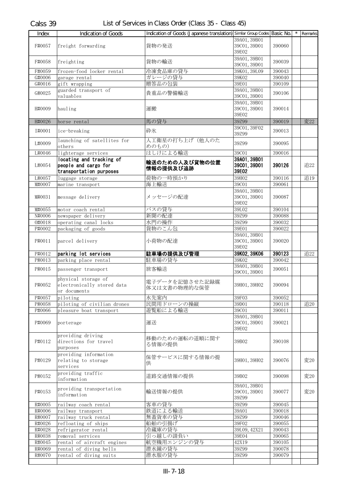| Index  | <b>Indication of Goods</b>                                                  | Indication of Goods (Japanese translation) Similar Group Codes Basic No. |                                       |        | $\star$ | Remarks |
|--------|-----------------------------------------------------------------------------|--------------------------------------------------------------------------|---------------------------------------|--------|---------|---------|
| F#0057 | freight forwarding                                                          | 貨物の発送                                                                    | 39A01, 39B01<br>39C01, 39D01<br>39E02 | 390060 |         |         |
| F#0058 | freighting                                                                  | 貨物の輸送                                                                    | 39A01, 39B01<br>39C01, 39D01          | 390039 |         |         |
| F#0059 | frozen-food locker rental                                                   | 冷凍食品庫の貸与                                                                 | 39K01, 39L09                          | 390043 |         |         |
| G#0006 | garage rental                                                               | ガレージの貸与                                                                  | 39K02                                 | 390040 |         |         |
| G#0016 | gift wrapping                                                               | 贈答品の包装                                                                   | 39E01                                 | 390109 |         |         |
| G#0025 | guarded transport of<br>valuables                                           | 貴重品の警備輸送                                                                 | 39A01, 39B01<br>39C01, 39D01          | 390106 |         |         |
| H#0009 | hauling                                                                     | 運搬                                                                       | 39A01, 39B01<br>39C01, 39D01<br>39E02 | 390014 |         |         |
| H#0026 | horse rental                                                                | 馬の貸与                                                                     | 39Z99                                 | 390019 |         | 変22     |
| I#0001 | ice-breaking                                                                | 砕氷                                                                       | 39C01, 39F02<br>39Z99                 | 390013 |         |         |
| L#0009 | launching of satellites for<br>others                                       | 人工衛星の打ち上げ(他人のた<br>めのもの)                                                  | 39Z99                                 | 390095 |         |         |
| L#0046 | lighterage services                                                         | はしけによる輸送                                                                 | 39C01                                 | 390016 |         |         |
| L#0054 | locating and tracking of<br>people and cargo for<br>transportation purposes | 輸送のための人及び貨物の位置<br>情報の提供及び追跡                                              | 39A01, 39B01<br>39C01, 39D01<br>39E02 | 390126 |         | 追22     |
| L#0057 | luggage storage                                                             | 荷物の一時預かり                                                                 | 39H02                                 | 390116 |         | 追19     |
| M#0007 | marine transport                                                            | 海上輸送                                                                     | 39C01                                 | 390061 |         |         |
| M#0031 | message delivery                                                            | メッセージの配達                                                                 | 39A01, 39B01<br>39C01, 39D01<br>39E02 | 390087 |         |         |
| M#0055 | motor coach rental                                                          | バスの貸与                                                                    | 39L02                                 | 390104 |         |         |
| N#0006 | newspaper delivery                                                          | 新聞の配達                                                                    | 39Z99                                 | 390088 |         |         |
| 0#0018 | operating canal locks                                                       | 水門の操作                                                                    | 39Z99                                 | 390032 |         |         |
| P#0002 | packaging of goods                                                          | 貨物のこん包                                                                   | 39E01                                 | 390022 |         |         |
| P#0011 | parcel delivery                                                             | 小荷物の配達                                                                   | 39A01, 39B01<br>39C01, 39D01<br>39E02 | 390020 |         |         |
| P#0012 | parking lot services                                                        | 駐車場の提供及び管理                                                               | 39K02, 39K06                          | 390123 |         | 追22     |
| P#0013 | parking place rental                                                        | 駐車場の貸与                                                                   | 39K02                                 | 390042 |         |         |
| P#0015 | passenger transport                                                         | 旅客輸送                                                                     | 39A01, 39B01<br>39C01, 39D01          | 390051 |         |         |
| P#0052 | physical storage of<br>electronically stored data<br>or documents           | 電子データを記憶させた記録媒<br>体又は文書の物理的な保管                                           | 39H01, 39H02                          | 390094 |         |         |
| P#0057 | piloting                                                                    | 水先案内                                                                     | 39F03                                 | 390052 |         |         |
| P#0058 | piloting of civilian drones                                                 | 民間用ドローンの操縦                                                               | 39D01                                 | 390118 |         | 追20     |
| P#0066 | pleasure boat transport                                                     | 遊覧船による輸送                                                                 | 39C01                                 | 390011 |         |         |
| P#0069 | porterage                                                                   | 運送                                                                       | 39A01, 39B01<br>39C01, 39D01<br>39E02 | 390021 |         |         |
| P#0112 | providing driving<br>directions for travel<br>purposes                      | 移動のための運転の道順に関す<br>る情報の提供                                                 | 39B02                                 | 390108 |         |         |
| P#0129 | providing information<br>relating to storage<br>services                    | 保管サービスに関する情報の提<br>供                                                      | 39H01, 39H02                          | 390076 |         | 変20     |
| P#0152 | providing traffic<br>information                                            | 道路交通情報の提供                                                                | 39B02                                 | 390098 |         | 変20     |
| P#0153 | providing transportation<br>information                                     | 輸送情報の提供                                                                  | 39A01, 39B01<br>39C01, 39D01<br>39Z99 | 390077 |         | 変20     |
| R#0005 | railway coach rental                                                        | 客車の貸与                                                                    | 39Z99                                 | 390045 |         |         |
| R#0006 | railway transport                                                           | 鉄道による輸送                                                                  | 39A01                                 | 390018 |         |         |
| R#0007 | railway truck rental                                                        | 無蓋貨車の貸与                                                                  | 39Z99                                 | 390046 |         |         |
| R#0026 | refloating of ships                                                         | 船舶の引揚げ                                                                   | 39F02                                 | 390055 |         |         |
| R#0028 | refrigerator rental                                                         | 冷蔵庫の貸与                                                                   | 39L09, 42X21                          | 390043 |         |         |
| R#0038 | removal services                                                            | 引っ越しの請負い                                                                 | 39E04                                 | 390065 |         |         |
| R#0045 | rental of aircraft engines                                                  | 航空機用エンジンの貸与                                                              | 42X19                                 | 390105 |         |         |
| R#0069 | rental of diving bells                                                      | 潜水鐘の貸与                                                                   | 39Z99                                 | 390078 |         |         |
| R#0070 | rental of diving suits                                                      | 潜水服の貸与                                                                   | 39Z99                                 | 390079 |         |         |
|        |                                                                             |                                                                          |                                       |        |         |         |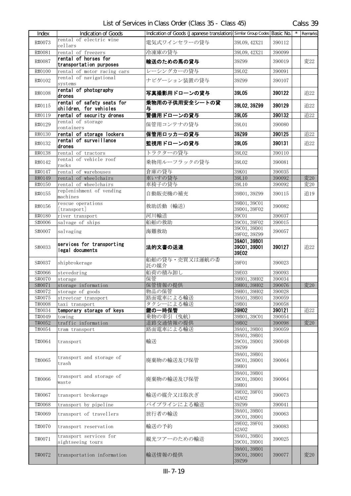Calss 39

| Index            | Indication of Goods                                  | Indication of Goods (Japanese translation) Similar Group Codes Basic No. |                                       |                  | $\star$ | Remarks |
|------------------|------------------------------------------------------|--------------------------------------------------------------------------|---------------------------------------|------------------|---------|---------|
|                  | rental of electric wine                              |                                                                          |                                       |                  |         |         |
| R#0073           | cellars                                              | 電気式ワインセラーの貸与                                                             | 39L09, 42X21                          | 390112           |         |         |
| R#0081           | rental of freezers                                   | 冷凍庫の貸与                                                                   | 39L09, 42X21                          | 390099           |         |         |
| R#0087           | rental of horses for<br>transportation purposes      | 輸送のための馬の貸与                                                               | 39Z99                                 | 390019           |         | 変22     |
| R#0100           | rental of motor racing cars                          | レーシングカーの貸与                                                               | 39L02                                 | 390091           |         |         |
| R#0102           | rental of navigational<br>systems                    | ナビゲーション装置の貸与                                                             | 39799                                 | 390107           |         |         |
| R#0108           | rental of photography<br>drones                      | 写真撮影用ドローンの貸与                                                             | 39L05                                 | 390122           |         | 追22     |
| R#0115           | rental of safety seats for<br>children, for vehicles | 乗物用の子供用安全シートの貸<br>与                                                      | 39L02, 39Z99                          | 390129           |         | 追22     |
| R#0119           | rental of security drones                            | 警備用ドローンの貸与                                                               | 39L05                                 | 390132           |         | 追22     |
| R#0129           | rental of storage<br>containers                      | 保管用コンテナの貸与                                                               | 39L01                                 | 390080           |         |         |
| R#0130           | rental of storage lockers                            | 保管用ロッカーの貸与                                                               | 39Z99                                 | 390125           |         | 追22     |
| R#0132           | rental of surveillance<br>drones                     | 監視用ドローンの貸与                                                               | 39L05                                 | 390131           |         | 追22     |
| R#0138           | rental of tractors                                   | トラクターの貸与                                                                 | 39L02                                 | 390110           |         |         |
| R#0142           | rental of vehicle roof<br>racks                      | 乗物用ルーフラックの貸与                                                             | 39L02                                 | 390081           |         |         |
| R#0147           | rental of warehouses                                 | 倉庫の貸与                                                                    | 39K01                                 | 390035           |         |         |
| R#0149           | rental of wheelchairs                                | 車いすの貸与                                                                   | 39L10                                 | 390092           |         | 変20     |
| R#0150           | rental of wheelchairs                                | 車椅子の貸与                                                                   | 39L10                                 | 390092           |         | 変20     |
| R#0155           | replenishment of vending<br>machines                 | 自動販売機の補充                                                                 | 39B01, 39Z99                          | 390115           |         | 追19     |
| R#0156           | rescue operations<br>[transport]                     | 救助活動 (輸送)                                                                | 39B01, 39C01<br>39D01, 39F02          | 390082           |         |         |
| R#0180           | river transport                                      | 河川輸送                                                                     | 39C01                                 | 390037           |         |         |
| S#0006           | salvage of ships                                     | 船舶の救助                                                                    | 39C01, 39F02                          | 390015           |         |         |
| S#0007           | salvaging                                            | 海難救助                                                                     | 39C01, 39D01<br>39F02, 39Z99          | 390057           |         |         |
| S#0033           | services for transporting<br>legal documents         | 法的文書の送達                                                                  | 39A01, 39B01<br>39C01, 39D01<br>39E02 | 390127           |         | 追22     |
| S#0037           | shipbrokerage                                        | 船舶の貸与・売買又は運航の委<br>託の媒介                                                   | 39F01                                 | 390023           |         |         |
| S#0066           | stevedoring                                          | 船荷の積み卸し                                                                  | 39E03                                 | 390093           |         |         |
| S#0070           | storage                                              | 保管                                                                       | 39H01, 39H02                          | 390034           |         |         |
| S#0071           | storage information                                  | 保管情報の提供                                                                  | 39H01, 39H02                          | 390076           |         | 変20     |
| S#0072<br>S#0075 | storage of goods<br>streetcar transport              | 物品の保管<br>路面電車による輸送                                                       | 39H01, 39H02<br>39A01, 39B01          | 390028<br>390059 |         |         |
| T#0008           | taxi transport                                       | タクシーによる輸送                                                                | 39B01                                 | 390058           |         |         |
| T#0034           | temporary storage of keys                            | 鍵の一時保管                                                                   | 39H02                                 | 390121           |         | 追22     |
| T#0049           | towing                                               | 乗物の牽引 (曳航)                                                               | 39B01, 39C01                          | 390054           |         |         |
| T#0052           | traffic information                                  | 道路交通情報の提供                                                                | 39B02                                 | 390098           |         | 変20     |
| T#0054           | tram transport                                       | 路面電車による輸送                                                                | 39A01, 39B01                          | 390059           |         |         |
| T#0064           | transport                                            | 輸送                                                                       | 39A01, 39B01<br>39C01, 39D01<br>39Z99 | 390048           |         |         |
| T#0065           | transport and storage of<br>$\operatorname{trash}$   | 廃棄物の輸送及び保管                                                               | 39A01, 39B01<br>39C01, 39D01<br>39H01 | 390064           |         |         |
| T#0066           | transport and storage of<br>waste                    | 廃棄物の輸送及び保管                                                               | 39A01, 39B01<br>39C01, 39D01<br>39H01 | 390064           |         |         |
| T#0067           | transport brokerage                                  | 輸送の媒介又は取次ぎ                                                               | 39E02, 39F01<br>42A02                 | 390073           |         |         |
| T#0068           | transport by pipeline                                | パイプラインによる輸送                                                              | 39299                                 | 390041           |         |         |
| T#0069           | transport of travellers                              | 旅行者の輸送                                                                   | 39A01, 39B01<br>39C01, 39D01          | 390063           |         |         |
| T#0070           | transport reservation                                | 輸送の予約                                                                    | 39E02, 39F01<br>42A02                 | 390083           |         |         |
| T#0071           | transport services for<br>sightseeing tours          | 観光ツアーのための輸送                                                              | 39A01, 39B01<br>39C01, 39D01          | 390025           |         |         |
| T#0072           | transportation information                           | 輸送情報の提供                                                                  | 39A01, 39B01<br>39C01, 39D01<br>39Z99 | 390077           |         | 変20     |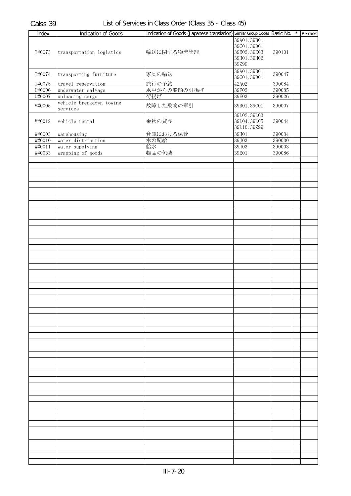| Index            | Indication of Goods                      | Indication of Goods (Japanese translation) Similar Group Codes Basic No. |                       |                  | $\overline{\phantom{a}}$ Remarks |
|------------------|------------------------------------------|--------------------------------------------------------------------------|-----------------------|------------------|----------------------------------|
|                  |                                          |                                                                          | 39A01, 39B01          |                  |                                  |
|                  |                                          |                                                                          | 39C01, 39D01          |                  |                                  |
| T#0073           | transportation logistics                 | 輸送に関する物流管理                                                               | 39E02, 39E03          | 390101           |                                  |
|                  |                                          |                                                                          | 39H01, 39H02<br>39Z99 |                  |                                  |
|                  |                                          |                                                                          |                       |                  |                                  |
| T#0074           | transporting furniture                   | 家具の輸送                                                                    | 39A01, 39B01          | 390047           |                                  |
|                  |                                          |                                                                          | 39C01, 39D01<br>42A02 |                  |                                  |
| T#0075<br>U#0006 | travel reservation<br>underwater salvage | 旅行の予約<br>水中からの船舶の引揚げ                                                     | 39F02                 | 390084<br>390085 |                                  |
| U#0007           | unloading cargo                          | 荷揚げ                                                                      | 39E03                 | 390026           |                                  |
|                  | vehicle breakdown towing                 |                                                                          |                       |                  |                                  |
| V#0005           | services                                 | 故障した乗物の牽引                                                                | 39B01, 39C01          | 390007           |                                  |
|                  |                                          |                                                                          | 39L02, 39L03          |                  |                                  |
| V#0012           | vehicle rental                           | 乗物の貸与                                                                    | 39L04, 39L05          | 390044           |                                  |
|                  |                                          |                                                                          | 39L10, 39Z99          |                  |                                  |
| W#0003           | warehousing                              | 倉庫における保管                                                                 | 39H01                 | 390034           |                                  |
| W#0010           | water distribution                       | 水の配給                                                                     | 39J03                 | 390030           |                                  |
| W#0011           | water supplying                          | 給水                                                                       | 39J03                 | 390003           |                                  |
| W#0033           | wrapping of goods                        | 物品の包装                                                                    | 39E01                 | 390086           |                                  |
|                  |                                          |                                                                          |                       |                  |                                  |
|                  |                                          |                                                                          |                       |                  |                                  |
|                  |                                          |                                                                          |                       |                  |                                  |
|                  |                                          |                                                                          |                       |                  |                                  |
|                  |                                          |                                                                          |                       |                  |                                  |
|                  |                                          |                                                                          |                       |                  |                                  |
|                  |                                          |                                                                          |                       |                  |                                  |
|                  |                                          |                                                                          |                       |                  |                                  |
|                  |                                          |                                                                          |                       |                  |                                  |
|                  |                                          |                                                                          |                       |                  |                                  |
|                  |                                          |                                                                          |                       |                  |                                  |
|                  |                                          |                                                                          |                       |                  |                                  |
|                  |                                          |                                                                          |                       |                  |                                  |
|                  |                                          |                                                                          |                       |                  |                                  |
|                  |                                          |                                                                          |                       |                  |                                  |
|                  |                                          |                                                                          |                       |                  |                                  |
|                  |                                          |                                                                          |                       |                  |                                  |
|                  |                                          |                                                                          |                       |                  |                                  |
|                  |                                          |                                                                          |                       |                  |                                  |
|                  |                                          |                                                                          |                       |                  |                                  |
|                  |                                          |                                                                          |                       |                  |                                  |
|                  |                                          |                                                                          |                       |                  |                                  |
|                  |                                          |                                                                          |                       |                  |                                  |
|                  |                                          |                                                                          |                       |                  |                                  |
|                  |                                          |                                                                          |                       |                  |                                  |
|                  |                                          |                                                                          |                       |                  |                                  |
|                  |                                          |                                                                          |                       |                  |                                  |
|                  |                                          |                                                                          |                       |                  |                                  |
|                  |                                          |                                                                          |                       |                  |                                  |
|                  |                                          |                                                                          |                       |                  |                                  |
|                  |                                          |                                                                          |                       |                  |                                  |
|                  |                                          |                                                                          |                       |                  |                                  |
|                  |                                          |                                                                          |                       |                  |                                  |
|                  |                                          |                                                                          |                       |                  |                                  |
|                  |                                          |                                                                          |                       |                  |                                  |
|                  |                                          |                                                                          |                       |                  |                                  |
|                  |                                          |                                                                          |                       |                  |                                  |
|                  |                                          |                                                                          |                       |                  |                                  |
|                  |                                          |                                                                          |                       |                  |                                  |
|                  |                                          |                                                                          |                       |                  |                                  |
|                  |                                          |                                                                          |                       |                  |                                  |
|                  |                                          |                                                                          |                       |                  |                                  |
|                  |                                          |                                                                          |                       |                  |                                  |
|                  |                                          |                                                                          |                       |                  |                                  |
|                  |                                          |                                                                          |                       |                  |                                  |
|                  |                                          |                                                                          |                       |                  |                                  |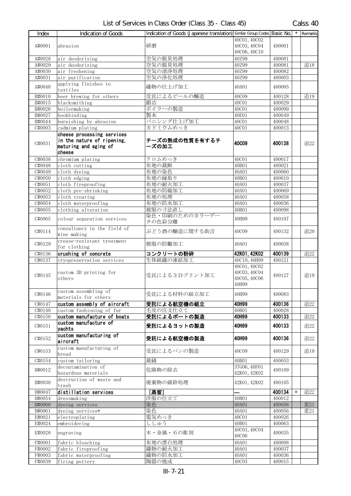| <b>Index</b> | <b>Indication of Goods</b>                 | Indication of Goods (Japanese translation) Similar Group Codes Basic No. |                       |        |        | Remarks |
|--------------|--------------------------------------------|--------------------------------------------------------------------------|-----------------------|--------|--------|---------|
|              |                                            |                                                                          | 40C01, 40C02          |        |        |         |
| A#0001       | abrasion                                   | 研磨                                                                       | 40C03, 40C04          | 400001 |        |         |
|              |                                            |                                                                          | 40C06, 40C10          |        |        |         |
| A#0028       | air deodorising                            | 空気の脱臭処理                                                                  | 40Z99                 | 400081 |        |         |
| A#0029       | air deodorizing                            | 空気の脱臭処理                                                                  | 40Z99                 | 400081 |        | 追18     |
| A#0030       | air freshening                             | 空気の清浄処理                                                                  | 40Z99                 | 400082 |        |         |
| A#0031       | air purification                           | 空気の浄化処理                                                                  | 40Z99                 | 400003 |        |         |
| A#0048       | applying finishes to                       | 織物の仕上げ加工                                                                 |                       |        |        |         |
|              | textiles                                   |                                                                          | 40A01                 | 400005 |        |         |
| B#0010       | beer brewing for others                    | 受託によるビールの醸造                                                              | 40C09                 | 400128 |        | 追19     |
| B#0015       | blacksmithing                              | 鍛冶                                                                       | 40C01                 | 400029 |        |         |
| B#0026       | boilermaking                               | ボイラーの製造                                                                  | 40C01                 | 400099 |        |         |
| B#0027       | bookbinding                                | 製本                                                                       | 40E01                 | 400049 |        |         |
| B#0044       | burnishing by abrasion                     | バニシング仕上げ加工                                                               | 40C01                 | 400048 |        |         |
| C#0003       | cadmium plating                            | カドミウムめっき                                                                 | 40C01                 | 400013 |        |         |
|              | cheese processing services                 |                                                                          |                       |        |        |         |
| C#0031       | in the nature of ripening,                 | チーズの熟成の性質を有するチ                                                           | <b>40C09</b>          | 400138 |        | 追22     |
|              | maturing and aging of                      | ーズの加工                                                                    |                       |        |        |         |
|              | cheese                                     |                                                                          |                       |        |        |         |
| C#0038       | chromium plating                           | クロムめっき                                                                   | 40C01                 | 400017 |        |         |
| C#0048       | cloth cutting                              | 布地の裁断                                                                    | 40B01                 | 400021 |        |         |
| C#0049       | cloth dyeing                               | 布地の染色                                                                    | 40A01                 | 400060 |        |         |
| C#0050       | cloth edging                               | 布地の縁取り                                                                   | 40B01                 | 400010 |        |         |
| C#0051       | cloth fireproofing                         | 布地の耐火加工                                                                  | 40A01                 | 400037 |        |         |
| C#0052       | cloth pre-shrinking                        | 布地の防縮加工                                                                  | 40A01                 | 400069 |        |         |
| C#0053       | cloth treating                             | 布地の処理                                                                    | 40A01                 | 400058 |        |         |
| C#0054       | cloth waterproofing                        | 布地の防水加工                                                                  | 40A01                 | 400036 |        |         |
| C#0055       | clothing alteration                        | 被服の寸法直し                                                                  | 40B01                 | 400098 |        |         |
| C#0065       | colour separation services                 | 染色・印刷のためのカラーデー<br>タの色彩分離                                                 | 40H99                 | 400107 |        |         |
| C#0114       | consultancy in the field of<br>wine making | ぶどう酒の醸造に関する助言                                                            | 40C09                 | 400132 |        | 追20     |
| C#0129       | crease-resistant treatment<br>for clothing | 被服の防皺加工                                                                  | 40A01                 | 400038 |        |         |
| C#0136       | crushing of concrete                       | コンクリートの粉砕                                                                | 42K01, 42K02          | 400139 |        | 追22     |
| C#0137       | cryopreservation services                  | 生体組織の凍結加工                                                                | 40C10, 40H99          | 400121 |        |         |
|              |                                            |                                                                          | 40C01, 40C02          |        |        |         |
|              | custom 3D printing for                     |                                                                          | 40C03, 40C04          |        |        |         |
| C#0145       | others                                     | 受託による3Dプリント加工                                                            | 40C05, 40C06<br>40H99 | 400127 |        | 追19     |
|              | custom assembling of                       |                                                                          |                       |        |        |         |
| C#0146       | materials for others                       | 受託による材料の組立加工                                                             | 40H99                 | 400083 |        |         |
| C#0147       | custom assembly of aircraft                | 受託による航空機の組立                                                              | 40H99                 | 400136 |        | 追22     |
| C#0148       | custom fashioning of fur                   | 毛皮の注文仕立て                                                                 | 40B01                 | 400028 |        |         |
| C#0150       | custom manufacture of boats                | 受託によるボートの製造                                                              | 40H99                 | 400133 |        | 追22     |
| C#0151       | custom manufacture of<br>yachts            | 受託によるヨットの製造                                                              | 40H99                 | 400133 |        | 追22     |
|              | custom manufacturing of                    |                                                                          |                       |        |        |         |
| C#0152       | aircraft                                   | 受託による航空機の製造                                                              | 40H99                 | 400136 |        | 追22     |
|              | custom manufacturing of                    |                                                                          |                       |        |        |         |
| C#0153       | bread                                      | 受託によるパンの製造                                                               | 40C09                 | 400129 |        | 追19     |
| C#0154       | custom tailoring                           | 裁縫                                                                       | 40B01                 | 400053 |        |         |
|              | decontamination of                         |                                                                          | 37G06, 40F01          |        |        |         |
| D#0012       | hazardous materials                        | 危険物の除去                                                                   | 42K01, 42K02          | 400109 |        |         |
|              | destruction of waste and                   |                                                                          |                       |        |        |         |
| D#0030       | trash                                      | 廃棄物の破砕処理                                                                 | 42K01, 42K02          | 400105 |        |         |
| D#0047       | distillation services                      | [蒸留]                                                                     |                       | 400134 | $\ast$ | 追22     |
| D#0054       | dressmaking                                | 洋服の仕立て                                                                   | 40B01                 | 400012 |        |         |
| D#0060       | dyeing services                            | 染色                                                                       | 40A01                 | 400056 |        | 変21     |
| D#0061       | dyeing services*                           | 染色                                                                       | 40A01                 | 400056 |        | 変21     |
| E#0021       | electroplating                             | 電気めっき                                                                    | 40C01                 | 400026 |        |         |
| E#0024       | embroidering                               | ししゅう                                                                     | 40B01                 | 400063 |        |         |
| E#0028       | engraving                                  | 木・金属・石の彫刻                                                                | 40C01, 40C04          | 400035 |        |         |
|              |                                            |                                                                          | 40C06                 |        |        |         |
| F#0001       | fabric bleaching                           | 布地の漂白処理                                                                  | 40A01                 | 400008 |        |         |
| F#0002       | fabric fireproofing                        | 織物の耐火加工                                                                  | 40A01                 | 400037 |        |         |
| F#0003       | fabric waterproofing                       | 織物の防水加工                                                                  | 40A01                 | 400036 |        |         |
| F#0039       | firing pottery                             | 陶器の焼成                                                                    | 40C03                 | 400015 |        |         |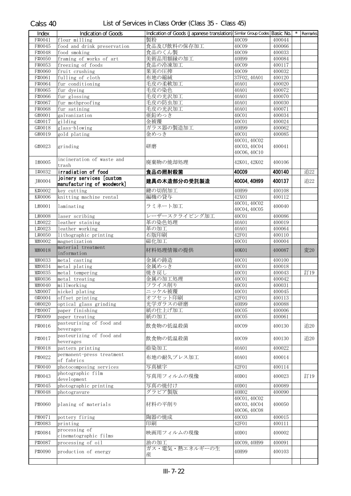| Index  | <b>Indication of Goods</b>  | Indication of Goods (Japanese translation) Similar Group Codes Basic No. |              |        | $\star$ | Remarks |
|--------|-----------------------------|--------------------------------------------------------------------------|--------------|--------|---------|---------|
| F#0041 | flour milling               | 製粉                                                                       | 40C09        | 400044 |         |         |
| F#0045 | food and drink preservation | 食品及び飲料の保存加工                                                              | 40C09        | 400066 |         |         |
| F#0048 | food smoking                | 食品のくん製                                                                   | 40C09        | 400033 |         |         |
| F#0050 | framing of works of art     | 美術品用額縁の加工                                                                | 40H99        | 400084 |         |         |
| F#0053 | freezing of foods           | 食品の冷凍加工                                                                  | 40C09        | 400117 |         |         |
| F#0060 | fruit crushing              | 果実の圧搾                                                                    | <b>40C09</b> | 400032 |         |         |
| F#0061 | fulling of cloth            | 布地の縮絨                                                                    | 37F02, 40A01 | 400120 |         |         |
| F#0064 | fur conditioning            | 毛皮の柔軟加工                                                                  | 40A01        | 400020 |         |         |
| F#0065 | fur dyeing                  | 毛皮の染色                                                                    | 40A01        | 400072 |         |         |
| F#0066 | fur glossing                | 毛皮の光沢加工                                                                  | 40A01        | 400070 |         |         |
| F#0067 | fur mothproofing            | 毛皮の防虫加工                                                                  | 40A01        | 400030 |         |         |
| F#0068 | fur satining                | 毛皮の光沢加工                                                                  | 40A01        | 400071 |         |         |
| G#0001 | galvanization               | 亜鉛めっき                                                                    | 40C01        | 400034 |         |         |
| G#0017 | gilding                     | 金被覆                                                                      | 40C01        | 400024 |         |         |
| G#0018 | glass-blowing               | ガラス器の製造加工                                                                | 40H99        | 400062 |         |         |
| G#0019 | gold plating                | 金めっき                                                                     | 40C01        | 400085 |         |         |
|        |                             |                                                                          | 40C01, 40C02 |        |         |         |
| G#0023 | grinding                    | 研磨                                                                       | 40C03, 40C04 | 400041 |         |         |
|        |                             |                                                                          | 40C06, 40C10 |        |         |         |
|        | incineration of waste and   |                                                                          |              |        |         |         |
| I#0005 | trash                       | 廃棄物の焼却処理                                                                 | 42K01, 42K02 | 400106 |         |         |
| I#0032 | irradiation of food         | 食品の照射殺菌                                                                  | <b>40C09</b> | 400140 |         | 追22     |
| J#0004 | joinery services [custom    | 建具の木造部分の受託製造                                                             | 40C04, 40H99 | 400137 |         | 追22     |
|        | manufacturing of woodwork]  |                                                                          |              |        |         |         |
| K#0002 | key cutting                 | 鍵の切削加工                                                                   | 40H99        | 400108 |         |         |
| K#0006 | knitting machine rental     | 編機の貸与                                                                    | 42X01        | 400112 |         |         |
| L#0001 | laminating                  | ラミネート加工                                                                  | 40C01, 40C02 | 400040 |         |         |
|        |                             |                                                                          | 40C04, 40C05 |        |         |         |
| L#0008 | laser scribing              | レーザースクライビング加工                                                            | 40C01        | 400086 |         |         |
| L#0022 | leather staining            | 革の染色処理                                                                   | 40A01        | 400019 |         |         |
| L#0023 | leather working             | 革の加工                                                                     | 40A01        | 400064 |         |         |
| L#0050 | lithographic printing       | 石版印刷                                                                     | 42F01        | 400110 |         |         |
| M#0002 | magnetization               | 磁化加工                                                                     | 40C01        | 400004 |         |         |
| M#0018 | material treatment          | 材料処理情報の提供                                                                | 40K01        | 400087 |         | 変20     |
|        | information                 |                                                                          |              |        |         |         |
| M#0033 | metal casting               | 金属の鋳造                                                                    | 40C01        | 400100 |         |         |
| M#0034 | metal plating               | 金属めっき                                                                    | 40C01        | 400018 |         |         |
| M#0035 | metal tempering             | 焼き戻し                                                                     | 40C01        | 400043 |         | 訂19     |
| M#0036 | metal treating              | 金属の加工処理                                                                  | 40C01        | 400042 |         |         |
| M#0040 | millworking                 | フライス削り                                                                   | 40C01        | 400031 |         |         |
| N#0007 | nickel plating              | ニッケル被覆                                                                   | 40C01        | 400045 |         |         |
| 0#0004 | offset printing             | オフセット印刷                                                                  | 42F01        | 400113 |         |         |
| 0#0020 | optical glass grinding      | 光学ガラスの研磨                                                                 | 40H99        | 400088 |         |         |
| P#0007 | paper finishing             | 紙の仕上げ加工                                                                  | 40C05        | 400006 |         |         |
| P#0009 | paper treating              | 紙の加工                                                                     | 40C05        | 400061 |         |         |
|        | pasteurising of food and    |                                                                          |              |        |         |         |
| P#0016 | beverages                   | 飲食物の低温殺菌                                                                 | 40C09        | 400130 |         | 追20     |
|        | pasteurizing of food and    |                                                                          |              |        |         |         |
| P#0017 | beverages                   | 飲食物の低温殺菌                                                                 | 40C09        | 400130 |         | 追20     |
| P#0018 | pattern printing            | 捺染加工                                                                     | 40A01        | 400022 |         |         |
|        | permanent-press treatment   |                                                                          |              |        |         |         |
| P#0022 | of fabrics                  | 布地の耐久プレス加工                                                               | 40A01        | 400014 |         |         |
| P#0040 | photocomposing services     | 写真植字                                                                     | 42F01        | 400114 |         |         |
|        | photographic film           |                                                                          |              |        |         |         |
| P#0043 | development                 | 写真用フィルムの現像                                                               | 40D01        | 400023 |         | 訂19     |
| P#0045 | photographic printing       | 写真の焼付け                                                                   | 40D01        | 400089 |         |         |
| P#0048 | photogravure                | グラビア製版                                                                   | 40H02        | 400090 |         |         |
|        |                             |                                                                          | 40C01, 40C02 |        |         |         |
| P#0060 | planing of materials        | 材料の平削り                                                                   | 40C03, 40C04 | 400050 |         |         |
|        |                             |                                                                          | 40C06, 40C08 |        |         |         |
| P#0071 | pottery firing              | 陶器の焼成                                                                    | <b>40C03</b> | 400015 |         |         |
| P#0083 | printing                    | 印刷                                                                       | 42F01        | 400111 |         |         |
|        | processing of               |                                                                          |              |        |         |         |
| P#0084 | cinematographic films       | 映画用フィルムの現像                                                               | 40D01        | 400002 |         |         |
| P#0087 | processing of oil           | 油の加工                                                                     | 40C09, 40H99 | 400091 |         |         |
|        |                             |                                                                          |              |        |         |         |
| P#0090 | production of energy        | 産                                                                        | 40H99        | 400103 |         |         |
|        |                             |                                                                          |              |        |         |         |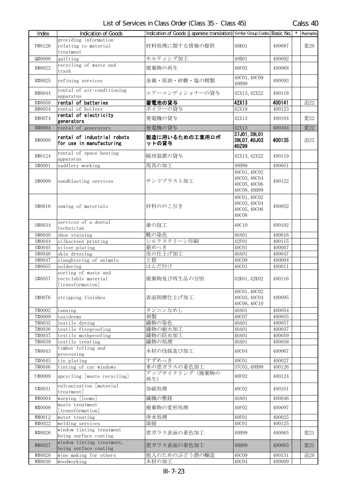| Index                       | Indication of Goods                                             | Indication of Goods (Japanese translation) Similar Group Codes Basic No. |                                                              |                  | Remarks |
|-----------------------------|-----------------------------------------------------------------|--------------------------------------------------------------------------|--------------------------------------------------------------|------------------|---------|
| P#0126                      | providing information<br>relating to material                   | 材料処理に関する情報の提供                                                            | 40K01                                                        | 400087           | 変20     |
| Q#0006                      | treatment<br>quilting                                           | キルティング加工                                                                 | 40B01                                                        | 400092           |         |
|                             | recycling of waste and                                          |                                                                          |                                                              |                  |         |
| R#0022                      | trash                                                           | 廃棄物の再生                                                                   | 40F02                                                        | 400068           |         |
| R#0025                      | refining services                                               | 金属・原油・砂糖・塩の精製                                                            | 40C01, 40C09<br>40H99                                        | 400093           |         |
| R#0044                      | rental of air-conditioning<br>apparatus                         | エアーコンディショナーの貸与                                                           | 42X13, 42X22                                                 | 400118           |         |
| R#0050                      | rental of batteries                                             | 蓄電池の貸与                                                                   | 42X13                                                        | 400141           | 追22     |
| R#0054                      | rental of boilers                                               | ボイラーの貸与                                                                  | 42X19                                                        | 400123           |         |
| R#0074                      | rental of electricity<br>generators                             | 発電機の貸与                                                                   | 42X13                                                        | 400104           | 変22     |
| R#0084                      | rental of generators                                            | 発電機の貸与                                                                   | 42X13                                                        | 400104           | 変22     |
| R#0090                      | rental of industrial robots<br>for use in manufacturing         | 製造に用いるための工業用ロボ<br>ットの貸与                                                  | 37J01, 39L01<br>39L07, 40J03<br>40Z99                        | 400135           | 追22     |
| R#0124                      | rental of space heating<br>apparatus                            | 暖房装置の貸与                                                                  | 42X13, 42X22                                                 | 400119           |         |
| S#0001                      | saddlery working                                                | 馬具の加工                                                                    | 40H99                                                        | 400051           |         |
| S#0009                      | sandblasting services                                           | サンドブラスト加工                                                                | 40C01, 40C02<br>40C03, 40C04<br>40C05, 40C06<br>40C08, 40H99 | 400122           |         |
| S#0016                      | sawing of materials                                             | 材料ののこ引き                                                                  | 40C01, 40C02<br>40C03, 40C04<br>40C05, 40C06<br><b>40C08</b> | 400052           |         |
| S#0034                      | services of a dental<br>technician                              | 歯の技工                                                                     | 40C10                                                        | 400102           |         |
| $\overline{\text{S}}$ #0040 | shoe staining                                                   | 靴の染色                                                                     | 40A01                                                        | 400016           |         |
| S#0044                      | silkscreen printing                                             | シルクスクリーン印刷                                                               | 42F01                                                        | 400115           |         |
| S#0045                      | silver plating                                                  | 銀めっき                                                                     | 40C01                                                        | 400007           |         |
| S#0046<br>S#0047            | skin dressing<br>slaughtering of animals                        | 皮の仕上げ加工<br>と殺                                                            | 40A01<br>40C09                                               | 400047<br>400094 |         |
| S#0055                      | soldering                                                       | はんだ付け                                                                    | 40C01                                                        | 400011           |         |
| S#0057                      | sorting of waste and<br>recyclable material<br>[transformation] | 廃棄物及び再生品の分別                                                              | 42K01, 42K02                                                 | 400116           |         |
| S#0076                      | stripping finishes                                              | 表面削磨仕上げ加工                                                                | 40C01, 40C02<br>40C03, 40C04<br>40C06, 40C10                 | 400095           |         |
| T#0002                      | tanning                                                         | タンニンなめし                                                                  | 40A01                                                        | 400054           |         |
| T#0009                      | taxidermy                                                       | 剥製                                                                       | 40C07                                                        | 400055           |         |
| T#0035                      | textile dyeing                                                  | 織物の染色                                                                    | 40A01                                                        | 400057           |         |
| T#0036<br>T#0037            | textile fireproofing<br>textile mothproofing                    | 織物の耐火加工<br>織物の防虫加工                                                       | 40A01<br>40A01                                               | 400037<br>400059 |         |
| T#0039                      | textile treating                                                | 織物の処理                                                                    | 40A01                                                        | 400058           |         |
| T#0043                      | timber felling and                                              | 木材の伐採及び加工                                                                | 40C04                                                        | 400067           |         |
|                             | processing                                                      | すずめっき                                                                    |                                                              |                  |         |
| T#0045<br>T#0046            | tin plating<br>tinting of car windows                           | 車の窓ガラスの着色加工                                                              | 40C01<br>37C03, 40H99                                        | 400027<br>400126 |         |
| U#0009                      | upcycling [waste recycling]                                     | アップサイクリング(廃棄物の<br>再生)                                                    | 40F02                                                        | 400124           |         |
| V#0031                      | vulcanization [material<br>treatment]                           | 加硫処理                                                                     | 40C02                                                        | 400101           |         |
| W#0004                      | warping [looms]                                                 | 織機の整経                                                                    | 40A01                                                        | 400046           |         |
| W#0008                      | waste treatment<br>[transformation]                             | 廃棄物の変形処理                                                                 | 40F02                                                        | 400097           |         |
| W#0012                      | water treating                                                  | 浄水処理                                                                     | 40F01                                                        | 400025           |         |
| W#0022                      | welding services                                                | 溶接                                                                       | 40C01                                                        | 400125           |         |
| W#0026                      | window tinting treatment<br>being surface coating               | 窓ガラス表面の着色加工                                                              | 40H99                                                        | 400065           | 変21     |
| W#0027                      | window tinting treatment,<br>being surface coating              | 窓ガラス表面の着色加工                                                              | 40H99                                                        | 400065           | 変21     |
| W#0028                      | wine making for others                                          | 他人のためのぶどう酒の醸造                                                            | 40C09                                                        | 400131           | 追20     |
| W#0030                      | woodworking                                                     | 木材の加工                                                                    | 40C04                                                        | 400009           |         |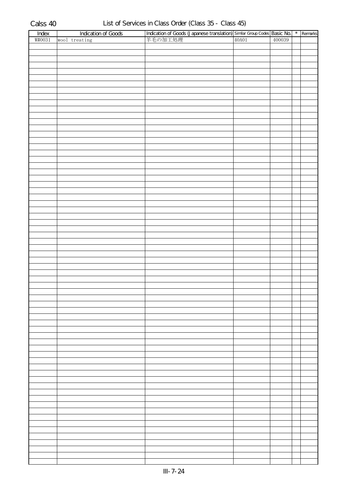| Index  | <b>Indication of Goods</b> |                                                                                                                      |  | $*$ Remarks |
|--------|----------------------------|----------------------------------------------------------------------------------------------------------------------|--|-------------|
| W#0031 | wool treating              | <b>Indication of Goods (Japanese translation)</b> Similar Group Codes <b>Basic No.</b><br> 羊毛の加工処理   400039   400039 |  |             |
|        |                            |                                                                                                                      |  |             |
|        |                            |                                                                                                                      |  |             |
|        |                            |                                                                                                                      |  |             |
|        |                            |                                                                                                                      |  |             |
|        |                            |                                                                                                                      |  |             |
|        |                            |                                                                                                                      |  |             |
|        |                            |                                                                                                                      |  |             |
|        |                            |                                                                                                                      |  |             |
|        |                            |                                                                                                                      |  |             |
|        |                            |                                                                                                                      |  |             |
|        |                            |                                                                                                                      |  |             |
|        |                            |                                                                                                                      |  |             |
|        |                            |                                                                                                                      |  |             |
|        |                            |                                                                                                                      |  |             |
|        |                            |                                                                                                                      |  |             |
|        |                            |                                                                                                                      |  |             |
|        |                            |                                                                                                                      |  |             |
|        |                            |                                                                                                                      |  |             |
|        |                            |                                                                                                                      |  |             |
|        |                            |                                                                                                                      |  |             |
|        |                            |                                                                                                                      |  |             |
|        |                            |                                                                                                                      |  |             |
|        |                            |                                                                                                                      |  |             |
|        |                            |                                                                                                                      |  |             |
|        |                            |                                                                                                                      |  |             |
|        |                            |                                                                                                                      |  |             |
|        |                            |                                                                                                                      |  |             |
|        |                            |                                                                                                                      |  |             |
|        |                            |                                                                                                                      |  |             |
|        |                            |                                                                                                                      |  |             |
|        |                            |                                                                                                                      |  |             |
|        |                            |                                                                                                                      |  |             |
|        |                            |                                                                                                                      |  |             |
|        |                            |                                                                                                                      |  |             |
|        |                            |                                                                                                                      |  |             |
|        |                            |                                                                                                                      |  |             |
|        |                            |                                                                                                                      |  |             |
|        |                            |                                                                                                                      |  |             |
|        |                            |                                                                                                                      |  |             |
|        |                            |                                                                                                                      |  |             |
|        |                            |                                                                                                                      |  |             |
|        |                            |                                                                                                                      |  |             |
|        |                            |                                                                                                                      |  |             |
|        |                            |                                                                                                                      |  |             |
|        |                            |                                                                                                                      |  |             |
|        |                            |                                                                                                                      |  |             |
|        |                            |                                                                                                                      |  |             |
|        |                            |                                                                                                                      |  |             |
|        |                            |                                                                                                                      |  |             |
|        |                            |                                                                                                                      |  |             |
|        |                            |                                                                                                                      |  |             |
|        |                            |                                                                                                                      |  |             |
|        |                            |                                                                                                                      |  |             |
|        |                            |                                                                                                                      |  |             |
|        |                            |                                                                                                                      |  |             |
|        |                            |                                                                                                                      |  |             |
|        |                            |                                                                                                                      |  |             |
|        |                            |                                                                                                                      |  |             |
|        |                            |                                                                                                                      |  |             |
|        |                            |                                                                                                                      |  |             |
|        |                            |                                                                                                                      |  |             |
|        |                            |                                                                                                                      |  |             |
|        |                            |                                                                                                                      |  |             |
|        |                            |                                                                                                                      |  |             |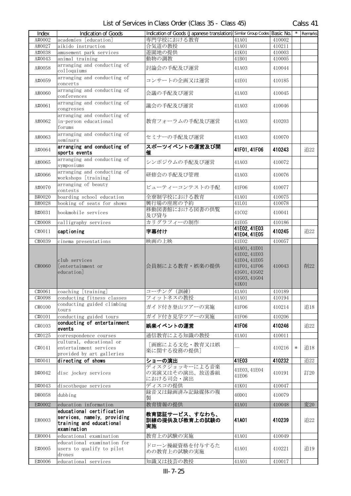| List of Services in Class Order (Class 35 - Class 45) | Calss 41 |
|-------------------------------------------------------|----------|

| Index  | <b>Indication of Goods</b>                                                                          | Indication of Goods (Japanese translation) Similar Group Codes Basic No. |                                                                                                       |        | $\star$ | Remarks |
|--------|-----------------------------------------------------------------------------------------------------|--------------------------------------------------------------------------|-------------------------------------------------------------------------------------------------------|--------|---------|---------|
| A#0002 | academies [education]                                                                               | 専門学校における教育                                                               | 41A01                                                                                                 | 410002 |         |         |
| A#0027 | aikido instruction                                                                                  | 合気道の教授                                                                   | 41A01                                                                                                 | 410211 |         |         |
| A#0038 | amusement park services                                                                             | 遊園地の提供                                                                   | 41K01                                                                                                 | 410003 |         |         |
| A#0043 | animal training                                                                                     | 動物の調教                                                                    | 41B01                                                                                                 | 410005 |         |         |
| A#0058 | arranging and conducting of<br>colloquiums                                                          | 討論会の手配及び運営                                                               | 41A03                                                                                                 | 410044 |         |         |
| A#0059 | arranging and conducting of<br>concerts                                                             | コンサートの企画又は運営                                                             | 41E01                                                                                                 | 410185 |         |         |
| A#0060 | arranging and conducting of<br>conferences                                                          | 会議の手配及び運営                                                                | 41A03                                                                                                 | 410045 |         |         |
| A#0061 | arranging and conducting of<br>congresses                                                           | 議会の手配及び運営                                                                | 41A03                                                                                                 | 410046 |         |         |
| A#0062 | arranging and conducting of<br>in-person educational<br>forums                                      | 教育フォーラムの手配及び運営                                                           | 41A03                                                                                                 | 410203 |         |         |
| A#0063 | arranging and conducting of<br>seminars                                                             | セミナーの手配及び運営                                                              | 41A03                                                                                                 | 410070 |         |         |
| A#0064 | arranging and conducting of<br>sports events                                                        | スポーツイベントの運営及び開<br>催                                                      | 41F01, 41F06                                                                                          | 410243 |         | 追22     |
| A#0065 | arranging and conducting of<br>symposiums                                                           | シンポジウムの手配及び運営                                                            | 41A03                                                                                                 | 410072 |         |         |
| A#0066 | arranging and conducting of<br>workshops [training]                                                 | 研修会の手配及び管理                                                               | 41A03                                                                                                 | 410076 |         |         |
| A#0070 | arranging of beauty<br>contests                                                                     | ビューティーコンテストの手配                                                           | 41F06                                                                                                 | 410077 |         |         |
| B#0020 | boarding school education                                                                           | 全寮制学校における教育                                                              | 41A01                                                                                                 | 410075 |         |         |
| B#0028 | booking of seats for shows                                                                          | 興行場の座席の予約                                                                | 41L01                                                                                                 | 410078 |         |         |
| B#0031 | bookmobile services                                                                                 | 移動図書館における図書の供覧<br>及び貸与                                                   | 41C02                                                                                                 | 410041 |         |         |
| C#0008 | calligraphy services                                                                                | カリグラフィーの制作                                                               | 41E05                                                                                                 | 410186 |         |         |
| C#0011 | captioning                                                                                          | 字幕付け                                                                     | 41E02, 41E03<br>41E04, 41E05                                                                          | 410245 |         | 追22     |
| C#0039 | cinema presentations                                                                                | 映画の上映                                                                    | 41E02                                                                                                 | 410057 |         |         |
| C#0060 | club services<br>[entertainment or<br>education                                                     | 会員制による教育・娯楽の提供                                                           | 41A01, 41E01<br>41E02, 41E03<br>41E04, 41E05<br>41F01, 41F06<br>41G01, 41G02<br>41G03, 41G04<br>41K01 | 410043 |         | 削22     |
| C#0061 | coaching [training]                                                                                 | コーチング (訓練)                                                               | 41A01                                                                                                 | 410189 |         |         |
| C#0098 | conducting fitness classes                                                                          | フィットネスの教授                                                                | 41A01                                                                                                 | 410194 |         |         |
| C#0100 | conducting guided climbing<br>tours                                                                 | ガイド付き登山ツアーの実施                                                            | 41F06                                                                                                 | 410214 |         | 追18     |
| C#0101 | conducting guided tours                                                                             | ガイド付き見学ツアーの実施                                                            | 41F06                                                                                                 | 410206 |         |         |
| C#0103 | conducting of entertainment<br>events                                                               | 娯楽イベントの運営                                                                | 41F06                                                                                                 | 410246 |         | 追22     |
| C#0125 | correspondence courses<br>cultural, educational or                                                  | 通信教育による知識の教授                                                             | 41A01                                                                                                 | 410011 |         |         |
| C#0141 | entertainment services<br>provided by art galleries                                                 | 「画廊による文化・教育又は娯<br>楽に関する役務の提供]                                            |                                                                                                       | 410216 | $\ast$  | 追18     |
| D#0041 | directing of shows                                                                                  | ショーの演出<br>ディスクジョッキーによる音楽                                                 | 41E03                                                                                                 | 410232 |         | 追22     |
| D#0042 | disc jockey services                                                                                | の実演又はその演出、放送番組<br>における司会・演出                                              | 41E03, 41E04<br>41E06                                                                                 | 410191 |         | 訂20     |
| D#0043 | discotheque services                                                                                | ディスコの提供                                                                  | 41K01                                                                                                 | 410047 |         |         |
| D#0058 | dubbing                                                                                             | 録音又は録画済み記録媒体の複<br>製                                                      | 40D01                                                                                                 | 410079 |         |         |
| E#0002 | education information                                                                               | 教育情報の提供                                                                  | 41A01                                                                                                 | 410048 |         | 変20     |
| E#0003 | educational certification<br>services, namely, providing<br>training and educational<br>examination | 教育認証サービス、すなわち、<br>訓練の提供及び教育上の試験の<br>実施                                   | 41A01                                                                                                 | 410239 |         | 追22     |
| E#0004 | educational examination                                                                             | 教育上の試験の実施                                                                | 41A01                                                                                                 | 410049 |         |         |
| E#0005 | educational examination for<br>users to qualify to pilot<br>drones                                  | ドローン操縦資格を付与するた<br>めの教育上の試験の実施                                            | 41A01                                                                                                 | 410221 |         | 追19     |
| E#0006 | educational services                                                                                | 知識又は技芸の教授                                                                | 41A01                                                                                                 | 410017 |         |         |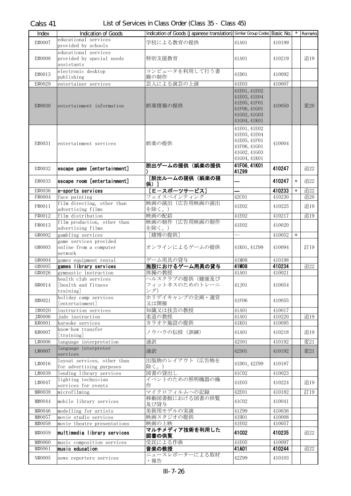| 学校による教育の提供<br>E#0007<br>410199<br>41A01<br>provided by schools<br>educational services<br>E#0008<br>provided by special needs<br>特別支援教育<br>追19<br>41A01<br>410219<br>assistants<br>コンピュータを利用して行う書<br>electronic desktop<br>E#0013<br>41D01<br>410092<br>籍の制作<br>publishing<br>芸人による演芸の上演<br>41E03<br>410007<br>E#0029<br>entertainer services<br>41E01, 41E02<br>41E03, 41E04<br>41E05, 41F01<br>娯楽情報の提供<br>変20<br>E#0030<br>entertainment information<br>410050<br>41F06, 41G01<br>41602, 41603<br>41G04, 41K01<br>41E01, 41E02<br>41E03, 41E04<br>41E05, 41F01<br>E#0031<br>娯楽の提供<br>entertainment services<br>410004<br>41F06, 41G01<br>41602, 41603<br>41G04, 41K01<br>41F06, 41K01<br>脱出ゲームの提供(娯楽の提供<br>410247<br>escape game [entertainment]<br>追22<br>E#0032<br>41Z99<br>[脱出ルームの提供 (娯楽の提<br>escape room [entertainment]<br>410247<br>E#0033<br>追22<br>$\ast$<br>供)]<br>[E-スポーツサービス]<br>410233<br>追22<br>E#0036<br>e-sports services<br>$\ast$<br>410230<br>追20<br>F#0004<br>フェイスペインティング<br>42C01<br>face painting<br>映画の演出(広告用映画の演出<br>film directing, other than<br>追19<br>F#0011<br>41E02<br>410225<br>advertising films<br>を除く。)<br>film distribution<br>映画の配給<br>41E02<br>追19<br>410217<br>F#0012<br>film production, other than<br>映画の制作(広告用映画の制作<br>F#0013<br>41E02<br>410020<br>advertising films<br>を除く。)<br>[賭博の提供]<br>G#0002<br>gambling services<br>410052<br>$\ast$<br>game services provided<br>G#0003<br>オンラインによるゲームの提供<br>訂19<br>online from a computer<br>41K01, 41Z99<br>410094<br>network<br>ゲーム用具の貸与<br>G#0004<br>41M08<br>410198<br>games equipment rental<br>41M08<br>410234<br>施設におけるゲーム用具の貸与<br>G#0005<br>games library services<br>追22<br>体操の教授<br>G#0026<br>gymnastic instruction<br>41A01<br>410021<br>ヘルスクラブの提供(健康及び<br>health club services<br>[health and fitness<br>フィットネスのためのトレーニ<br>H#0014<br>41, J01<br>410054<br>ング)<br>training]<br>holiday camp services<br>ホリデイキャンプの企画・運営<br>H#0021<br>41F06<br>410055<br>[entertainment]<br>又は開催<br>I#0020<br>知識又は技芸の教授<br>instruction services<br>41A01<br>410017<br>柔道の教授<br>J#0006<br>judo instruction<br>41A01<br>410220<br>追19<br>カラオケ施設の提供<br>K#0001<br>karaoke services<br>41K01<br>410095<br>know-how transfer<br>ノウハウの伝授 (訓練)<br>K#0007<br>追19<br>41A01<br>410218<br>[training]<br>42S01<br>変21<br>L#0006<br>language interpretation<br>通訳<br>410192<br>language interpreter<br>L#0007<br>通訳<br>変21<br>42S01<br>410192<br>services<br>出版物のレイアウト(広告物を<br>layout services, other than<br>L#0016<br>41D01, 42Z99<br>410187<br>除く。)<br>for advertising purposes<br>図書の貸出し<br>lending library services<br>41C02<br>L#0039<br>410023<br>イベントのための照明機器の操<br>lighting technician<br>L#0047<br>41E03<br>追19<br>410224<br>services for events<br>作<br>microfilming<br>マイクロフィルムへの記録<br>42E01<br>訂19<br>M#0038<br>410182<br>移動図書館における図書の供覧<br>mobile library services<br>M#0044<br>41C02<br>410041<br>及び貸与<br>美術用モデルの実演<br>M#0046<br>41Z99<br>modelling for artists<br>410036<br>M#0057<br>映画スタジオの提供<br>movie studio services<br>41H01<br>410008<br>映画の上映<br>M#0058<br>movie theatre presentations<br>41E02<br>410057<br>マルチメディア技術を利用した<br>41CO <sub>2</sub><br>multimedia library services<br>M#0059<br>410235<br>追22<br>図書の供覧<br>受託による作曲<br>music composition services<br>41E05<br>410097<br>M#0060<br>41A01<br>music education<br>410244<br>追22<br>M#0061<br>音楽の教授<br>ニュースレポーターによる取材<br>42Z99<br>N#0005<br>410103<br>news reporters services<br>・報告 | Index | Indication of Goods  | Indication of Goods (Japanese translation) Similar Group Codes Basic No. |  | $\star$ | Remarks |
|---------------------------------------------------------------------------------------------------------------------------------------------------------------------------------------------------------------------------------------------------------------------------------------------------------------------------------------------------------------------------------------------------------------------------------------------------------------------------------------------------------------------------------------------------------------------------------------------------------------------------------------------------------------------------------------------------------------------------------------------------------------------------------------------------------------------------------------------------------------------------------------------------------------------------------------------------------------------------------------------------------------------------------------------------------------------------------------------------------------------------------------------------------------------------------------------------------------------------------------------------------------------------------------------------------------------------------------------------------------------------------------------------------------------------------------------------------------------------------------------------------------------------------------------------------------------------------------------------------------------------------------------------------------------------------------------------------------------------------------------------------------------------------------------------------------------------------------------------------------------------------------------------------------------------------------------------------------------------------------------------------------------------------------------------------------------------------------------------------------------------------------------------------------------------------------------------------------------------------------------------------------------------------------------------------------------------------------------------------------------------------------------------------------------------------------------------------------------------------------------------------------------------------------------------------------------------------------------------------------------------------------------------------------------------------------------------------------------------------------------------------------------------------------------------------------------------------------------------------------------------------------------------------------------------------------------------------------------------------------------------------------------------------------------------------------------------------------------------------------------------------------------------------------------------------------------------------------------------------------------------------------------------------------------------------------------------------------------------------------------------------------------------------------------------------|-------|----------------------|--------------------------------------------------------------------------|--|---------|---------|
|                                                                                                                                                                                                                                                                                                                                                                                                                                                                                                                                                                                                                                                                                                                                                                                                                                                                                                                                                                                                                                                                                                                                                                                                                                                                                                                                                                                                                                                                                                                                                                                                                                                                                                                                                                                                                                                                                                                                                                                                                                                                                                                                                                                                                                                                                                                                                                                                                                                                                                                                                                                                                                                                                                                                                                                                                                                                                                                                                                                                                                                                                                                                                                                                                                                                                                                                                                                                                                 |       | educational services |                                                                          |  |         |         |
|                                                                                                                                                                                                                                                                                                                                                                                                                                                                                                                                                                                                                                                                                                                                                                                                                                                                                                                                                                                                                                                                                                                                                                                                                                                                                                                                                                                                                                                                                                                                                                                                                                                                                                                                                                                                                                                                                                                                                                                                                                                                                                                                                                                                                                                                                                                                                                                                                                                                                                                                                                                                                                                                                                                                                                                                                                                                                                                                                                                                                                                                                                                                                                                                                                                                                                                                                                                                                                 |       |                      |                                                                          |  |         |         |
|                                                                                                                                                                                                                                                                                                                                                                                                                                                                                                                                                                                                                                                                                                                                                                                                                                                                                                                                                                                                                                                                                                                                                                                                                                                                                                                                                                                                                                                                                                                                                                                                                                                                                                                                                                                                                                                                                                                                                                                                                                                                                                                                                                                                                                                                                                                                                                                                                                                                                                                                                                                                                                                                                                                                                                                                                                                                                                                                                                                                                                                                                                                                                                                                                                                                                                                                                                                                                                 |       |                      |                                                                          |  |         |         |
|                                                                                                                                                                                                                                                                                                                                                                                                                                                                                                                                                                                                                                                                                                                                                                                                                                                                                                                                                                                                                                                                                                                                                                                                                                                                                                                                                                                                                                                                                                                                                                                                                                                                                                                                                                                                                                                                                                                                                                                                                                                                                                                                                                                                                                                                                                                                                                                                                                                                                                                                                                                                                                                                                                                                                                                                                                                                                                                                                                                                                                                                                                                                                                                                                                                                                                                                                                                                                                 |       |                      |                                                                          |  |         |         |
|                                                                                                                                                                                                                                                                                                                                                                                                                                                                                                                                                                                                                                                                                                                                                                                                                                                                                                                                                                                                                                                                                                                                                                                                                                                                                                                                                                                                                                                                                                                                                                                                                                                                                                                                                                                                                                                                                                                                                                                                                                                                                                                                                                                                                                                                                                                                                                                                                                                                                                                                                                                                                                                                                                                                                                                                                                                                                                                                                                                                                                                                                                                                                                                                                                                                                                                                                                                                                                 |       |                      |                                                                          |  |         |         |
|                                                                                                                                                                                                                                                                                                                                                                                                                                                                                                                                                                                                                                                                                                                                                                                                                                                                                                                                                                                                                                                                                                                                                                                                                                                                                                                                                                                                                                                                                                                                                                                                                                                                                                                                                                                                                                                                                                                                                                                                                                                                                                                                                                                                                                                                                                                                                                                                                                                                                                                                                                                                                                                                                                                                                                                                                                                                                                                                                                                                                                                                                                                                                                                                                                                                                                                                                                                                                                 |       |                      |                                                                          |  |         |         |
|                                                                                                                                                                                                                                                                                                                                                                                                                                                                                                                                                                                                                                                                                                                                                                                                                                                                                                                                                                                                                                                                                                                                                                                                                                                                                                                                                                                                                                                                                                                                                                                                                                                                                                                                                                                                                                                                                                                                                                                                                                                                                                                                                                                                                                                                                                                                                                                                                                                                                                                                                                                                                                                                                                                                                                                                                                                                                                                                                                                                                                                                                                                                                                                                                                                                                                                                                                                                                                 |       |                      |                                                                          |  |         |         |
|                                                                                                                                                                                                                                                                                                                                                                                                                                                                                                                                                                                                                                                                                                                                                                                                                                                                                                                                                                                                                                                                                                                                                                                                                                                                                                                                                                                                                                                                                                                                                                                                                                                                                                                                                                                                                                                                                                                                                                                                                                                                                                                                                                                                                                                                                                                                                                                                                                                                                                                                                                                                                                                                                                                                                                                                                                                                                                                                                                                                                                                                                                                                                                                                                                                                                                                                                                                                                                 |       |                      |                                                                          |  |         |         |
|                                                                                                                                                                                                                                                                                                                                                                                                                                                                                                                                                                                                                                                                                                                                                                                                                                                                                                                                                                                                                                                                                                                                                                                                                                                                                                                                                                                                                                                                                                                                                                                                                                                                                                                                                                                                                                                                                                                                                                                                                                                                                                                                                                                                                                                                                                                                                                                                                                                                                                                                                                                                                                                                                                                                                                                                                                                                                                                                                                                                                                                                                                                                                                                                                                                                                                                                                                                                                                 |       |                      |                                                                          |  |         |         |
|                                                                                                                                                                                                                                                                                                                                                                                                                                                                                                                                                                                                                                                                                                                                                                                                                                                                                                                                                                                                                                                                                                                                                                                                                                                                                                                                                                                                                                                                                                                                                                                                                                                                                                                                                                                                                                                                                                                                                                                                                                                                                                                                                                                                                                                                                                                                                                                                                                                                                                                                                                                                                                                                                                                                                                                                                                                                                                                                                                                                                                                                                                                                                                                                                                                                                                                                                                                                                                 |       |                      |                                                                          |  |         |         |
|                                                                                                                                                                                                                                                                                                                                                                                                                                                                                                                                                                                                                                                                                                                                                                                                                                                                                                                                                                                                                                                                                                                                                                                                                                                                                                                                                                                                                                                                                                                                                                                                                                                                                                                                                                                                                                                                                                                                                                                                                                                                                                                                                                                                                                                                                                                                                                                                                                                                                                                                                                                                                                                                                                                                                                                                                                                                                                                                                                                                                                                                                                                                                                                                                                                                                                                                                                                                                                 |       |                      |                                                                          |  |         |         |
|                                                                                                                                                                                                                                                                                                                                                                                                                                                                                                                                                                                                                                                                                                                                                                                                                                                                                                                                                                                                                                                                                                                                                                                                                                                                                                                                                                                                                                                                                                                                                                                                                                                                                                                                                                                                                                                                                                                                                                                                                                                                                                                                                                                                                                                                                                                                                                                                                                                                                                                                                                                                                                                                                                                                                                                                                                                                                                                                                                                                                                                                                                                                                                                                                                                                                                                                                                                                                                 |       |                      |                                                                          |  |         |         |
|                                                                                                                                                                                                                                                                                                                                                                                                                                                                                                                                                                                                                                                                                                                                                                                                                                                                                                                                                                                                                                                                                                                                                                                                                                                                                                                                                                                                                                                                                                                                                                                                                                                                                                                                                                                                                                                                                                                                                                                                                                                                                                                                                                                                                                                                                                                                                                                                                                                                                                                                                                                                                                                                                                                                                                                                                                                                                                                                                                                                                                                                                                                                                                                                                                                                                                                                                                                                                                 |       |                      |                                                                          |  |         |         |
|                                                                                                                                                                                                                                                                                                                                                                                                                                                                                                                                                                                                                                                                                                                                                                                                                                                                                                                                                                                                                                                                                                                                                                                                                                                                                                                                                                                                                                                                                                                                                                                                                                                                                                                                                                                                                                                                                                                                                                                                                                                                                                                                                                                                                                                                                                                                                                                                                                                                                                                                                                                                                                                                                                                                                                                                                                                                                                                                                                                                                                                                                                                                                                                                                                                                                                                                                                                                                                 |       |                      |                                                                          |  |         |         |
|                                                                                                                                                                                                                                                                                                                                                                                                                                                                                                                                                                                                                                                                                                                                                                                                                                                                                                                                                                                                                                                                                                                                                                                                                                                                                                                                                                                                                                                                                                                                                                                                                                                                                                                                                                                                                                                                                                                                                                                                                                                                                                                                                                                                                                                                                                                                                                                                                                                                                                                                                                                                                                                                                                                                                                                                                                                                                                                                                                                                                                                                                                                                                                                                                                                                                                                                                                                                                                 |       |                      |                                                                          |  |         |         |
|                                                                                                                                                                                                                                                                                                                                                                                                                                                                                                                                                                                                                                                                                                                                                                                                                                                                                                                                                                                                                                                                                                                                                                                                                                                                                                                                                                                                                                                                                                                                                                                                                                                                                                                                                                                                                                                                                                                                                                                                                                                                                                                                                                                                                                                                                                                                                                                                                                                                                                                                                                                                                                                                                                                                                                                                                                                                                                                                                                                                                                                                                                                                                                                                                                                                                                                                                                                                                                 |       |                      |                                                                          |  |         |         |
|                                                                                                                                                                                                                                                                                                                                                                                                                                                                                                                                                                                                                                                                                                                                                                                                                                                                                                                                                                                                                                                                                                                                                                                                                                                                                                                                                                                                                                                                                                                                                                                                                                                                                                                                                                                                                                                                                                                                                                                                                                                                                                                                                                                                                                                                                                                                                                                                                                                                                                                                                                                                                                                                                                                                                                                                                                                                                                                                                                                                                                                                                                                                                                                                                                                                                                                                                                                                                                 |       |                      |                                                                          |  |         |         |
|                                                                                                                                                                                                                                                                                                                                                                                                                                                                                                                                                                                                                                                                                                                                                                                                                                                                                                                                                                                                                                                                                                                                                                                                                                                                                                                                                                                                                                                                                                                                                                                                                                                                                                                                                                                                                                                                                                                                                                                                                                                                                                                                                                                                                                                                                                                                                                                                                                                                                                                                                                                                                                                                                                                                                                                                                                                                                                                                                                                                                                                                                                                                                                                                                                                                                                                                                                                                                                 |       |                      |                                                                          |  |         |         |
|                                                                                                                                                                                                                                                                                                                                                                                                                                                                                                                                                                                                                                                                                                                                                                                                                                                                                                                                                                                                                                                                                                                                                                                                                                                                                                                                                                                                                                                                                                                                                                                                                                                                                                                                                                                                                                                                                                                                                                                                                                                                                                                                                                                                                                                                                                                                                                                                                                                                                                                                                                                                                                                                                                                                                                                                                                                                                                                                                                                                                                                                                                                                                                                                                                                                                                                                                                                                                                 |       |                      |                                                                          |  |         |         |
|                                                                                                                                                                                                                                                                                                                                                                                                                                                                                                                                                                                                                                                                                                                                                                                                                                                                                                                                                                                                                                                                                                                                                                                                                                                                                                                                                                                                                                                                                                                                                                                                                                                                                                                                                                                                                                                                                                                                                                                                                                                                                                                                                                                                                                                                                                                                                                                                                                                                                                                                                                                                                                                                                                                                                                                                                                                                                                                                                                                                                                                                                                                                                                                                                                                                                                                                                                                                                                 |       |                      |                                                                          |  |         |         |
|                                                                                                                                                                                                                                                                                                                                                                                                                                                                                                                                                                                                                                                                                                                                                                                                                                                                                                                                                                                                                                                                                                                                                                                                                                                                                                                                                                                                                                                                                                                                                                                                                                                                                                                                                                                                                                                                                                                                                                                                                                                                                                                                                                                                                                                                                                                                                                                                                                                                                                                                                                                                                                                                                                                                                                                                                                                                                                                                                                                                                                                                                                                                                                                                                                                                                                                                                                                                                                 |       |                      |                                                                          |  |         |         |
|                                                                                                                                                                                                                                                                                                                                                                                                                                                                                                                                                                                                                                                                                                                                                                                                                                                                                                                                                                                                                                                                                                                                                                                                                                                                                                                                                                                                                                                                                                                                                                                                                                                                                                                                                                                                                                                                                                                                                                                                                                                                                                                                                                                                                                                                                                                                                                                                                                                                                                                                                                                                                                                                                                                                                                                                                                                                                                                                                                                                                                                                                                                                                                                                                                                                                                                                                                                                                                 |       |                      |                                                                          |  |         |         |
|                                                                                                                                                                                                                                                                                                                                                                                                                                                                                                                                                                                                                                                                                                                                                                                                                                                                                                                                                                                                                                                                                                                                                                                                                                                                                                                                                                                                                                                                                                                                                                                                                                                                                                                                                                                                                                                                                                                                                                                                                                                                                                                                                                                                                                                                                                                                                                                                                                                                                                                                                                                                                                                                                                                                                                                                                                                                                                                                                                                                                                                                                                                                                                                                                                                                                                                                                                                                                                 |       |                      |                                                                          |  |         |         |
|                                                                                                                                                                                                                                                                                                                                                                                                                                                                                                                                                                                                                                                                                                                                                                                                                                                                                                                                                                                                                                                                                                                                                                                                                                                                                                                                                                                                                                                                                                                                                                                                                                                                                                                                                                                                                                                                                                                                                                                                                                                                                                                                                                                                                                                                                                                                                                                                                                                                                                                                                                                                                                                                                                                                                                                                                                                                                                                                                                                                                                                                                                                                                                                                                                                                                                                                                                                                                                 |       |                      |                                                                          |  |         |         |
|                                                                                                                                                                                                                                                                                                                                                                                                                                                                                                                                                                                                                                                                                                                                                                                                                                                                                                                                                                                                                                                                                                                                                                                                                                                                                                                                                                                                                                                                                                                                                                                                                                                                                                                                                                                                                                                                                                                                                                                                                                                                                                                                                                                                                                                                                                                                                                                                                                                                                                                                                                                                                                                                                                                                                                                                                                                                                                                                                                                                                                                                                                                                                                                                                                                                                                                                                                                                                                 |       |                      |                                                                          |  |         |         |
|                                                                                                                                                                                                                                                                                                                                                                                                                                                                                                                                                                                                                                                                                                                                                                                                                                                                                                                                                                                                                                                                                                                                                                                                                                                                                                                                                                                                                                                                                                                                                                                                                                                                                                                                                                                                                                                                                                                                                                                                                                                                                                                                                                                                                                                                                                                                                                                                                                                                                                                                                                                                                                                                                                                                                                                                                                                                                                                                                                                                                                                                                                                                                                                                                                                                                                                                                                                                                                 |       |                      |                                                                          |  |         |         |
|                                                                                                                                                                                                                                                                                                                                                                                                                                                                                                                                                                                                                                                                                                                                                                                                                                                                                                                                                                                                                                                                                                                                                                                                                                                                                                                                                                                                                                                                                                                                                                                                                                                                                                                                                                                                                                                                                                                                                                                                                                                                                                                                                                                                                                                                                                                                                                                                                                                                                                                                                                                                                                                                                                                                                                                                                                                                                                                                                                                                                                                                                                                                                                                                                                                                                                                                                                                                                                 |       |                      |                                                                          |  |         |         |
|                                                                                                                                                                                                                                                                                                                                                                                                                                                                                                                                                                                                                                                                                                                                                                                                                                                                                                                                                                                                                                                                                                                                                                                                                                                                                                                                                                                                                                                                                                                                                                                                                                                                                                                                                                                                                                                                                                                                                                                                                                                                                                                                                                                                                                                                                                                                                                                                                                                                                                                                                                                                                                                                                                                                                                                                                                                                                                                                                                                                                                                                                                                                                                                                                                                                                                                                                                                                                                 |       |                      |                                                                          |  |         |         |
|                                                                                                                                                                                                                                                                                                                                                                                                                                                                                                                                                                                                                                                                                                                                                                                                                                                                                                                                                                                                                                                                                                                                                                                                                                                                                                                                                                                                                                                                                                                                                                                                                                                                                                                                                                                                                                                                                                                                                                                                                                                                                                                                                                                                                                                                                                                                                                                                                                                                                                                                                                                                                                                                                                                                                                                                                                                                                                                                                                                                                                                                                                                                                                                                                                                                                                                                                                                                                                 |       |                      |                                                                          |  |         |         |
|                                                                                                                                                                                                                                                                                                                                                                                                                                                                                                                                                                                                                                                                                                                                                                                                                                                                                                                                                                                                                                                                                                                                                                                                                                                                                                                                                                                                                                                                                                                                                                                                                                                                                                                                                                                                                                                                                                                                                                                                                                                                                                                                                                                                                                                                                                                                                                                                                                                                                                                                                                                                                                                                                                                                                                                                                                                                                                                                                                                                                                                                                                                                                                                                                                                                                                                                                                                                                                 |       |                      |                                                                          |  |         |         |
|                                                                                                                                                                                                                                                                                                                                                                                                                                                                                                                                                                                                                                                                                                                                                                                                                                                                                                                                                                                                                                                                                                                                                                                                                                                                                                                                                                                                                                                                                                                                                                                                                                                                                                                                                                                                                                                                                                                                                                                                                                                                                                                                                                                                                                                                                                                                                                                                                                                                                                                                                                                                                                                                                                                                                                                                                                                                                                                                                                                                                                                                                                                                                                                                                                                                                                                                                                                                                                 |       |                      |                                                                          |  |         |         |
|                                                                                                                                                                                                                                                                                                                                                                                                                                                                                                                                                                                                                                                                                                                                                                                                                                                                                                                                                                                                                                                                                                                                                                                                                                                                                                                                                                                                                                                                                                                                                                                                                                                                                                                                                                                                                                                                                                                                                                                                                                                                                                                                                                                                                                                                                                                                                                                                                                                                                                                                                                                                                                                                                                                                                                                                                                                                                                                                                                                                                                                                                                                                                                                                                                                                                                                                                                                                                                 |       |                      |                                                                          |  |         |         |
|                                                                                                                                                                                                                                                                                                                                                                                                                                                                                                                                                                                                                                                                                                                                                                                                                                                                                                                                                                                                                                                                                                                                                                                                                                                                                                                                                                                                                                                                                                                                                                                                                                                                                                                                                                                                                                                                                                                                                                                                                                                                                                                                                                                                                                                                                                                                                                                                                                                                                                                                                                                                                                                                                                                                                                                                                                                                                                                                                                                                                                                                                                                                                                                                                                                                                                                                                                                                                                 |       |                      |                                                                          |  |         |         |
|                                                                                                                                                                                                                                                                                                                                                                                                                                                                                                                                                                                                                                                                                                                                                                                                                                                                                                                                                                                                                                                                                                                                                                                                                                                                                                                                                                                                                                                                                                                                                                                                                                                                                                                                                                                                                                                                                                                                                                                                                                                                                                                                                                                                                                                                                                                                                                                                                                                                                                                                                                                                                                                                                                                                                                                                                                                                                                                                                                                                                                                                                                                                                                                                                                                                                                                                                                                                                                 |       |                      |                                                                          |  |         |         |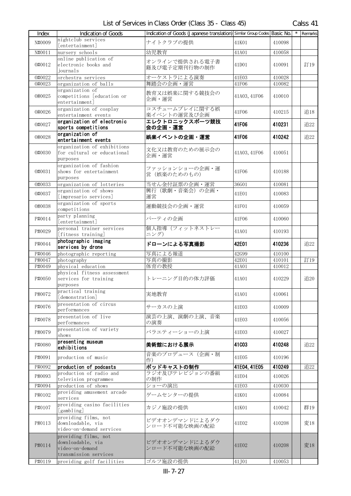| Index  | <b>Indication of Goods</b>                                                            | Indication of Goods (Japanese translation) Similar Group Codes Basic No. |                |                  | $\overline{\phantom{a}}$ Remarks |
|--------|---------------------------------------------------------------------------------------|--------------------------------------------------------------------------|----------------|------------------|----------------------------------|
| N#0009 | nightclub services<br>[entertainment]                                                 | ナイトクラブの提供                                                                | 41K01          | 410098           |                                  |
| N#0011 | nursery schools                                                                       | 幼児教育                                                                     | 41A01          | 410058           |                                  |
| 0#0012 | online publication of<br>electronic books and                                         | オンラインで提供される電子書<br>籍及び電子定期刊行物の制作                                          | 41D01          | 410091           | 訂19                              |
| 0#0022 | journals                                                                              |                                                                          |                |                  |                                  |
| 0#0023 | orchestra services<br>organization of balls                                           | オーケストラによる演奏<br>舞踏会の企画・運営                                                 | 41E03<br>41F06 | 410028<br>410082 |                                  |
|        | organization of                                                                       |                                                                          |                |                  |                                  |
| 0#0025 | competitions [education or<br>entertainment]                                          | 教育又は娯楽に関する競技会の<br>企画・運営                                                  | 41A03, 41F06   | 410010           |                                  |
| 0#0026 | organization of cosplay<br>entertainment events                                       | コスチュームプレイに関する娯<br>楽イベントの運営及び企画                                           | 41F06          | 410215           | 追18                              |
| 0#0027 | organization of electronic<br>sports competitions                                     | エレクトロニックスポーツ競技<br>会の企画・運営                                                | 41F06          | 410231           | 追22                              |
| 0#0028 | organization of<br>entertainment events                                               | 娯楽イベントの企画・運営                                                             | 41F06          | 410242           | 追22                              |
| 0#0030 | organization of exhibitions<br>for cultural or educational<br>purposes                | 文化又は教育のための展示会の<br>企画・運営                                                  | 41A03, 41F06   | 410051           |                                  |
| 0#0031 | organization of fashion<br>shows for entertainment<br>purposes                        | ファッションショーの企画・運<br>営 (娯楽のためのもの)                                           | 41F06          | 410188           |                                  |
| 0#0033 | organization of lotteries                                                             | 当せん金付証票の企画・運営                                                            | 36G01          | 410081           |                                  |
| 0#0037 | organization of shows<br>[impresario services]                                        | 興行 (歌劇・音楽会)の企画・<br>運営                                                    | 41E01          | 410083           |                                  |
| 0#0038 | organization of sports<br>competitions                                                | 運動競技会の企画・運営                                                              | 41F01          | 410059           |                                  |
| P#0014 | party planning<br>[entertainment]                                                     | パーティの企画                                                                  | 41F06          | 410060           |                                  |
| P#0029 | personal trainer services<br>[fitness training]                                       | 個人指導(フィットネストレー<br>ニング)                                                   | 41A01          | 410193           |                                  |
| P#0044 | photographic imaging<br>services by drone                                             | ドローンによる写真撮影                                                              | 42E01          | 410236           | 追22                              |
| P#0046 | photographic reporting                                                                | 写真による報道                                                                  | 42G99          | 410100           |                                  |
| P#0047 | photography                                                                           | 写真の撮影                                                                    | 42E01          | 410101           | 訂19                              |
| P#0049 | physical education                                                                    | 体育の教授                                                                    | 41A01          | 410012           |                                  |
| P#0050 | physical fitness assessment<br>services for training<br>purposes                      | トレーニング目的の体力評価                                                            | 41A01          | 410229           | 追20                              |
| P#0072 | practical training<br>[demonstration]                                                 | 実地教育                                                                     | 41A01          | 410061           |                                  |
| P#0076 | presentation of circus<br>performances                                                | サーカスの上演                                                                  | 41E03          | 410009           |                                  |
| P#0078 | presentation of live<br>performances                                                  | 演芸の上演、演劇の上演、音楽<br>の演奏                                                    | 41E03          | 410056           |                                  |
| P#0079 | presentation of variety<br>shows                                                      | バラエティーショーの上演                                                             | 41E03          | 410027           |                                  |
| P#0080 | presenting museum<br>exhibitions                                                      | 美術館における展示                                                                | 41C03          | 410248           | 追22                              |
| P#0091 | production of music                                                                   | 音楽のプロデュース (企画・制<br>作)                                                    | 41E05          | 410196           |                                  |
| P#0092 | production of podcasts                                                                | ポッドキャストの制作                                                               | 41E04, 41E05   | 410249           | 追22                              |
| P#0093 | production of radio and<br>television programmes                                      | ラジオ及びテレビジョンの番組<br>の制作                                                    | 41E04          | 410026           |                                  |
| P#0094 | production of shows                                                                   | ショーの演出                                                                   | 41E03          | 410030           |                                  |
| P#0102 | providing amusement arcade<br>services                                                | ゲームセンターの提供                                                               | 41K01          | 410084           |                                  |
| P#0107 | providing casino facilities<br>[gambling]                                             | カジノ施設の提供                                                                 | 41K01          | 410042           | 群19                              |
| P#0113 | providing films, not<br>downloadable, via<br>video-on-demand services                 | ビデオオンデマンドによるダウ<br>ンロード不可能な映画の配給                                          | 41E02          | 410208           | 変18                              |
| P#0114 | providing films, not<br>downloadable, via<br>video-on-demand<br>transmission services | ビデオオンデマンドによるダウ<br>ンロード不可能な映画の配給                                          | 41E02          | 410208           | 変18                              |
| P#0119 | providing golf facilities                                                             | ゴルフ施設の提供                                                                 | 41J01          | 410053           |                                  |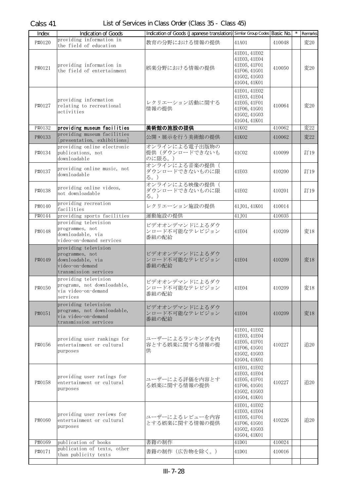| Index  | <b>Indication of Goods</b>                                                                               | Indication of Goods (Japanese translation) Similar Group Codes Basic No. |                                                                                              |        | Remarks |
|--------|----------------------------------------------------------------------------------------------------------|--------------------------------------------------------------------------|----------------------------------------------------------------------------------------------|--------|---------|
| P#0120 | providing information in<br>the field of education                                                       | 教育の分野における情報の提供                                                           | 41A01                                                                                        | 410048 | 変20     |
| P#0121 | providing information in<br>the field of entertainment                                                   | 娯楽分野における情報の提供                                                            | 41E01, 41E02<br>41E03, 41E04<br>41E05, 41F01<br>41F06, 41G01<br>41G02, 41G03<br>41G04, 41K01 | 410050 | 変20     |
| P#0127 | providing information<br>relating to recreational<br>activities                                          | レクリエーション活動に関する<br>情報の提供                                                  | 41E01, 41E02<br>41E03, 41E04<br>41E05, 41F01<br>41F06, 41G01<br>41602, 41603<br>41G04, 41K01 | 410064 | 変20     |
| P#0132 | providing museum facilities<br>providing museum facilities                                               | 美術館の施設の提供                                                                | 41K02                                                                                        | 410062 | 変22     |
| P#0133 | [presentation, exhibitions]                                                                              | 公開・展示を行う美術館の提供                                                           | 41K02                                                                                        | 410062 | 変22     |
| P#0134 | providing online electronic<br>publications, not<br>downloadable                                         | オンラインによる電子出版物の<br>提供(ダウンロードできないも<br>のに限る。)                               | 41C02                                                                                        | 410099 | 訂19     |
| P#0137 | providing online music, not<br>downloadable                                                              | オンラインによる音楽の提供(<br>ダウンロードできないものに限<br>る。)                                  | 41E03                                                                                        | 410200 | 訂19     |
| P#0138 | providing online videos,<br>not downloadable                                                             | オンラインによる映像の提供(<br>ダウンロードできないものに限<br>る。)                                  | 41E02                                                                                        | 410201 | 訂19     |
| P#0140 | providing recreation<br>facilities                                                                       | レクリエーション施設の提供                                                            | 41J01, 41K01                                                                                 | 410014 |         |
| P#0144 | providing sports facilities                                                                              | 運動施設の提供                                                                  | 41J01                                                                                        | 410035 |         |
| P#0148 | providing television<br>programmes, not<br>downloadable, via<br>video-on-demand services                 | ビデオオンデマンドによるダウ<br>ンロード不可能なテレビジョン<br>番組の配給                                | 41E04                                                                                        | 410209 | 変18     |
| P#0149 | providing television<br>programmes, not<br>downloadable, via<br>video-on-demand<br>transmission services | ビデオオンデマンドによるダウ<br>ンロード不可能なテレビジョン<br>番組の配給                                | 41E04                                                                                        | 410209 | 変18     |
| P#0150 | providing television<br>programs, not downloadable,<br>via video-on-demand<br>services                   | ビデオオンデマンドによるダウ<br>ンロード不可能なテレビジョン<br>番組の配給                                | 41E04                                                                                        | 410209 | 変18     |
| P#0151 | providing television<br>programs, not downloadable,<br>via video-on-demand<br>transmission services      | ビデオオンデマンドによるダウ<br>ンロード不可能なテレビジョン<br>番組の配給                                | 41E04                                                                                        | 410209 | 変18     |
| P#0156 | providing user rankings for<br>entertainment or cultural<br>purposes                                     | ユーザーによるランキングを内<br>容とする娯楽に関する情報の提<br>供                                    | 41E01, 41E02<br>41E03, 41E04<br>41E05, 41F01<br>41F06, 41G01<br>41602, 41603<br>41G04, 41K01 | 410227 | 追20     |
| P#0158 | providing user ratings for<br>entertainment or cultural<br>purposes                                      | ユーザーによる評価を内容とす<br>る娯楽に関する情報の提供                                           | 41E01, 41E02<br>41E03, 41E04<br>41E05, 41F01<br>41F06, 41G01<br>41602, 41603<br>41G04, 41K01 | 410227 | 追20     |
| P#0160 | providing user reviews for<br>entertainment or cultural<br>purposes                                      | ユーザーによるレビューを内容<br>とする娯楽に関する情報の提供                                         | 41E01, 41E02<br>41E03, 41E04<br>41E05, 41F01<br>41F06, 41G01<br>41602, 41603<br>41G04, 41K01 | 410226 | 追20     |
| P#0169 | publication of books<br>publication of texts, other                                                      | 書籍の制作                                                                    | 41D01                                                                                        | 410024 |         |
| P#0171 | than publicity texts                                                                                     | 書籍の制作(広告物を除く。)                                                           | 41D01                                                                                        | 410016 |         |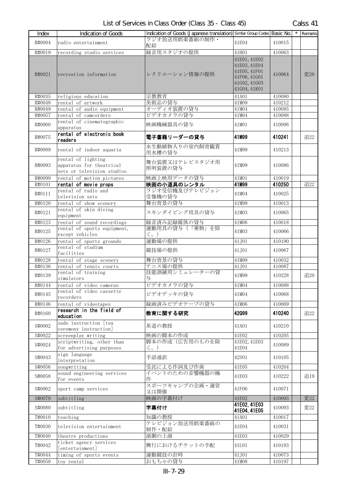| Index  | Indication of Goods                                                          | Indication of Goods (Japanese translation) Similar Group Codes Basic No. |                                                                                              |        | $\star$ | Remarks |
|--------|------------------------------------------------------------------------------|--------------------------------------------------------------------------|----------------------------------------------------------------------------------------------|--------|---------|---------|
| R#0004 | radio entertainment                                                          | ラジオ放送用娯楽番組の制作·<br>配給                                                     | 41E04                                                                                        | 410015 |         |         |
| R#0019 | recording studio services                                                    | 録音用スタジオの提供                                                               | 41H01                                                                                        | 410063 |         |         |
| R#0021 | recreation information                                                       | レクリエーション情報の提供                                                            | 41E01, 41E02<br>41E03, 41E04<br>41E05, 41F01<br>41F06, 41G01<br>41G02, 41G03<br>41G04, 41K01 | 410064 |         | 変20     |
| R#0035 | religious education                                                          | 宗教教育                                                                     | 41A01                                                                                        | 410080 |         |         |
| R#0048 | rental of artwork                                                            | 美術品の貸与                                                                   | 41M09                                                                                        | 410212 |         |         |
| R#0049 | rental of audio equipment                                                    | オーディオ装置の貸与                                                               | 41M04                                                                                        | 410085 |         |         |
| R#0057 | rental of camcorders                                                         | ビデオカメラの貸与                                                                | 41M04                                                                                        | 410088 |         |         |
| R#0060 | rental of cinematographic<br>apparatus                                       | 映画機械器具の貸与                                                                | 41M01                                                                                        | 410006 |         |         |
| R#0075 | rental of electronic book<br>readers                                         | 電子書籍リーダーの貸与                                                              | 41M99                                                                                        | 410241 |         | 追22     |
| R#0089 | rental of indoor aquaria                                                     | 水生動植物入りの室内飼育観賞<br>用水槽の貸与                                                 | 41M99                                                                                        | 410213 |         |         |
| R#0093 | rental of lighting<br>apparatus for theatrical<br>sets or television studios | 舞台装置又はテレビスタジオ用<br>照明装置の貸与                                                | 41M99                                                                                        | 410086 |         |         |
| R#0099 | rental of motion pictures                                                    | 映画上映用データの貸与                                                              | 41M01                                                                                        | 410019 |         |         |
| R#0101 | rental of movie props                                                        | 映画の小道具のレンタル                                                              | 41M99                                                                                        | 410250 |         | 追22     |
| R#0111 | rental of radio and<br>television sets                                       | ラジオ受信機及びテレビジョン<br>受像機の貸与                                                 | 41M04                                                                                        | 410025 |         |         |
| R#0120 | rental of show scenery                                                       | 舞台背景の貸与                                                                  | 41M99                                                                                        | 410013 |         |         |
| R#0121 | rental of skin diving<br>equipment                                           | スキンダイビング用具の貸与                                                            | 41M03                                                                                        | 410065 |         |         |
| R#0123 | rental of sound recordings                                                   | 録音済み記録媒体の貸与                                                              | 41M06                                                                                        | 410018 |         |         |
| R#0125 | rental of sports equipment,<br>except vehicles                               | 運動用具の貸与(「乗物」を除<br>く。)                                                    | 41M03                                                                                        | 410066 |         |         |
| R#0126 | rental of sports grounds                                                     | 運動場の提供                                                                   | 41J01                                                                                        | 410190 |         |         |
| R#0127 | rental of stadium<br>facilities                                              | 競技場の提供                                                                   | 41.J01                                                                                       | 410067 |         |         |
| R#0128 | rental of stage scenery                                                      | 舞台背景の貸与                                                                  | 41M99                                                                                        | 410032 |         |         |
| R#0136 | rental of tennis courts                                                      | テニス場の提供                                                                  | 41J01                                                                                        | 410087 |         |         |
| R#0139 | rental of training<br>simulators                                             | 技能訓練用シミュレーターの貸<br>与                                                      | 41M99                                                                                        | 410228 |         | 追20     |
| R#0144 | rental of video cameras                                                      | ビデオカメラの貸与                                                                | 41M04                                                                                        | 410088 |         |         |
| R#0145 | rental of video cassette<br>recorders                                        | ビデオデッキの貸与                                                                | 41M04                                                                                        | 410068 |         |         |
| R#0146 | rental of videotapes                                                         | 録画済みビデオテープの貸与                                                            | 41M06                                                                                        | 410069 |         |         |
| R#0160 | research in the field of<br>education                                        | 教育に関する研究                                                                 | 42099                                                                                        | 410240 |         | 追22     |
| S#0002 | sado instruction [tea<br>ceremony instruction]                               | 茶道の教授                                                                    | 41A01                                                                                        | 410210 |         |         |
| S#0022 | screenplay writing                                                           | 映画の脚本の作成                                                                 | 41E02                                                                                        | 410205 |         |         |
| S#0024 | scriptwriting, other than<br>for advertising purposes                        | 脚本の作成(広告用のものを除<br>く。)                                                    | 41E02, 41E03<br>41E04                                                                        | 410089 |         |         |
| S#0043 | sign language<br>interpretation                                              | 手話通訳                                                                     | 42S01                                                                                        | 410105 |         |         |
| S#0056 | songwriting                                                                  | 受託による作詞及び作曲                                                              | 41E05                                                                                        | 410204 |         |         |
| S#0058 | sound engineering services<br>for events                                     | イベントのための音響機器の操<br>作                                                      | 41E03                                                                                        | 410222 |         | 追19     |
| S#0062 | sport camp services                                                          | スポーツキャンプの企画·運営<br>又は開催                                                   | 41F06                                                                                        | 410071 |         |         |
| S#0079 | subtitling                                                                   | 映画の字幕付け                                                                  | 41E02                                                                                        | 410093 |         | 変22     |
| S#0080 | subtitling                                                                   | 字幕付け                                                                     | 41E02, 41E03<br>41E04, 41E05                                                                 | 410093 |         | 変22     |
| T#0010 | teaching                                                                     | 知識の教授                                                                    | 41A01                                                                                        | 410017 |         |         |
| T#0030 | television entertainment                                                     | テレビジョン放送用娯楽番組の<br>制作・配給                                                  | 41E04                                                                                        | 410031 |         |         |
| T#0040 | theatre productions                                                          | 演劇の上演                                                                    | 41E03                                                                                        | 410029 |         |         |
| T#0042 | ticket agency services<br>[entertainment]                                    | 興行におけるチケットの手配                                                            | 41L01                                                                                        | 410183 |         |         |
| T#0044 | timing of sports events                                                      | 運動競技の計時                                                                  | 41J01                                                                                        | 410073 |         |         |
| T#0050 | toy rental                                                                   | おもちゃの貸与                                                                  | 41M08                                                                                        | 410197 |         |         |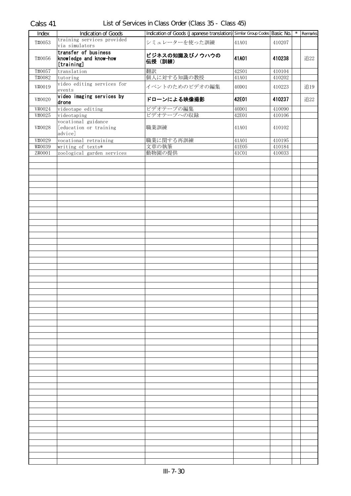| Index            | <b>Indication of Goods</b>                                   | Indication of Goods (Japanese translation) Similar Group Codes Basic No. |                |                  | $*$ Remarks |
|------------------|--------------------------------------------------------------|--------------------------------------------------------------------------|----------------|------------------|-------------|
| T#0053           | training services provided<br>via simulators                 | シミュレーターを使った訓練                                                            | 41A01          | 410207           |             |
| T#0056           | transfer of business<br>knowledge and know-how<br>[training] | ビジネスの知識及びノウハウの<br>伝授 (訓練)                                                | 41A01          | 410238           | 追22         |
| T#0057           | translation                                                  | 翻訳                                                                       | 42S01          | 410104           |             |
| T#0082           | tutoring                                                     | 個人に対する知識の教授                                                              | 41A01          | 410202           |             |
| V#0019           | video editing services for<br>events                         | イベントのためのビデオの編集                                                           | 40D01          | 410223           | 追19         |
| V#0020           | video imaging services by<br>drone                           | ドローンによる映像撮影                                                              | 42E01          | 410237           | 追22         |
| V#0024<br>V#0025 | videotape editing<br>videotaping                             | ビデオテープの編集<br>ビデオテープへの収録                                                  | 40D01<br>42E01 | 410090<br>410106 |             |
| V#0028           | vocational guidance<br>[education or training<br>advice]     | 職業訓練                                                                     | 41A01          | 410102           |             |
| V#0029           | vocational retraining                                        | 職業に関する再訓練                                                                | 41A01          | 410195           |             |
| W#0039           | writing of texts*                                            | 文章の執筆                                                                    | 41E05          | 410184           |             |
| Z#0001           | zoological garden services                                   | 動物園の提供                                                                   | 41C01          | 410033           |             |
|                  |                                                              |                                                                          |                |                  |             |
|                  |                                                              |                                                                          |                |                  |             |
|                  |                                                              |                                                                          |                |                  |             |
|                  |                                                              |                                                                          |                |                  |             |
|                  |                                                              |                                                                          |                |                  |             |
|                  |                                                              |                                                                          |                |                  |             |
|                  |                                                              |                                                                          |                |                  |             |
|                  |                                                              |                                                                          |                |                  |             |
|                  |                                                              |                                                                          |                |                  |             |
|                  |                                                              |                                                                          |                |                  |             |
|                  |                                                              |                                                                          |                |                  |             |
|                  |                                                              |                                                                          |                |                  |             |
|                  |                                                              |                                                                          |                |                  |             |
|                  |                                                              |                                                                          |                |                  |             |
|                  |                                                              |                                                                          |                |                  |             |
|                  |                                                              |                                                                          |                |                  |             |
|                  |                                                              |                                                                          |                |                  |             |
|                  |                                                              |                                                                          |                |                  |             |
|                  |                                                              |                                                                          |                |                  |             |
|                  |                                                              |                                                                          |                |                  |             |
|                  |                                                              |                                                                          |                |                  |             |
|                  |                                                              |                                                                          |                |                  |             |
|                  |                                                              |                                                                          |                |                  |             |
|                  |                                                              |                                                                          |                |                  |             |
|                  |                                                              |                                                                          |                |                  |             |
|                  |                                                              |                                                                          |                |                  |             |
|                  |                                                              |                                                                          |                |                  |             |
|                  |                                                              |                                                                          |                |                  |             |
|                  |                                                              |                                                                          |                |                  |             |
|                  |                                                              |                                                                          |                |                  |             |
|                  |                                                              |                                                                          |                |                  |             |
|                  |                                                              |                                                                          |                |                  |             |
|                  |                                                              |                                                                          |                |                  |             |
|                  |                                                              |                                                                          |                |                  |             |
|                  |                                                              |                                                                          |                |                  |             |
|                  |                                                              |                                                                          |                |                  |             |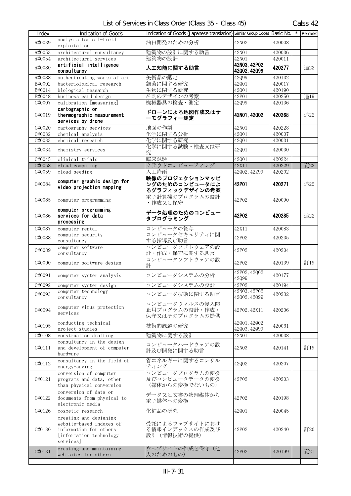| Index            | Indication of Goods                                                                                                   | Indication of Goods (Japanese translation) Similar Group Codes Basic No. |                              |        | Remarks |
|------------------|-----------------------------------------------------------------------------------------------------------------------|--------------------------------------------------------------------------|------------------------------|--------|---------|
| A#0039           | analysis for oil-field<br>exploitation                                                                                | 油田開発のための分析                                                               | 42N02                        | 420008 |         |
| A#0053           | architectural consultancy                                                                                             | 建築物の設計に関する助言                                                             | 42N01                        | 420036 |         |
| A#0054           | architectural services                                                                                                | 建築物の設計                                                                   | 42N01                        | 420011 |         |
| A#0080           | artificial intelligence<br>consultancy                                                                                | 人工知能に関する助言                                                               | 42N03, 42P02<br>42002, 42099 | 420277 | 追22     |
| A#0088           | authenticating works of art                                                                                           | 美術品の鑑定                                                                   | 42Q99                        | 420132 |         |
| B#0002           | bacteriological research                                                                                              | 細菌に関する研究                                                                 | 42Q01                        | 420017 |         |
| B#0014           | biological research                                                                                                   | 生物に関する研究                                                                 | 42Q01                        | 420190 |         |
| B#0048<br>C#0007 | business card design                                                                                                  | 名刺のデザインの考案<br>機械器具の検査・測定                                                 | 42P01                        | 420250 | 追19     |
|                  | calibration [measuring]<br>cartographic or                                                                            |                                                                          | 42Q99                        | 420136 |         |
| C#0019           | thermographic measurement<br>services by drone                                                                        | ドローンによる地図作成又はサ<br>ーモグラフィー測定                                              | 42N01, 42Q02                 | 420268 | 追22     |
| C#0020           | cartography services                                                                                                  | 地図の作製                                                                    | 42N01                        | 420228 |         |
| C#0032           | chemical analysis                                                                                                     | 化学に関する分析                                                                 | 42Q01                        | 420007 |         |
| C#0033           | chemical research                                                                                                     | 化学に関する研究                                                                 | 42Q01                        | 420031 |         |
| C#0034           | chemistry services                                                                                                    | 化学に関する試験・検査又は研<br>究                                                      | 42Q01                        | 420030 |         |
| C#0045           | clinical trials                                                                                                       | 臨床試験                                                                     | 42Q01                        | 420224 |         |
| C#0058           | cloud computing                                                                                                       | クラウドコンピューティング                                                            | 42X11                        | 420229 | 変22     |
| C#0059           | cloud seeding                                                                                                         | 人工降雨                                                                     | 42Q02, 42Z99                 | 420202 |         |
| C#0084           | computer graphic design for<br>video projection mapping                                                               | 映像のプロジェクションマッピ<br>ングのためのコンピュータによ<br>るグラフィックデザインの考案                       | 42P01                        | 420271 | 追22     |
| C#0085           | computer programming                                                                                                  | 電子計算機のプログラムの設計<br>・作成又は保守                                                | 42P02                        | 420090 |         |
| C#0086           | computer programming<br>services for data<br>processing                                                               | データ処理のためのコンピュー<br>タプログラミング                                               | 42P02                        | 420285 | 追22     |
| C#0087           | computer rental                                                                                                       | コンピュータの貸与                                                                | 42X11                        | 420083 |         |
| C#0088           | computer security<br>consultancy                                                                                      | コンピュータセキュリティに関<br>する指導及び助言                                               | 42P02                        | 420235 |         |
| C#0089           | computer software<br>consultancy                                                                                      | コンピュータソフトウェアの設<br>計・作成・保守に関する助言                                          | 42P02                        | 420204 |         |
| C#0090           | computer software design                                                                                              | コンピュータソフトウェアの設<br>計                                                      | 42P02                        | 420139 | 訂19     |
| C#0091           | computer system analysis                                                                                              | コンピュータシステムの分析                                                            | 42P02, 42Q02<br>42Q99        | 420177 |         |
| C#0092           | computer system design                                                                                                | コンピュータシステムの設計                                                            | 42P02                        | 420194 |         |
| C#0093           | computer technology<br>consultancy                                                                                    | コンピュータ技術に関する助言                                                           | 42N03, 42P02<br>42002, 42099 | 420232 |         |
| C#0094           | computer virus protection<br>services                                                                                 | コンピュータウィルスの侵入防<br>止用プログラムの設計・作成・<br>保守又はそのプログラムの提供                       | 42P02, 42X11                 | 420206 |         |
| C#0105           | conducting technical<br>project studies                                                                               | 技術的課題の研究                                                                 | 42001, 42002<br>42Q03, 42Q99 | 420061 |         |
| C#0108           | construction drafting                                                                                                 | 建築物に関する設計                                                                | 42N01                        | 420038 |         |
| C#0111           | consultancy in the design<br>and development of computer<br>hardware                                                  | コンピュータハードウェアの設<br>計及び開発に関する助言                                            | 42N03                        | 420141 | 訂19     |
| C#0112           | consultancy in the field of<br>energy-saving                                                                          | 省エネルギーに関するコンサル<br>ティング                                                   | 42002                        | 420207 |         |
| C#0121           | conversion of computer<br>programs and data, other<br>than physical conversion                                        | コンピュータプログラムの変換<br>及びコンピュータデータの変換<br>(媒体からの変換でないもの)                       | 42P02                        | 420203 |         |
| C#0122           | conversion of data or<br>documents from physical to<br>electronic media                                               | データ又は文書の物理媒体から<br>電子媒体への変換                                               | 42P02                        | 420198 |         |
| C#0126           | cosmetic research                                                                                                     | 化粧品の研究                                                                   | 42Q01                        | 420045 |         |
| C#0130           | creating and designing<br>website-based indexes of<br>information for others<br>[information technology]<br>services] | 受託によるウェブサイトにおけ<br>る情報インデックスの作成及び<br>設計 (情報技術の提供)                         | 42P02                        | 420240 | 訂20     |
| C#0131           | creating and maintaining<br>web sites for others                                                                      | ウェブサイトの作成と保守(他<br>人のためのもの)                                               | 42P02                        | 420199 | 変21     |
|                  |                                                                                                                       |                                                                          |                              |        |         |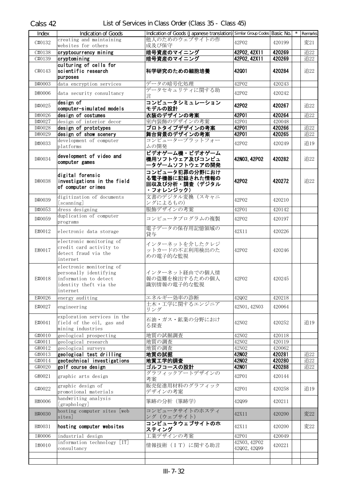| Index           | Indication of Goods                             | Indication of Goods (Japanese translation) Similar Group Codes Basic No. |                              |        | Remarks |
|-----------------|-------------------------------------------------|--------------------------------------------------------------------------|------------------------------|--------|---------|
| C#0132          | creating and maintaining                        | 他人のためのウェブサイトの作                                                           | 42P02                        | 420199 | 変21     |
|                 | websites for others                             | 成及び保守                                                                    |                              |        |         |
| C#0138          | cryptocurrency mining                           | 暗号資産のマイニング                                                               | 42P02, 42X11                 | 420269 | 追22     |
| C#0139          | cryptomining                                    | 暗号資産のマイニング                                                               | 42P02, 42X11                 | 420269 | 追22     |
|                 | culturing of cells for                          |                                                                          |                              |        |         |
| C#0143          | scientific research                             | 科学研究のための細胞培養                                                             | 42001                        | 420284 | 追22     |
|                 | purposes                                        |                                                                          |                              |        |         |
| D#0003          | data encryption services                        | データの暗号化処理                                                                | 42P02                        | 420243 |         |
| D#0006          | data security consultancy                       | データセキュリティに関する助                                                           | 42P02                        | 420242 |         |
|                 |                                                 | 言                                                                        |                              |        |         |
| D#0025          | design of                                       | コンピュータシミュレーション                                                           | 42P02                        | 420267 | 追22     |
|                 | computer-simulated models                       | モデルの設計                                                                   |                              |        |         |
| D#0026          | design of costumes                              | 衣装のデザインの考案                                                               | 42P01                        | 420264 | 追22     |
| D#0027          | design of interior decor                        | 室内装飾のデザインの考案                                                             | 42P01                        | 420048 |         |
| D#0028          | design of prototypes                            | プロトタイプデザインの考案                                                            | 42P01                        | 420266 | 追22     |
| D#0029          | design of show scenery                          | 舞台背景のデザインの考案                                                             | 42P01                        | 420265 | 追22     |
| D#0033          | development of computer                         | コンピュータープラットフォー                                                           | 42P02                        | 420249 | 追19     |
|                 | platforms                                       | ムの開発                                                                     |                              |        |         |
|                 | development of video and                        | ビデオゲーム機・ビデオゲーム                                                           |                              |        |         |
| D#0034          | computer games                                  | 機用ソフトウェア及びコンピュ                                                           | 42N03, 42P02                 | 420282 | 追22     |
|                 |                                                 | <b>-タゲームソフトウェアの開発</b>                                                    |                              |        |         |
|                 | digital forensic                                | コンピュータ犯罪の分野におけ                                                           |                              |        |         |
| D#0038          | investigations in the field                     | る電子機器に記録された情報の                                                           | 42P02                        | 420272 | 追22     |
|                 | of computer crimes                              | 回収及び分析・調査(デジタル                                                           |                              |        |         |
|                 |                                                 | ・フォレンジック)                                                                |                              |        |         |
| D#0039          | digitization of documents                       | 文書のデジタル変換(スキャニ                                                           | 42P02                        | 420210 |         |
|                 | [scanning]                                      | ングによるもの)                                                                 |                              |        |         |
| D#0053          | dress designing                                 | 服飾デザインの考案                                                                | 42P01                        | 420142 |         |
| D#0059          | duplication of computer                         | コンピュータプログラムの複製                                                           | 42P02                        | 420197 |         |
|                 | programs                                        |                                                                          |                              |        |         |
| E#0012          | electronic data storage                         | 電子データの保存用記憶領域の                                                           | 42X11                        | 420226 |         |
|                 |                                                 | 貸与                                                                       |                              |        |         |
|                 | electronic monitoring of                        | インターネットを介したクレジ                                                           |                              |        |         |
| E#0017          | credit card activity to                         | ットカードの不正利用検出のた                                                           | 42P02                        | 420246 |         |
|                 | detect fraud via the                            | めの電子的な監視                                                                 |                              |        |         |
|                 | internet                                        |                                                                          |                              |        |         |
|                 | electronic monitoring of                        | インターネット経由での個人情                                                           |                              |        |         |
| E#0018          | personally identifying<br>information to detect | 報の盗難を検出するための個人                                                           | 42P02                        | 420245 |         |
|                 | identity theft via the                          | 識別情報の電子的な監視                                                              |                              |        |         |
|                 | internet                                        |                                                                          |                              |        |         |
| E#0026          | energy auditing                                 | エネルギー効率の診断                                                               | 42Q02                        | 420218 |         |
|                 |                                                 | 土木・工学に関するエンジニア                                                           |                              |        |         |
| E#0027          | engineering                                     | リング                                                                      | 42N01, 42N03                 | 420064 |         |
|                 | exploration services in the                     |                                                                          |                              |        |         |
| E#0041          | field of the oil, gas and                       | 石油・ガス・鉱業の分野におけ                                                           | 42N02                        | 420252 | 追19     |
|                 | mining industries                               | る探査                                                                      |                              |        |         |
| $\sqrt{640010}$ | geological prospecting                          | 地質の試掘調査                                                                  | 42N02                        | 420118 |         |
| G#0011          | geological research                             | 地質の調査                                                                    | 42N02                        | 420119 |         |
| G#0012          | geological surveys                              | 地質の調査                                                                    | 42N02                        | 420062 |         |
| G#0013          | geological test drilling                        | 地質の試掘                                                                    | 42N02                        | 420281 | 追22     |
| G#0014          | geotechnical investigations                     | 地質工学的調査                                                                  | 42N02                        | 420280 | 追22     |
| G#0020          | golf course design                              | ゴルフコースの設計                                                                | 42N01                        | 420288 | 追22     |
| G#0021          | graphic arts design                             | グラフィックアートデザインの                                                           | 42P01                        | 420144 |         |
|                 |                                                 | 考案                                                                       |                              |        |         |
| G#0022          | graphic design of                               | 販売促進用材料のグラフィック                                                           | 42P01                        | 420258 | 追19     |
|                 | promotional materials                           | デザインの考案                                                                  |                              |        |         |
| H#0006          | handwriting analysis                            | 筆跡の分析 (筆跡学)                                                              | 42Q99                        | 420211 |         |
|                 | [graphology]                                    |                                                                          |                              |        |         |
| H#0030          | hosting computer sites [web                     | コンピュータサイトのホスティ                                                           | 42X11                        | 420200 | 変22     |
|                 | sites]                                          | ング (ウェブサイト)                                                              |                              |        |         |
| H#0031          | hosting computer websites                       | コンピュータウェブサイトのホ                                                           | 42X11                        | 420200 | 変22     |
|                 |                                                 | スティング                                                                    |                              |        |         |
| I#0006          | industrial design                               | 工業デザインの考案                                                                | 42P01                        | 420049 |         |
| I#0010          | information technology [IT]<br>consultancy      | 情報技術 (IT) に関する助言                                                         | 42N03, 42P02<br>42002, 42099 | 420221 |         |
|                 |                                                 |                                                                          |                              |        |         |
|                 |                                                 |                                                                          |                              |        |         |
|                 |                                                 |                                                                          |                              |        |         |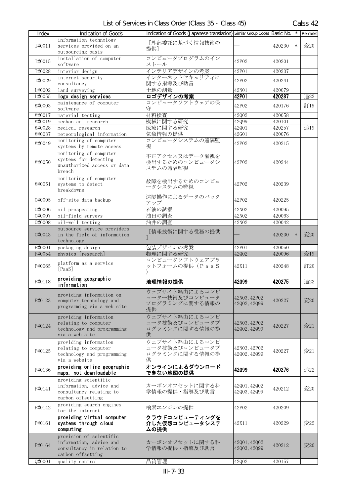| Index  | Indication of Goods                                | Indication of Goods (Japanese translation) Similar Group Codes Basic No. |                              |        |        | Remarks |
|--------|----------------------------------------------------|--------------------------------------------------------------------------|------------------------------|--------|--------|---------|
|        | information technology                             | [外部委託に基づく情報技術の                                                           |                              |        |        |         |
| T#0011 | services provided on an                            | 提供]                                                                      |                              | 420230 | $\ast$ | 変20     |
|        | outsourcing basis                                  |                                                                          |                              |        |        |         |
| I#0015 | installation of computer                           | コンピュータプログラムのイン                                                           | 42P02                        | 420201 |        |         |
|        | software                                           | ストール                                                                     |                              |        |        |         |
| I#0028 | interior design                                    | インテリアデザインの考案                                                             | 42P01                        | 420237 |        |         |
| I#0029 | internet security<br>consultancy                   | インターネットセキュリティに<br>関する指導及び助言                                              | 42P02                        | 420241 |        |         |
| L#0002 | land surveying                                     | 土地の測量                                                                    | 42N01                        | 420079 |        |         |
| L#0055 | logo design services                               | ロゴデザインの考案                                                                | 42P01                        | 420287 |        | 追22     |
|        | maintenance of computer                            | コンピュータソフトウェアの保                                                           |                              |        |        |         |
| M#0003 | software                                           | 守                                                                        | 42P02                        | 420176 |        | 訂19     |
| M#0017 | material testing                                   | 材料検査                                                                     | 42Q02                        | 420058 |        |         |
| M#0019 | mechanical research                                | 機械に関する研究                                                                 | 42099                        | 420101 |        |         |
| M#0028 | medical research                                   | 医療に関する研究                                                                 | 42Q01                        | 420257 |        | 追19     |
| M#0037 | meteorological information                         | 気象情報の提供                                                                  | 42G01                        | 420076 |        |         |
| M#0049 | monitoring of computer                             | コンピュータシステムの遠隔監                                                           | 42P02                        | 420215 |        |         |
|        | systems by remote access                           | 視                                                                        |                              |        |        |         |
|        | monitoring of computer                             | 不正アクセス又はデータ漏洩を                                                           |                              |        |        |         |
| M#0050 | systems for detecting                              | 検出するためのコンピュータシ                                                           | 42P02                        | 420244 |        |         |
|        | unauthorized access or data<br>breach              | ステムの遠隔監視                                                                 |                              |        |        |         |
|        |                                                    |                                                                          |                              |        |        |         |
| M#0051 | monitoring of computer<br>systems to detect        | 故障を検出するためのコンピュ                                                           | 42P02                        | 420239 |        |         |
|        | breakdowns                                         | ータシステムの監視                                                                |                              |        |        |         |
|        |                                                    | 遠隔操作によるデータのバック                                                           |                              |        |        |         |
| 0#0005 | off-site data backup                               | アップ                                                                      | 42P02                        | 420225 |        |         |
| 0#0006 | oil prospecting                                    | 石油の試掘                                                                    | 42N02                        | 420095 |        |         |
| 0#0007 | oil-field surveys                                  | 油田の調査                                                                    | 42N02                        | 420063 |        |         |
| 0#0008 | oil-well testing                                   | 油井の調査                                                                    | 42N02                        | 420042 |        |         |
|        | outsource service providers                        | [情報技術に関する役務の提供                                                           |                              |        |        |         |
| 0#0043 | in the field of information                        |                                                                          |                              | 420230 | $\ast$ | 変20     |
|        | technology                                         |                                                                          |                              |        |        |         |
| P#0001 | packaging design                                   | 包装デザインの考案                                                                | 42P01                        | 420050 |        |         |
| P#0054 | physics [research]                                 | 物理に関する研究<br>コンピュータソフトウェアプラ                                               | 42Q02                        | 420096 |        | 変19     |
| P#0065 | platform as a service                              | ットフォームの提供(PaaS                                                           | 42X11                        | 420248 |        | 訂20     |
|        | [PaaS]                                             |                                                                          |                              |        |        |         |
|        | providing geographic                               |                                                                          |                              |        |        |         |
| P#0118 | information                                        | 地理情報の提供                                                                  | 42G99                        | 420275 |        | 追22     |
|        | providing information on                           | ウェブサイト経由によるコンピ                                                           |                              |        |        |         |
| P#0123 | computer technology and                            | ューター技術及びコンピュータ                                                           | 42N03, 42P02                 | 420227 |        | 変20     |
|        | programming via a web site                         | プログラミングに関する情報の                                                           | 42002, 42099                 |        |        |         |
|        |                                                    | 提供                                                                       |                              |        |        |         |
|        | providing information                              | ウェブサイト経由によるコンピ                                                           |                              |        |        |         |
| P#0124 | relating to computer<br>technology and programming | ュータ技術及びコンピュータプ<br>ログラミングに関する情報の提                                         | 42N03, 42P02<br>42002, 42099 | 420227 |        | 変21     |
|        | via a web site                                     | 供                                                                        |                              |        |        |         |
|        | providing information                              | ウェブサイト経由によるコンピ                                                           |                              |        |        |         |
|        | relating to computer                               | ュータ技術及びコンピュータプ                                                           | 42N03, 42P02                 |        |        |         |
| P#0125 | technology and programming                         | ログラミングに関する情報の提                                                           | 42002, 42099                 | 420227 |        | 変21     |
|        | via a website                                      | 供                                                                        |                              |        |        |         |
| P#0136 | providing online geographic                        | オンラインによるダウンロード                                                           | 42G99                        | 420276 |        | 追22     |
|        | maps, not downloadable                             | できない地図の提供                                                                |                              |        |        |         |
|        | providing scientific                               |                                                                          |                              |        |        |         |
| P#0141 | information, advice and                            | カーボンオフセットに関する科                                                           | 42001, 42002                 | 420212 |        | 変20     |
|        | consultancy relating to                            | 学情報の提供・指導及び助言                                                            | 42003, 42099                 |        |        |         |
|        | carbon offsetting                                  |                                                                          |                              |        |        |         |
| P#0142 | providing search engines<br>for the internet       | 検索エンジンの提供                                                                | 42P02                        | 420209 |        |         |
|        | providing virtual computer                         | クラウドコンピューティングを                                                           |                              |        |        |         |
| P#0161 | systems through cloud                              | 介した仮想コンピュータシステ                                                           | 42X11                        | 420229 |        | 変22     |
|        | computing                                          | ムの提供                                                                     |                              |        |        |         |
|        | provision of scientific                            |                                                                          |                              |        |        |         |
| P#0164 | information, advice and                            | カーボンオフセットに関する科                                                           | 42001, 42002                 | 420212 |        | 変20     |
|        | consultancy in relation to                         | 学情報の提供・指導及び助言                                                            | 42003, 42099                 |        |        |         |
|        | carbon offsetting                                  |                                                                          |                              |        |        |         |
| Q#0001 | quality control                                    | 品質管理                                                                     | 42Q02                        | 420157 |        |         |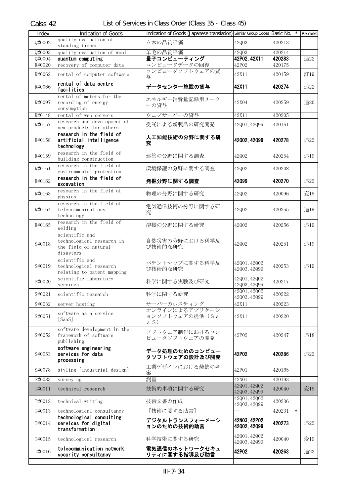| <b>Index</b>     | <b>Indication of Goods</b>                                                       | Indication of Goods (Japanese translation) Similar Group Codes Basic No. |                              |                  |        | $\overline{\phantom{a}}$ Remarks |
|------------------|----------------------------------------------------------------------------------|--------------------------------------------------------------------------|------------------------------|------------------|--------|----------------------------------|
| Q#0002           | quality evaluation of<br>standing timber                                         | 立木の品質評価                                                                  | 42003                        | 420213           |        |                                  |
| Q#0003<br>Q#0004 | quality evaluation of wool<br>quantum computing                                  | 羊毛の品質評価<br>量子コンピューティング                                                   | 42003<br>42P02, 42X11        | 420214<br>420283 |        | 追22                              |
| R#0020           | recovery of computer data                                                        | コンピュータデータの回復                                                             | 42P02                        | 420175           |        |                                  |
| R#0062           | rental of computer software                                                      | コンピュータソフトウェアの貸<br>与                                                      | 42X11                        | 420159           |        | 訂19                              |
| R#0066           | rental of data centre<br>facilities                                              | データセンター施設の貸与                                                             | 42X11                        | 420274           |        | 追22                              |
| R#0097           | rental of meters for the<br>recording of energy<br>consumption                   | エネルギー消費量記録用メータ<br>ーの貸与                                                   | 42X04                        | 420259           |        | 追20                              |
| R#0148           | rental of web servers                                                            | ウェブサーバーの貸与                                                               | 42X11                        | 420205           |        |                                  |
| R#0157           | research and development of<br>new products for others                           | 受託による新製品の研究開発                                                            | 42001, 42099                 | 420161           |        |                                  |
| R#0158           | research in the field of<br>artificial intelligence<br>technology                | 人工知能技術の分野に関する研<br>究                                                      | 42002, 42099                 | 420278           |        | 追22                              |
| R#0159           | research in the field of<br>building construction                                | 建築の分野に関する調査                                                              | 42Q02                        | 420254           |        | 追19                              |
| R#0161           | research in the field of<br>environmental protection                             | 環境保護の分野に関する調査                                                            | 42Q02                        | 420208           |        |                                  |
| R#0162           | research in the field of<br>excavation                                           | 発掘分野に関する調査                                                               | 42099                        | 420270           |        | 追22                              |
| R#0163           | research in the field of<br>physics                                              | 物理の分野に関する研究                                                              | 42002                        | 420096           |        | 変19                              |
| R#0164           | research in the field of<br>telecommunications<br>technology                     | 電気通信技術の分野に関する研<br>究                                                      | 42Q02                        | 420255           |        | 追19                              |
| R#0165           | research in the field of<br>welding                                              | 溶接の分野に関する研究                                                              | 42Q02                        | 420256           |        | 追19                              |
| S#0018           | scientific and<br>technological research in<br>the field of natural<br>disasters | 自然災害の分野における科学及<br>び技術的な研究                                                | 42002                        | 420251           |        | 追19                              |
| S#0019           | scientific and<br>technological research<br>relating to patent mapping           | パテントマップに関する科学及<br>び技術的な研究                                                | 42001, 42002<br>42Q03, 42Q99 | 420253           |        | 追19                              |
| S#0020           | scientific laboratory<br>services                                                | 科学に関する実験及び研究                                                             | 42Q01, 42Q02<br>42003, 42099 | 420217           |        |                                  |
| S#0021           | scientific research                                                              | 科学に関する研究                                                                 | 42001, 42002<br>42003, 42099 | 420222           |        |                                  |
| S#0032           | server hosting                                                                   | サーバーのホスティング<br>オンラインによるアプリケーシ                                            | 42X11                        | 420223           |        |                                  |
| S#0051           | software as a service<br>[SaaS]                                                  | ョンソフトウェアの提供 (Sa<br>a S)                                                  | 42X11                        | 420220           |        |                                  |
| S#0052           | software development in the<br>framework of software<br>publishing               | ソフトウェア制作におけるコン<br>ピュータソフトウェアの開発                                          | 42P02                        | 420247           |        | 追18                              |
| S#0053           | software engineering<br>services for data<br>processing                          | データ処理のためのコンピュー<br>タソフトウェアの設計及び開発                                         | 42P02                        | 420286           |        | 追22                              |
| S#0078           | styling [industrial design]                                                      | 工業デザインにおける装飾の考<br>案                                                      | 42P01                        | 420165           |        |                                  |
| S#0083           | surveying                                                                        | 測量                                                                       | 42N01                        | 420193           |        |                                  |
| T#0011           | technical research                                                               | 技術的事項に関する研究                                                              | 42001, 42002<br>42Q03, 42Q99 | 420040           |        | 変19                              |
| T#0012           | technical writing                                                                | 技術文書の作成                                                                  | 42001, 42002<br>42Q03, 42Q99 | 420236           |        |                                  |
| T#0013           | technological consultancy                                                        | [技術に関する助言]                                                               |                              | 420231           | $\ast$ |                                  |
| T#0014           | technological consulting<br>services for digital<br>transformation               | デジタルトランスフォーメーシ<br>ョンのための技術的助言                                            | 42N03, 42P02<br>42002, 42099 | 420273           |        | 追22                              |
| T#0015           | technological research                                                           | 科学技術に関する研究                                                               | 42001, 42002<br>42003, 42099 | 420040           |        | 変19                              |
| T#0016           | telecommunication network<br>security consultancy                                | 電気通信のネットワークセキュ<br>リティに関する指導及び助言                                          | 42P02                        | 420263           |        | 追22                              |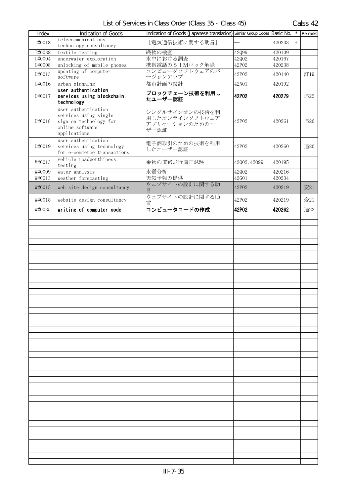| Index  | Indication of Goods                                                                                       | Indication of Goods (Japanese translation) Similar Group Codes Basic No. |              |        | $\star$ | Remarks |
|--------|-----------------------------------------------------------------------------------------------------------|--------------------------------------------------------------------------|--------------|--------|---------|---------|
| T#0018 | telecommunications<br>technology consultancy                                                              | [電気通信技術に関する助言]                                                           |              | 420233 | $\ast$  |         |
| T#0038 | textile testing                                                                                           | 織物の検査                                                                    | 42Q99        | 420109 |         |         |
| U#0004 | underwater exploration                                                                                    | 水中における調査                                                                 | 42Q02        | 420167 |         |         |
| U#0008 | unlocking of mobile phones                                                                                | 携帯電話のSIMロック解除                                                            | 42P02        | 420238 |         |         |
| U#0013 | updating of computer<br>software                                                                          | コンピュータソフトウェアのバ<br>ージョンアップ                                                | 42P02        | 420140 |         | 訂19     |
| U#0016 | urban planning                                                                                            | 都市計画の設計                                                                  | 42N01        | 420192 |         |         |
| U#0017 | user authentication<br>services using blockchain<br>technology                                            | ブロックチェーン技術を利用し<br>たユーザー認証                                                | 42P02        | 420279 |         | 追22     |
| U#0018 | user authentication<br>services using single<br>sign-on technology for<br>online software<br>applications | シングルサインオンの技術を利<br>用したオンラインソフトウェア<br>アプリケーションのためのユー<br>ザー認証               | 42P02        | 420261 |         | 追20     |
| U#0019 | user authentication<br>services using technology<br>for e-commerce transactions                           | 電子商取引のための技術を利用<br>したユーザー認証                                               | 42P02        | 420260 |         | 追20     |
| V#0013 | vehicle roadworthiness<br>testing                                                                         | 乗物の道路走行適正試験                                                              | 42002, 42099 | 420195 |         |         |
| W#0009 | water analysis                                                                                            | 水質分析                                                                     | 42Q02        | 420216 |         |         |
| W#0013 | weather forecasting                                                                                       | 天気予報の提供                                                                  | 42G01        | 420234 |         |         |
| W#0015 | web site design consultancy                                                                               | ウェブサイトの設計に関する助<br>言                                                      | 42P02        | 420219 |         | 変21     |
| W#0018 | website design consultancy                                                                                | ウェブサイトの設計に関する助<br>言                                                      | 42P02        | 420219 |         | 変21     |
| W#0035 | writing of computer code                                                                                  | コンピュータコードの作成                                                             | 42P02        | 420262 |         | 追22     |
|        |                                                                                                           |                                                                          |              |        |         |         |
|        |                                                                                                           |                                                                          |              |        |         |         |
|        |                                                                                                           |                                                                          |              |        |         |         |
|        |                                                                                                           |                                                                          |              |        |         |         |
|        |                                                                                                           |                                                                          |              |        |         |         |
|        |                                                                                                           |                                                                          |              |        |         |         |
|        |                                                                                                           |                                                                          |              |        |         |         |
|        |                                                                                                           |                                                                          |              |        |         |         |
|        |                                                                                                           |                                                                          |              |        |         |         |
|        |                                                                                                           |                                                                          |              |        |         |         |
|        |                                                                                                           |                                                                          |              |        |         |         |
|        |                                                                                                           |                                                                          |              |        |         |         |
|        |                                                                                                           |                                                                          |              |        |         |         |
|        |                                                                                                           |                                                                          |              |        |         |         |
|        |                                                                                                           |                                                                          |              |        |         |         |
|        |                                                                                                           |                                                                          |              |        |         |         |
|        |                                                                                                           |                                                                          |              |        |         |         |
|        |                                                                                                           |                                                                          |              |        |         |         |
|        |                                                                                                           |                                                                          |              |        |         |         |
|        |                                                                                                           |                                                                          |              |        |         |         |
|        |                                                                                                           |                                                                          |              |        |         |         |
|        |                                                                                                           |                                                                          |              |        |         |         |
|        |                                                                                                           |                                                                          |              |        |         |         |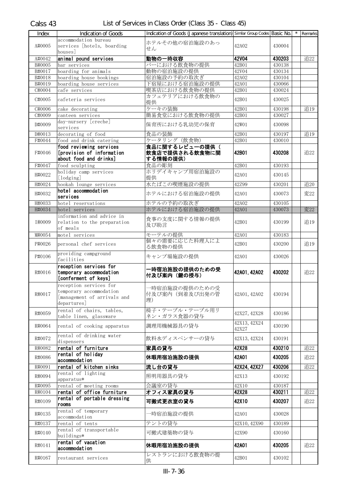| Index  | <b>Indication of Goods</b>                           | Indication of Goods (Japanese translation) Similar Group Codes Basic No. |              |        | $\star$ | Remarks |
|--------|------------------------------------------------------|--------------------------------------------------------------------------|--------------|--------|---------|---------|
|        | accommodation bureau                                 |                                                                          |              |        |         |         |
| A#0005 | services [hotels, boarding                           | ホテルその他の宿泊施設のあっ<br>せん                                                     | 42A02        | 430004 |         |         |
|        | houses                                               |                                                                          |              |        |         |         |
| A#0042 | animal pound services                                | 動物の一時収容                                                                  | <b>42V04</b> | 430203 |         | 追22     |
| B#0005 | bar services                                         | バーにおける飲食物の提供                                                             | 42B01        | 430138 |         |         |
| B#0017 | boarding for animals                                 | 動物の宿泊施設の提供                                                               | 42V04        | 430134 |         |         |
| B#0018 | boarding house bookings                              | 宿泊施設の予約の取次ぎ                                                              | 42A02        | 430104 |         |         |
| B#0019 | boarding house services                              | 下宿屋における宿泊施設の提供                                                           | 42A01        | 430066 |         |         |
| C#0004 | cafe services                                        | 喫茶店における飲食物の提供<br>カフェテリアにおける飲食物の                                          | 42B01        | 430024 |         |         |
| C#0005 | cafeteria services                                   | 提供                                                                       | 42B01        | 430025 |         |         |
| C#0006 | cake decorating                                      | ケーキの装飾                                                                   | 42B01        | 430198 |         | 追19     |
| C#0009 | canteen services                                     | 簡易食堂における飲食物の提供                                                           | 42B01        | 430027 |         |         |
| D#0009 | day-nursery [creche]                                 | 保育所における乳幼児の保育                                                            | 42W01        | 430098 |         |         |
|        | services                                             |                                                                          |              |        |         |         |
| D#0013 | decorating of food                                   | 食品の装飾                                                                    | 42B01        | 430197 |         | 追19     |
| F#0044 | food and drink catering                              | ケータリング (飲食物)                                                             | 42B01        | 430010 |         |         |
| F#0046 | food reviewing services<br>[provision of information | 食品に関するレビューの提供(<br>飲食店で提供される飲食物に関                                         | 42B01        | 430208 |         | 追22     |
|        | about food and drinks]                               | する情報の提供)                                                                 |              |        |         |         |
| F#0047 | food sculpting                                       | 食品の彫刻                                                                    | 42B01        | 430193 |         |         |
| H#0022 | holiday camp services                                | ホリデイキャンプ用宿泊施設の                                                           | 42A01        | 430145 |         |         |
|        | [lodging]                                            | 提供                                                                       |              |        |         |         |
| H#0024 | hookah lounge services                               | 水たばこの喫煙施設の提供                                                             | 42Z99        | 430201 |         | 追20     |
| H#0032 | hotel accommodation                                  | ホテルにおける宿泊施設の提供                                                           | 42A01        | 430073 |         | 変22     |
| H#0033 | services<br>hotel reservations                       | ホテルの予約の取次ぎ                                                               | 42A02        | 430105 |         |         |
| H#0034 | hotel services                                       | ホテルにおける宿泊施設の提供                                                           | 42A01        | 430073 |         | 変22     |
|        | information and advice in                            |                                                                          |              |        |         |         |
| I#0009 | relation to the preparation                          | 食事の支度に関する情報の提供                                                           | 42B01        | 430199 |         | 追19     |
|        | of meals                                             | 及び助言                                                                     |              |        |         |         |
| M#0054 | motel services                                       | モーテルの提供                                                                  | 42A01        | 430183 |         |         |
| P#0026 | personal chef services                               | 個々の需要に応じた料理人によ                                                           | 42B01        | 430200 |         | 追19     |
|        |                                                      | る飲食物の提供                                                                  |              |        |         |         |
| P#0106 | providing campground<br>facilities                   | キャンプ場施設の提供                                                               | 42A01        | 430026 |         |         |
|        | reception services for                               |                                                                          |              |        |         |         |
| R#0016 | temporary accommodation                              | ー時宿泊施設の提供のための受                                                           | 42A01, 42A02 | 430202 |         | 追22     |
|        | [conferment of keys]                                 | 付及び案内 (鍵の授与)                                                             |              |        |         |         |
|        | reception services for                               | 一時宿泊施設の提供のための受                                                           |              |        |         |         |
| R#0017 | temporary accommodation                              | 付及び案内(到着及び出発の管                                                           | 42A01, 42A02 | 430194 |         |         |
|        | [management of arrivals and                          | 理)                                                                       |              |        |         |         |
|        | departures]                                          | 椅子・テーブル・テーブル用リ                                                           |              |        |         |         |
| R#0059 | rental of chairs, tables,<br>table linen, glassware  | ネン・ガラス食器の貸与                                                              | 42X27, 42X28 | 430186 |         |         |
|        |                                                      |                                                                          | 42X13, 42X24 |        |         |         |
| R#0064 | rental of cooking apparatus                          | 調理用機械器具の貸与                                                               | 42X27        | 430190 |         |         |
|        | rental of drinking water                             | 飲料水ディスペンサーの貸与                                                            |              |        |         |         |
| R#0072 | dispensers                                           |                                                                          | 42X13, 42X24 | 430191 |         |         |
| R#0082 | rental of furniture                                  | 家具の貸与                                                                    | 42X28        | 430210 |         | 追22     |
| R#0086 | rental of holiday                                    | 休暇用宿泊施設の提供                                                               | 42A01        | 430205 |         | 追22     |
|        | accommodation                                        |                                                                          | 42X24, 42X27 |        |         | 追22     |
| R#0091 | rental of kitchen sinks<br>rental of lighting        | 流し台の貸与                                                                   |              | 430206 |         |         |
| R#0094 | apparatus*                                           | 照明用器具の貸与                                                                 | 42X13        | 430192 |         |         |
| R#0095 | rental of meeting rooms                              | 会議室の貸与                                                                   | 42X10        | 430187 |         |         |
| R#0104 | rental of office furniture                           | オフィス家具の貸与                                                                | 42X28        | 430211 |         | 追22     |
| R#0109 | rental of portable dressing                          | 可搬式更衣室の貸与                                                                | 42X10        | 430207 |         | 追22     |
|        | rooms                                                |                                                                          |              |        |         |         |
| R#0135 | rental of temporary<br>accommodation                 | 特宿泊施設の提供                                                                 | 42A01        | 430028 |         |         |
| R#0137 | rental of tents                                      | テントの貸与                                                                   | 42X10, 42X90 | 430189 |         |         |
|        | rental of transportable                              |                                                                          |              |        |         |         |
| R#0140 | buildings*                                           | 可搬式建築物の貸与                                                                | 42X90        | 430160 |         |         |
| R#0141 | rental of vacation                                   | 休暇用宿泊施設の提供                                                               | 42A01        | 430205 |         | 追22     |
|        | accommodation                                        |                                                                          |              |        |         |         |
| R#0167 | restaurant services                                  | レストランにおける飲食物の提                                                           | 42B01        | 430102 |         |         |
|        |                                                      | 供                                                                        |              |        |         |         |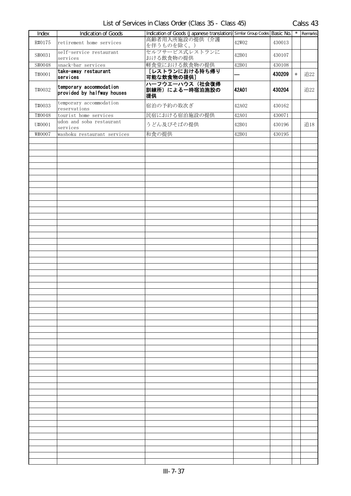|                                                       | Calss 43 |
|-------------------------------------------------------|----------|
| List of Services in Class Order (Class 35 - Class 45) |          |

| Index  | <b>Indication of Goods</b>                            | Indication of Goods (Japanese translation) Similar Group Codes Basic No. |       |        | $\star$ | Remarks |
|--------|-------------------------------------------------------|--------------------------------------------------------------------------|-------|--------|---------|---------|
| R#0175 | retirement home services                              | 高齢者用入所施設の提供(介護<br>を伴うものを除く。)                                             | 42W02 | 430013 |         |         |
| S#0031 | self-service restaurant<br>services                   | セルフサービス式レストランに<br>おける飲食物の提供                                              | 42B01 | 430107 |         |         |
| S#0048 | snack-bar services                                    | 軽食堂における飲食物の提供                                                            | 42B01 | 430108 |         |         |
| T#0001 | take-away restaurant<br>services                      | 「レストランにおける持ち帰り<br>可能な飲食物の提供]                                             |       | 430209 | $\ast$  | 追22     |
| T#0032 | temporary accommodation<br>provided by halfway houses | ハーフウエーハウス(社会復帰<br>訓練所)による一時宿泊施設の<br>提供                                   | 42A01 | 430204 |         | 追22     |
| T#0033 | temporary accommodation<br>reservations               | 宿泊の予約の取次ぎ                                                                | 42A02 | 430162 |         |         |
| T#0048 | tourist home services                                 | 民宿における宿泊施設の提供                                                            | 42A01 | 430071 |         |         |
| U#0001 | udon and soba restaurant<br>services                  | うどん及びそばの提供                                                               | 42B01 | 430196 |         | 追18     |
| W#0007 | washoku restaurant services                           | 和食の提供                                                                    | 42B01 | 430195 |         |         |
|        |                                                       |                                                                          |       |        |         |         |
|        |                                                       |                                                                          |       |        |         |         |
|        |                                                       |                                                                          |       |        |         |         |
|        |                                                       |                                                                          |       |        |         |         |
|        |                                                       |                                                                          |       |        |         |         |
|        |                                                       |                                                                          |       |        |         |         |
|        |                                                       |                                                                          |       |        |         |         |
|        |                                                       |                                                                          |       |        |         |         |
|        |                                                       |                                                                          |       |        |         |         |
|        |                                                       |                                                                          |       |        |         |         |
|        |                                                       |                                                                          |       |        |         |         |
|        |                                                       |                                                                          |       |        |         |         |
|        |                                                       |                                                                          |       |        |         |         |
|        |                                                       |                                                                          |       |        |         |         |
|        |                                                       |                                                                          |       |        |         |         |
|        |                                                       |                                                                          |       |        |         |         |
|        |                                                       |                                                                          |       |        |         |         |
|        |                                                       |                                                                          |       |        |         |         |
|        |                                                       |                                                                          |       |        |         |         |
|        |                                                       |                                                                          |       |        |         |         |
|        |                                                       |                                                                          |       |        |         |         |
|        |                                                       |                                                                          |       |        |         |         |
|        |                                                       |                                                                          |       |        |         |         |
|        |                                                       |                                                                          |       |        |         |         |
|        |                                                       |                                                                          |       |        |         |         |
|        |                                                       |                                                                          |       |        |         |         |
|        |                                                       |                                                                          |       |        |         |         |
|        |                                                       |                                                                          |       |        |         |         |
|        |                                                       |                                                                          |       |        |         |         |
|        |                                                       |                                                                          |       |        |         |         |
|        |                                                       |                                                                          |       |        |         |         |
|        |                                                       |                                                                          |       |        |         |         |
|        |                                                       |                                                                          |       |        |         |         |
|        |                                                       |                                                                          |       |        |         |         |
|        |                                                       |                                                                          |       |        |         |         |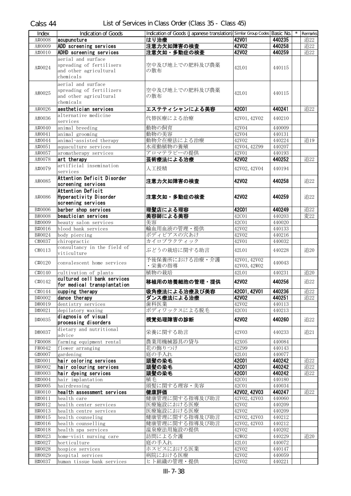| Index                       | <b>Indication of Goods</b>                                                            | Indication of Goods (Japanese translation) Similar Group Codes Basic No. |                              |        | Remarks |
|-----------------------------|---------------------------------------------------------------------------------------|--------------------------------------------------------------------------|------------------------------|--------|---------|
| A#0008                      | acupuncture                                                                           | はり治療                                                                     | <b>42V01</b>                 | 440235 | 追22     |
| A#0009                      | ADD screening services                                                                | 注意力欠如障害の検査                                                               | <b>42V02</b>                 | 440258 | 追22     |
| A#0010                      | ADHD screening services                                                               | 注意欠如・多動症の検査                                                              | 42V02                        | 440259 | 追22     |
| A#0024                      | aerial and surface<br>spreading of fertilisers<br>and other agricultural<br>chemicals | 空中及び地上での肥料及び農薬<br>の散布                                                    | 42L01                        | 440115 |         |
| A#0025                      | aerial and surface<br>spreading of fertilizers<br>and other agricultural<br>chemicals | 空中及び地上での肥料及び農薬<br>の散布                                                    | 42L01                        | 440115 |         |
| A#0026                      | aesthetician services                                                                 | エステティシャンによる美容                                                            | <b>42C01</b>                 | 440241 | 追22     |
| A#0036                      | alternative medicine<br>services                                                      | 代替医療による治療                                                                | 42V01, 42V02                 | 440210 |         |
| A#0040                      | animal breeding                                                                       | 動物の飼育                                                                    | 42V04                        | 440009 |         |
| $\overline{\text{A}}$ #0041 | animal grooming                                                                       | 動物の美容                                                                    | 42V04                        | 440131 |         |
| A#0044                      | animal-assisted therapy                                                               | 動物介在療法による治療                                                              | 42V02                        | 440224 | 追19     |
| A#0051                      | aquaculture services                                                                  | 水産動植物の養殖                                                                 | 42V04, 42Z99                 | 440207 |         |
| A#0057                      | aromatherapy services                                                                 | アロマテラピーの提供                                                               | 42V01                        | 440193 |         |
| A#0078                      | art therapy                                                                           | 芸術療法による治療                                                                | <b>42V02</b>                 | 440252 | 追22     |
| A#0079                      | artificial insemination<br>services                                                   | 人工授精                                                                     | 42V02, 42V04                 | 440194 |         |
| A#0085                      | Attention Deficit Disorder<br>screening services                                      | 注意力欠如障害の検査                                                               | 42V02                        | 440258 | 追22     |
| A#0086                      | Attention Deficit<br><b>Hyperactivity Disorder</b><br>screening services              | 注意欠如・多動症の検査                                                              | <b>42V02</b>                 | 440259 | 追22     |
| B#0006                      | barber shop services                                                                  | 理髪店による理容                                                                 | <b>42C01</b>                 | 440249 | 追22     |
| B#0008                      | beautician services                                                                   | 美容師による美容                                                                 | 42C01                        | 440203 | 変22     |
| B#0009                      | beauty salon services                                                                 | 美容                                                                       | 42C01                        | 440020 |         |
| B#0016                      | blood bank services                                                                   | 輸血用血液の管理・提供                                                              | 42V02                        | 440133 |         |
| B#0024                      | body piercing                                                                         | ボディピアスの穴あけ                                                               | 42V02                        | 440216 |         |
| C#0037                      | chiropractic                                                                          | カイロプラクティック                                                               | 42V01                        | 440032 |         |
| C#0113                      | consultancy in the field of<br>viticulture                                            | ぶどうの栽培に関する助言                                                             | 42L01                        | 440228 | 追20     |
| C#0120                      | convalescent home services                                                            | 予後保養所における治療・介護<br>・栄養の指導                                                 | 42V01, 42V02<br>42V03, 42W02 | 440043 |         |
| C#0140                      | cultivation of plants                                                                 | 植物の栽培                                                                    | 42L01                        | 440231 | 追20     |
| C#0142                      | cultured cell bank services<br>for medical transplantation                            | 移植用の培養細胞の管理・提供                                                           | 42V02                        | 440256 | 追22     |
| C#0144                      | cupping therapy                                                                       | 吸角療法による治療及び美容                                                            | 42001, 42V01                 | 440236 | 追22     |
| D#0002                      | dance therapy                                                                         | ダンス療法による治療                                                               | <b>42V02</b>                 | 440251 | 追22     |
| D#0019                      | dentistry services                                                                    | 歯科医業                                                                     | 42V02                        | 440113 |         |
| D#0021                      | depilatory waxing                                                                     | ボディワックスによる脱毛                                                             | 42C01                        | 440213 |         |
| D#0035                      | diagnosis of visual<br>processing disorders                                           | 視覚処理障害の診断                                                                | 42V02                        | 440260 | 追22     |
| D#0037                      | dietary and nutritional<br>advice                                                     | 栄養に関する助言                                                                 | 42V03                        | 440233 | 追21     |
| F#0008                      | farming equipment rental                                                              | 農業用機械器具の貸与                                                               | 42X05                        | 440084 |         |
| F#0042                      | flower arranging                                                                      | 花の飾りつけ                                                                   | 42Z99                        | 440143 |         |
| G#0007                      | gardening                                                                             | 庭の手入れ                                                                    | 42L01                        | 440077 |         |
| H#0001                      | hair coloring services                                                                | 頭髪の染毛                                                                    | <b>42C01</b>                 | 440242 | 追22     |
| H#0002                      | hair colouring services                                                               | 頭髪の染毛                                                                    | <b>42C01</b>                 | 440242 | 追22     |
| H#0003                      | hair dyeing services                                                                  | 頭髪の染毛                                                                    | <b>42C01</b>                 | 440242 | 追22     |
| H#0004                      | hair implantation                                                                     | 植毛                                                                       | 42C01                        | 440180 |         |
| H#0005                      | hairdressing                                                                          | 頭髪に関する理容・美容                                                              | 42C01                        | 440034 |         |
| H#0010                      | health assessment services                                                            | 健康評価                                                                     | 42V02, 42V03                 | 440247 | 追22     |
| H#0011                      | health care                                                                           | 健康管理に関する指導及び助言                                                           | 42V02, 42V03                 | 440060 |         |
| H#0012                      | health center services                                                                | 医療施設における医療                                                               | 42V02                        | 440209 |         |
| H#0013                      | health centre services                                                                | 医療施設における医療                                                               | 42V02                        | 440209 |         |
| H#0015                      | health counseling                                                                     | 健康管理に関する指導及び助言                                                           | 42V02, 42V03                 | 440212 |         |
| H#0016                      | health counselling                                                                    | 健康管理に関する指導及び助言                                                           | 42V02, 42V03                 | 440212 |         |
| H#0018                      | health spa services                                                                   | 温泉療法用施設の提供                                                               | 42V02                        | 440202 |         |
| H#0023                      | home-visit nursing care                                                               | 訪問による介護                                                                  | 42W02                        | 440229 | 追20     |
| H#0027                      | horticulture                                                                          | 庭の手入れ                                                                    | 42L01                        | 440072 |         |
| H#0028                      | hospice services                                                                      | ホスピスにおける医業                                                               | 42V02                        | 440147 |         |
| H#0029                      | hospital services                                                                     | 病院における医療                                                                 | 42V02                        | 440059 |         |
| H#0037                      |                                                                                       | ヒト組織の管理・提供                                                               | 42V02                        |        |         |
|                             | human tissue bank services                                                            |                                                                          |                              | 440221 |         |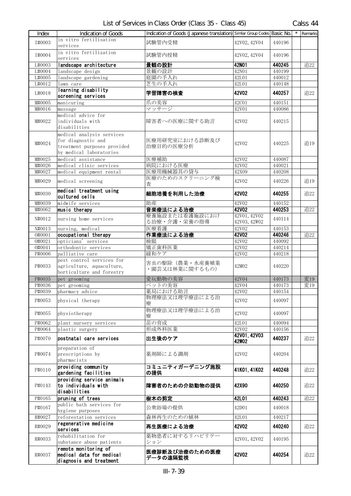| Index  | Indication of Goods                                                                                       | Indication of Goods (Japanese translation) Similar Group Codes Basic No. |                              |        | $\star$ | Remarks |
|--------|-----------------------------------------------------------------------------------------------------------|--------------------------------------------------------------------------|------------------------------|--------|---------|---------|
| I#0003 | in vitro fertilisation<br>services                                                                        | 試験管内受精                                                                   | 42V02, 42V04                 | 440196 |         |         |
| I#0004 | in vitro fertilization<br>services                                                                        | 試験管内授精                                                                   | 42V02, 42V04                 | 440196 |         |         |
| L#0003 | landscape architecture                                                                                    | 景観の設計                                                                    | 42N01                        | 440245 |         | 追22     |
| L#0004 | landscape design                                                                                          | 景観の設計                                                                    | 42N01                        | 440199 |         |         |
| L#0005 | landscape gardening                                                                                       | 庭園の手入れ                                                                   | 42L01                        | 440012 |         |         |
| L#0012 | lawn care                                                                                                 | 芝生の手入れ                                                                   | 42L01                        | 440148 |         |         |
| L#0018 | learning disability<br>screening services                                                                 | 学習障害の検査                                                                  | <b>42V02</b>                 | 440257 |         | 追22     |
| M#0005 | manicuring                                                                                                | 爪の美容                                                                     | 42C01                        | 440151 |         |         |
| M#0016 | massage                                                                                                   | マッサージ                                                                    | 42V01                        | 440086 |         |         |
| M#0022 | medical advice for<br>individuals with<br>disabilities                                                    | 障害者への医療に関する助言                                                            | 42V02                        | 440215 |         |         |
| M#0024 | medical analysis services<br>for diagnostic and<br>treatment purposes provided<br>by medical laboratories | 医療用研究室における診断及び<br>治療目的の医療分析                                              | 42V02                        | 440225 |         | 追19     |
| M#0025 | medical assistance                                                                                        | 医療補助                                                                     | 42V02                        | 440087 |         |         |
| M#0026 | medical clinic services                                                                                   | 病院における医療                                                                 | 42V02                        | 440021 |         |         |
| M#0027 | medical equipment rental                                                                                  | 医療用機械器具の貸与                                                               | 42X09                        | 440208 |         |         |
| M#0029 | medical screening                                                                                         | 医療のためのスクリーニング検<br>杳                                                      | 42V02                        | 440226 |         | 追19     |
| M#0030 | medical treatment using<br>cultured cells                                                                 | 細胞培養を利用した治療                                                              | 42V02                        | 440255 |         | 追22     |
| M#0039 | midwife services                                                                                          | 助産                                                                       | 42V02                        | 440152 |         |         |
| M#0062 | music therapy                                                                                             | 音楽療法による治療                                                                | <b>42V02</b>                 | 440253 |         | 追22     |
| N#0012 | nursing home services                                                                                     | 療養施設または看護施設におけ<br>る治療・介護・栄養の指導                                           | 42V01, 42V02<br>42V03, 42W02 | 440114 |         |         |
| N#0013 | nursing, medical                                                                                          | 医療看護                                                                     | 42V02                        | 440153 |         |         |
| 0#0001 | occupational therapy                                                                                      | 作業療法による治療                                                                | <b>42V02</b>                 | 440246 |         | 追22     |
| 0#0021 | opticians' services                                                                                       | 検眼                                                                       | 42V02                        | 440092 |         |         |
| 0#0041 | orthodontic services                                                                                      | 矯正歯科医業                                                                   | 42V02                        | 440214 |         |         |
| P#0006 | palliative care                                                                                           | 緩和ケア                                                                     | 42V02                        | 440218 |         |         |
| P#0033 | pest control services for<br>agriculture, aquaculture,<br>horticulture and forestry                       | 害虫の駆除(農業・水産養殖業<br>・園芸又は林業に関するもの)                                         | 42M02                        | 440220 |         |         |
| P#0035 | pet grooming                                                                                              | 愛玩動物の美容                                                                  | 42V04                        | 440173 |         | 変19     |
| P#0036 | pet grooming                                                                                              | ペットの美容                                                                   | 42V04                        | 440173 |         | 変19     |
| P#0039 | pharmacy advice                                                                                           | 薬局における助言                                                                 | 42V02                        | 440154 |         |         |
| P#0053 | physical therapy                                                                                          | 物理療法又は理学療法による治<br>療                                                      | 42V02                        | 440097 |         |         |
| P#0055 | physiotherapy                                                                                             | 物理療法又は理学療法による治<br>療                                                      | 42V02                        | 440097 |         |         |
| P#0062 | plant nursery services                                                                                    | 苗の育成                                                                     | 42L01                        | 440094 |         |         |
| P#0064 | plastic surgery                                                                                           | 形成外科医業                                                                   | 42V02                        | 440156 |         |         |
| P#0070 | postnatal care services                                                                                   | 出生後のケア                                                                   | 42V01, 42V03<br><b>42W02</b> | 440237 |         | 追22     |
| P#0074 | preparation of<br>prescriptions by<br>pharmacists                                                         | 薬剤師による調剤                                                                 | 42V02                        | 440204 |         |         |
| P#0110 | providing community<br>gardening facilities                                                               | コミュニティガーデニング施設<br>の提供                                                    | 41K01, 41K02                 | 440248 |         | 追22     |
| P#0143 | providing service animals<br>to individuals with<br>disabilities                                          | 障害者のための介助動物の提供                                                           | 42X90                        | 440250 |         | 追22     |
| P#0165 | pruning of trees                                                                                          | 樹木の剪定                                                                    | 42L01                        | 440243 |         | 追22     |
| P#0167 | public bath services for<br>hygiene purposes                                                              | 公衆浴場の提供                                                                  | 42D01                        | 440018 |         |         |
| R#0027 | reforestation services                                                                                    | 森林再生のための植林                                                               | 42L01                        | 440217 |         |         |
| R#0029 | regenerative medicine<br>services                                                                         | 再生医療による治療                                                                | <b>42V02</b>                 | 440240 |         | 追22     |
| R#0033 | rehabilitation for<br>substance abuse patients                                                            | 薬物患者に対するリハビリテー<br>ション                                                    | 42V01, 42V02                 | 440195 |         |         |
| R#0037 | remote monitoring of<br>medical data for medical<br>diagnosis and treatment                               | 医療診断及び治療のための医療<br>データの遠隔監視                                               | <b>42V02</b>                 | 440254 |         | 追22     |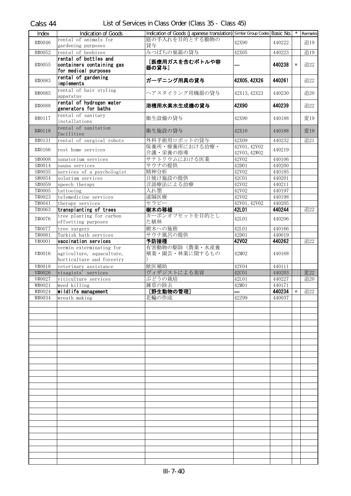| Index                       | <b>Indication of Goods</b>                       | Indication of Goods (Japanese translation) Similar Group Codes Basic No. |                    |        |        | Remarks |
|-----------------------------|--------------------------------------------------|--------------------------------------------------------------------------|--------------------|--------|--------|---------|
| R#0046                      | rental of animals for                            | 庭の手入れを目的とする動物の                                                           | 42X90              | 440222 |        | 追19     |
|                             | gardening purposes                               | 貸与                                                                       |                    |        |        |         |
| R#0052                      | rental of beehives                               | みつばちの巣箱の貸与                                                               | 42X05              | 440223 |        | 追19     |
|                             | rental of bottles and                            | [医療用ガスを含むボトルや容                                                           |                    |        |        |         |
| R#0055                      | containers containing gas                        | 器の貸与]                                                                    |                    | 440238 | $\ast$ | 追22     |
|                             | for medical purposes                             |                                                                          |                    |        |        |         |
| R#0083                      | rental of gardening                              | ガーデニング用具の貸与                                                              | 42X05, 42X26       | 440261 |        | 追22     |
|                             | implements                                       |                                                                          |                    |        |        |         |
| R#0085                      | rental of hair styling                           | ヘアスタイリング用機器の貸与                                                           | 42X13, 42X23       | 440230 |        | 追20     |
|                             | apparatus                                        |                                                                          |                    |        |        |         |
| R#0088                      | rental of hydrogen water<br>generators for baths | 浴槽用水素水生成機の貸与                                                             | 42X90              | 440239 |        | 追22     |
|                             | rental of sanitary                               |                                                                          |                    |        |        |         |
| R#0117                      | installations                                    | 衛生設備の貸与                                                                  | 42X90              | 440188 |        | 変19     |
|                             | rental of sanitation                             |                                                                          |                    |        |        |         |
| R#0118                      | facilities                                       | 衛生施設の貸与                                                                  | 42X10              | 440188 |        | 変19     |
| R#0131                      | rental of surgical robots                        | 外科手術用ロボットの貸与                                                             | 42X09              | 440232 |        | 追21     |
|                             |                                                  | 保養所・療養所における治療・                                                           | 42V01, 42V02       |        |        |         |
| R#0166                      | rest home services                               | 介護・栄養の指導                                                                 | 42V03, 42W02       | 440219 |        |         |
| $\overline{\text{S}}$ #0008 | sanatorium services                              | サナトリウムにおける医業                                                             | 42V02              | 440106 |        |         |
| S#0014                      | sauna services                                   | サウナの提供                                                                   | 42D01              | 440200 |        |         |
| S#0035                      | services of a psychologist                       | 精神分析                                                                     | 42V02              | 440185 |        |         |
| S#0054                      | solarium services                                | 日焼け施設の提供                                                                 | 42C01              | 440201 |        |         |
| S#0059                      | speech therapy                                   | 言語療法による治療                                                                | 42V02              | 440211 |        |         |
| T#0005                      | tattooing                                        | 入れ墨                                                                      | 42V02              | 440197 |        |         |
| T#0023                      | telemedicine services                            | 遠隔医療                                                                     | 42V02              | 440198 |        |         |
| T#0041                      | therapy services                                 | セラピー                                                                     | 42V01, 42V02       | 440205 |        |         |
| T#0063                      | transplanting of trees                           | 樹木の移植                                                                    | 42L01              | 440244 |        | 追22     |
|                             | tree planting for carbon                         | カーボンオフセットを目的とし                                                           |                    |        |        |         |
| T#0076                      | offsetting purposes                              | た植林                                                                      | 42L01              | 440206 |        |         |
| T#0077                      | tree surgery                                     | 樹木への施術                                                                   | 42L01              | 440166 |        |         |
| T#0081                      | Turkish bath services                            | サウナ風呂の提供                                                                 | 42D01              | 440019 |        |         |
| V#0001                      | vaccination services                             | 予防接種                                                                     | <b>42V02</b>       | 440262 |        | 追22     |
|                             | vermin exterminating for                         | 有害動物の駆除(農業・水産養                                                           |                    |        |        |         |
| V#0016                      | agriculture, aquaculture,                        | 殖業・園芸・林業に関するもの                                                           | 42M02              | 440168 |        |         |
|                             | horticulture and forestry                        |                                                                          |                    |        |        |         |
| V#0018                      | veterinary assistance                            | 獣医補助                                                                     | 42V04              | 440111 |        |         |
| V#0026                      | visagists' services                              | ヴィザジストによる美容                                                              | 42C01              | 440203 |        | 変22     |
| V#0027                      | viticulture services                             | ぶどうの栽培                                                                   | 42L01              | 440227 |        | 追20     |
| W#0021                      | weed killing                                     | 雑草の除去                                                                    | $\overline{42M01}$ | 440171 |        |         |
| W#0024                      | wildlife management                              | [野生動物の管理]                                                                |                    | 440234 | $\ast$ | 追22     |
| W#0034                      | wreath making                                    | 花輪の作成                                                                    | 42Z99              | 440037 |        |         |
|                             |                                                  |                                                                          |                    |        |        |         |
|                             |                                                  |                                                                          |                    |        |        |         |
|                             |                                                  |                                                                          |                    |        |        |         |
|                             |                                                  |                                                                          |                    |        |        |         |
|                             |                                                  |                                                                          |                    |        |        |         |
|                             |                                                  |                                                                          |                    |        |        |         |
|                             |                                                  |                                                                          |                    |        |        |         |
|                             |                                                  |                                                                          |                    |        |        |         |
|                             |                                                  |                                                                          |                    |        |        |         |
|                             |                                                  |                                                                          |                    |        |        |         |
|                             |                                                  |                                                                          |                    |        |        |         |
|                             |                                                  |                                                                          |                    |        |        |         |
|                             |                                                  |                                                                          |                    |        |        |         |
|                             |                                                  |                                                                          |                    |        |        |         |
|                             |                                                  |                                                                          |                    |        |        |         |
|                             |                                                  |                                                                          |                    |        |        |         |
|                             |                                                  |                                                                          |                    |        |        |         |
|                             |                                                  |                                                                          |                    |        |        |         |
|                             |                                                  |                                                                          |                    |        |        |         |
|                             |                                                  |                                                                          |                    |        |        |         |
|                             |                                                  |                                                                          |                    |        |        |         |
|                             |                                                  |                                                                          |                    |        |        |         |
|                             |                                                  |                                                                          |                    |        |        |         |
|                             |                                                  |                                                                          |                    |        |        |         |
|                             |                                                  |                                                                          |                    |        |        |         |
|                             |                                                  |                                                                          |                    |        |        |         |
|                             |                                                  |                                                                          |                    |        |        |         |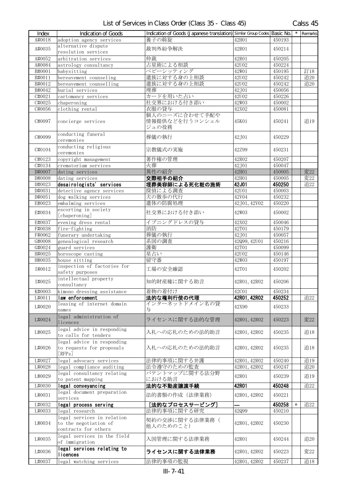| Index                | <b>Indication of Goods</b>                                                  | Indication of Goods (Japanese translation) Similar Group Codes Basic No. |              |                  |        | $\star$ Remarks |
|----------------------|-----------------------------------------------------------------------------|--------------------------------------------------------------------------|--------------|------------------|--------|-----------------|
| A#0018               | adoption agency services                                                    | 養子の斡旋                                                                    | 42H01        | 450193           |        |                 |
| A#0035               | alternative dispute                                                         | 裁判外紛争解決                                                                  | 42R01        | 450214           |        |                 |
|                      | resolution services                                                         |                                                                          |              |                  |        |                 |
| A#0052               | arbitration services                                                        | 仲裁                                                                       | 42R01        | 450205           |        |                 |
| A#0084               | astrology consultancy                                                       | 占星術による相談                                                                 | 42U02        | 450224           |        |                 |
| B#0001               | babysitting                                                                 | ベビーシッティング                                                                | 42W01        | 450195           |        | 訂18             |
| B#0011               | bereavement counseling                                                      | 遺族に対する身の上相談                                                              | 42U02        | 450242           |        | 追20             |
| B#0012               | bereavement counselling                                                     | 遺族に対する身の上相談                                                              | 42U02        | 450242           |        | 追20             |
| B#0042               | burial services                                                             | 埋葬                                                                       | 42J01        | 450056           |        |                 |
| C#0021               | cartomancy services                                                         | カードを用いた占い                                                                | 42U02        | 450226           |        |                 |
| C#0025               | chaperoning                                                                 | 社交界における付き添い                                                              | 42W03        | 450002           |        |                 |
| C#0056               | clothing rental                                                             | 衣服の貸与                                                                    | 42X02        | 450081           |        |                 |
| C#0097               | concierge services                                                          | 個人のニーズに合わせて手配や<br>情報提供などを行うコンシェル<br>ジュの役務                                | 45K01        | 450241           |        | 追19             |
| C#0099               | conducting funeral<br>ceremonies                                            | 葬儀の執行                                                                    | 42J01        | 450229           |        |                 |
| C#0104               | conducting religious<br>ceremonies                                          | 宗教儀式の実施                                                                  | 42Z99        | 450231           |        |                 |
| $\overline{C}$ #0123 | copyright management                                                        | 著作権の管理                                                                   | 42R02        | 450207           |        |                 |
| C#0134               | crematorium services                                                        | 火葬                                                                       | 42J01        | 450047           |        |                 |
| D#0007               | dating services                                                             | 異性の紹介                                                                    | 42H01        | 450005           |        | 変22             |
| D#0008               | dating services                                                             | 交際相手の紹介                                                                  | 42H01        | 450005           |        | 変22             |
| D#0023               | desairologists' services                                                    | 埋葬美容師による死化粧の施術                                                           | 42J01        | 450250           |        | 追22             |
| D#0031               | detective agency services                                                   | 探偵による調査                                                                  | 42U01        | 450003           |        |                 |
| D#0051               | dog walking services                                                        | 犬の散歩の代行                                                                  | 42V04        | 450232           |        |                 |
| E#0023               | embalming services                                                          | 遺体の防腐処理                                                                  | 42J01, 42V02 | 450220           |        |                 |
|                      | escorting in society                                                        |                                                                          |              |                  |        |                 |
| E#0034               | [chaperoning]                                                               | 社交界における付き添い                                                              | 42W03        | 450002           |        |                 |
| E#0037               | evening dress rental                                                        | イブニングドレスの貸与                                                              | 42X02        | 450046           |        |                 |
| F#0038               | fire-fighting                                                               | 消防                                                                       | 42T01        | 450179           |        |                 |
| F#0062               | funerary undertaking                                                        | 葬儀の執行                                                                    | 42J01        | 450057           |        |                 |
| G#0008               | genealogical research                                                       | 系図の調査                                                                    | 42Q99, 42U01 | 450216           |        |                 |
| G#0024               | guard services                                                              | 護衛                                                                       | 42T01        | 450099           |        |                 |
| H#0025               | horoscope casting                                                           | 星占い                                                                      | 42U02        | 450146           |        |                 |
| H#0035               | house sitting                                                               | 留守番                                                                      | 42W03        | 450197           |        |                 |
| I#0012               | inspection of factories for<br>safety purposes                              | 工場の安全確認                                                                  | 42T01        | 450202           |        |                 |
| I#0025               | intellectual property<br>consultancy                                        | 知的財産権に関する助言                                                              | 42R01, 42R02 | 450206           |        |                 |
| K#0003               | kimono dressing assistance                                                  | 着物の着付け                                                                   | 42C01        | 450234           |        |                 |
| L#0011               | law enforcement                                                             | 法的な権利行使の代理                                                               | 42R01, 42R02 | 450252           |        | 追22             |
| L#0020               | leasing of internet domain                                                  | インターネットドメイン名の貸                                                           | 42X90        | 450233           |        |                 |
|                      | names                                                                       | 与                                                                        |              |                  |        |                 |
| L#0024               | legal administration of<br>licences                                         | ライセンスに関する法的な管理                                                           | 42R01, 42R02 | 450223           |        | 変22             |
| L#0025               | legal advice in responding<br>to calls for tenders                          | 入札への応札のための法的助言                                                           | 42R01, 42R02 | 450235           |        | 追18             |
| L#0026               | legal advice in responding<br>to requests for proposals<br>[RFPs]           | 入札への応札のための法的助言                                                           | 42R01, 42R02 | 450235           |        | 追18             |
| L#0027               | legal advocacy services                                                     | 法律的事項に関する弁護                                                              | 42R01, 42R02 | 450240           |        | 追19             |
| L#0028               | legal compliance auditing                                                   | 法令遵守のための監査                                                               | 42R01, 42R02 | 450247           |        | 追20             |
| L#0029               | legal consultancy relating<br>to patent mapping                             | パテントマップに関する法分野<br>における助言                                                 | 42R01        | 450239           |        | 追19             |
| L#0030               | legal conveyancing                                                          | 法的な不動産讓渡手続                                                               | 42R01        | 450248           |        | 追22             |
| L#0031               | legal document preparation                                                  | 法的書類の作成(法律業務)                                                            | 42R01, 42R02 | 450221           |        |                 |
|                      | services                                                                    |                                                                          |              |                  |        |                 |
| L#0032<br>L#0033     | legal process serving<br>legal research                                     | [法的なプロセスサービング]<br>法律的事項に関する研究                                            | 42Q99        | 450258<br>450210 | $\ast$ | 追22             |
| L#0034               | legal services in relation<br>to the negotiation of<br>contracts for others | 契約の交渉に関する法律業務(<br>他人のためのこと)                                              | 42R01, 42R02 | 450230           |        |                 |
| L#0035               | legal services in the field<br>of immigration                               | 入国管理に関する法律業務                                                             | 42R01        | 450244           |        | 追20             |
| L#0036               | legal services relating to<br>licences                                      | ライセンスに関する法律業務                                                            | 42R01, 42R02 | 450223           |        | 変22             |
| L#0037               | legal watching services                                                     | 法律的事項の監視                                                                 | 42R01, 42R02 | 450237           |        | 追18             |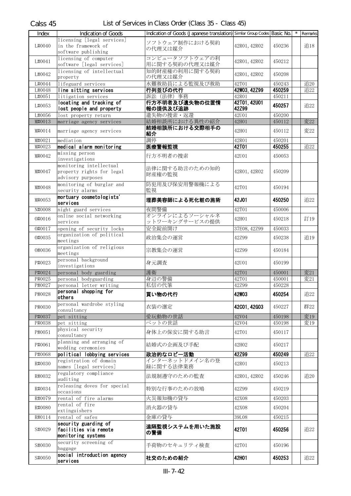| Index            | <b>Indication of Goods</b>                       | Indication of Goods (Japanese translation) Similar Group Codes Basic No. |                |                  | Remarks |
|------------------|--------------------------------------------------|--------------------------------------------------------------------------|----------------|------------------|---------|
|                  | licensing [legal services]                       |                                                                          |                |                  |         |
| L#0040           | in the framework of                              | ソフトウェア制作における契約<br>の代理又は媒介                                                | 42R01, 42R02   | 450236           | 追18     |
|                  | software publishing                              |                                                                          |                |                  |         |
| L#0041           | licensing of computer                            | コンピュータソフトウェアの利                                                           | 42R01, 42R02   | 450212           |         |
|                  | software [legal services]                        | 用に関する契約の代理又は媒介                                                           |                |                  |         |
| L#0042           | licensing of intellectual                        | 知的財産権の利用に関する契約                                                           | 42R01, 42R02   | 450208           |         |
|                  | property                                         | の代理又は媒介                                                                  |                |                  |         |
| L#0044           | lifeguard services                               | 水難救助員による監視及び救助                                                           | 42T01          | 450243           | 追20     |
| L#0048           | line sitting services                            | 行列並びの代行                                                                  | 42W03, 42Z99   | 450259           | 追22     |
| L#0051           | litigation services                              | 訴訟 (法律) 事務                                                               | 42R01          | 450211           |         |
| L#0053           | locating and tracking of                         | 行方不明者及び遺失物の位置情                                                           | 42T01, 42U01   | 450257           | 追22     |
|                  | lost people and property                         | 報の提供及び追跡                                                                 | 42Z99          |                  |         |
| L#0056           | lost property return                             | 遺失物の捜索・返還                                                                | 42U01          | 450200           |         |
| M#0013           | marriage agency services                         | 結婚相談所における異性の紹介                                                           | 42H01          | 450112           | 変22     |
| M#0014           | marriage agency services                         | 結婚相談所における交際相手の<br>紹介                                                     | 42H01          | 450112           | 変22     |
|                  |                                                  | 調停                                                                       | 42R01          |                  |         |
| M#0021<br>M#0023 | mediation<br>medical alarm monitoring            | 医療警報監視                                                                   | 42T01          | 450201<br>450255 | 追22     |
|                  | missing person                                   |                                                                          |                |                  |         |
| M#0042           | investigations                                   | 行方不明者の捜索                                                                 | 42U01          | 450053           |         |
|                  | monitoring intellectual                          |                                                                          |                |                  |         |
| M#0047           | property rights for legal                        | 法律に関する助言のための知的                                                           | 42R01, 42R02   | 450209           |         |
|                  | advisory purposes                                | 財産権の監視                                                                   |                |                  |         |
|                  | monitoring of burglar and                        | 防犯用及び保安用警報機による                                                           |                |                  |         |
| M#0048           | security alarms                                  | 監視                                                                       | 42T01          | 450194           |         |
|                  | mortuary cosmetologists'                         |                                                                          |                |                  |         |
| M#0053           | services                                         | 埋葬美容師による死化粧の施術                                                           | 42J01          | 450250           | 追22     |
| N#0008           | night guard services                             | 夜間警備                                                                     | 42T01          | 450006           |         |
| 0#0016           | online social networking                         | オンラインによるソーシャルネ                                                           |                |                  |         |
|                  | services                                         | ットワーキングサービスの提供                                                           | 42H01          | 450218           | 訂19     |
| 0#0017           | opening of security locks                        | 安全錠前開け                                                                   | 37E08, 42Z99   | 450033           |         |
| 0#0035           | organization of political                        | 政治集会の運営                                                                  | 42Z99          | 450238           | 追19     |
|                  | meetings                                         |                                                                          |                |                  |         |
| 0#0036           | organization of religious                        | 宗教集会の運営                                                                  | 42Z99          | 450184           |         |
|                  | meetings                                         |                                                                          |                |                  |         |
| P#0023           | personal background                              | 身元調査                                                                     | 42U01          | 450199           |         |
|                  | investigations                                   |                                                                          |                |                  |         |
| P#0024           | personal body guarding                           | 護衛                                                                       | 42T01          | 450001           | 変21     |
| P#0025<br>P#0027 | personal bodyguarding                            | 身辺の警備<br>私信の代筆                                                           | 42T01<br>42Z99 | 450001           | 変21     |
|                  | personal letter writing<br>personal shopping for |                                                                          |                | 450228           |         |
| P#0028           | others                                           | 買い物の代行                                                                   | <b>42W03</b>   | 450254           | 追22     |
|                  | personal wardrobe styling                        |                                                                          |                |                  |         |
| P#0030           | consultancy                                      | 衣装の選定                                                                    | 42001, 42G03   | 450227           | 群22     |
| P#0037           | pet sitting                                      | 愛玩動物の世話                                                                  | 42V04          | 450198           | 変19     |
| P#0038           | pet sitting                                      | ペットの世話                                                                   | 42V04          | 450198           | 変19     |
|                  | physical security                                |                                                                          |                |                  |         |
| P#0051           | consultancy                                      | 身体上の保安に関する助言                                                             | 42T01          | 450117           |         |
|                  | planning and arranging of                        | 結婚式の企画及び手配                                                               | 42H02          |                  |         |
| P#0061           | wedding ceremonies                               |                                                                          |                | 450217           |         |
| P#0068           | political lobbying services                      | 政治的なロビー活動                                                                | 42Z99          | 450249           | 追22     |
| R#0030           | registration of domain                           | インターネットドメイン名の登                                                           | 42R01          | 450213           |         |
|                  | names [legal services]                           | 録に関する法律業務                                                                |                |                  |         |
| R#0032           | regulatory compliance                            | 法規制遵守のための監査                                                              | 42R01, 42R02   | 450246           | 追20     |
|                  | auditing                                         |                                                                          |                |                  |         |
| R#0034           | releasing doves for special                      | 特別な行事のための放鳩                                                              | 42Z99          | 450219           |         |
|                  | occasions                                        |                                                                          |                |                  |         |
| R#0079           | rental of fire alarms                            | 火災報知機の貸与                                                                 | 42X08          | 450203           |         |
| R#0080           | rental of fire                                   | 消火器の貸与                                                                   | 42X08          | 450204           |         |
|                  | extinguishers                                    | 金庫の貸与                                                                    |                |                  |         |
| R#0114           | rental of safes<br>security guarding of          |                                                                          | 39L08          | 450215           |         |
| S#0029           | facilities via remote                            | 遠隔監視システムを用いた施設                                                           | <b>42T01</b>   | 450256           | 追22     |
|                  | monitoring systems                               | の警備                                                                      |                |                  |         |
|                  | security screening of                            |                                                                          |                |                  |         |
| S#0030           | baggage                                          | 手荷物のセキュリティ検査                                                             | 42T01          | 450196           |         |
|                  | social introduction agency                       |                                                                          |                |                  |         |
| S#0050           | services                                         | 社交のための紹介                                                                 | 42H01          | 450253           | 追22     |